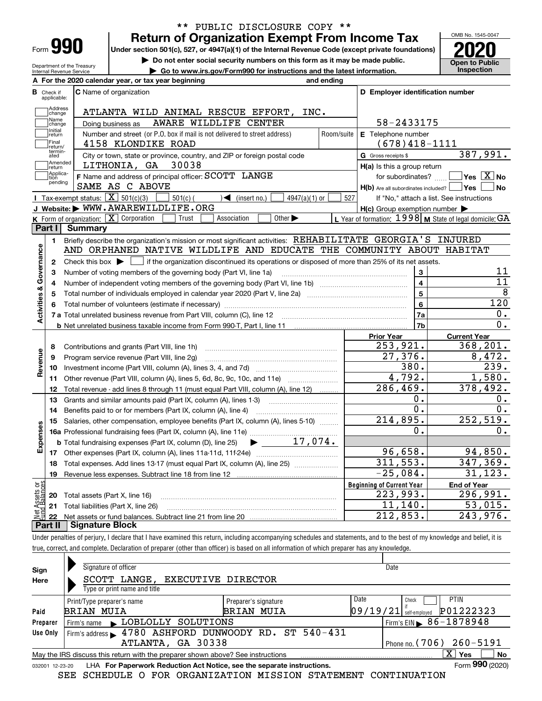| ⊦orm |  |  |
|------|--|--|

## **Return of Organization Exempt From Income Tax** \*\* PUBLIC DISCLOSURE COPY \*\*

**Under section 501(c), 527, or 4947(a)(1) of the Internal Revenue Code (except private foundations)**

**but the Do not enter social security numbers on this form as it may be made public. Open to Public**<br> **a** Go to www.irs.gov/Form990 for instructions and the latest information. Inspection

Department of the Treasury Internal Revenue Service **| Go to www.irs.gov/Form990 for instructions and the latest information. Inspection** OMB No. 1545-0047

|                         |                               | A For the 2020 calendar year, or tax year beginning                                                                                                                                                            | and ending |                                                         |                                                           |
|-------------------------|-------------------------------|----------------------------------------------------------------------------------------------------------------------------------------------------------------------------------------------------------------|------------|---------------------------------------------------------|-----------------------------------------------------------|
|                         | <b>B</b> Check if applicable: | <b>C</b> Name of organization                                                                                                                                                                                  |            | D Employer identification number                        |                                                           |
|                         | Address<br>change             | ATLANTA WILD ANIMAL RESCUE EFFORT, INC.                                                                                                                                                                        |            |                                                         |                                                           |
|                         | Name<br>change                | AWARE WILDLIFE CENTER<br>Doing business as                                                                                                                                                                     |            | 58-2433175                                              |                                                           |
|                         | Initial<br>return             | Number and street (or P.O. box if mail is not delivered to street address)                                                                                                                                     | Room/suite | E Telephone number                                      |                                                           |
|                         | Final<br>return/              | 4158 KLONDIKE ROAD                                                                                                                                                                                             |            | $(678)418 - 1111$                                       |                                                           |
|                         | termin-<br>ated               | City or town, state or province, country, and ZIP or foreign postal code                                                                                                                                       |            | G Gross receipts \$                                     | 387,991.                                                  |
|                         | Amended<br>return             | LITHONIA, GA<br>30038                                                                                                                                                                                          |            | $H(a)$ is this a group return                           |                                                           |
|                         | Applica-<br>tion<br>pending   | F Name and address of principal officer: SCOTT LANGE                                                                                                                                                           |            | for subordinates?                                       | $Yes \quad X \quad No$                                    |
|                         |                               | SAME AS C ABOVE                                                                                                                                                                                                |            | $H(b)$ Are all subordinates included? $\Box$ Yes $\Box$ | No                                                        |
|                         |                               | <b>I</b> Tax-exempt status: $\boxed{\textbf{X}}$ 501(c)(3)<br>$\sqrt{\bullet}$ (insert no.)<br>$4947(a)(1)$ or<br>$501(c)$ (                                                                                   | 527        |                                                         | If "No," attach a list. See instructions                  |
|                         |                               | J Website: WWW.AWAREWILDLIFE.ORG                                                                                                                                                                               |            | $H(c)$ Group exemption number $\blacktriangleright$     |                                                           |
|                         |                               | K Form of organization: X Corporation<br>Other $\blacktriangleright$<br>Trust<br>Association                                                                                                                   |            |                                                         | L Year of formation: $1998$ M State of legal domicile: GA |
|                         | Part I                        | <b>Summary</b>                                                                                                                                                                                                 |            |                                                         |                                                           |
|                         | 1                             | Briefly describe the organization's mission or most significant activities: REHABILITATE GEORGIA'S INJURED<br>AND ORPHANED NATIVE WILDLIFE AND EDUCATE THE COMMUNITY ABOUT HABITAT                             |            |                                                         |                                                           |
| Governance              | $\mathbf{2}$                  |                                                                                                                                                                                                                |            |                                                         |                                                           |
|                         | 3                             | Check this box $\blacktriangleright \Box$ if the organization discontinued its operations or disposed of more than 25% of its net assets.<br>Number of voting members of the governing body (Part VI, line 1a) |            | 3                                                       | 11                                                        |
|                         | 4                             |                                                                                                                                                                                                                |            | 4                                                       | 11                                                        |
|                         | 5                             |                                                                                                                                                                                                                |            | 5                                                       | 8                                                         |
|                         | 6                             |                                                                                                                                                                                                                | 6          | 120                                                     |                                                           |
| <b>Activities &amp;</b> |                               |                                                                                                                                                                                                                |            | 7a                                                      | $\mathbf 0$ .                                             |
|                         |                               | <b>b</b> Net unrelated business taxable income from Form 990-T, Part I, line 11 <b>Marting the Control of the Control</b> of                                                                                   |            | 7b                                                      | 0.                                                        |
|                         |                               |                                                                                                                                                                                                                |            | <b>Prior Year</b>                                       | <b>Current Year</b>                                       |
|                         | 8                             | Contributions and grants (Part VIII, line 1h)                                                                                                                                                                  |            | 253,921.                                                | 368,201.                                                  |
| Revenue                 | 9                             | Program service revenue (Part VIII, line 2g)                                                                                                                                                                   |            | 27,376.                                                 | 8,472.                                                    |
|                         | 10                            |                                                                                                                                                                                                                |            | 380.                                                    | $\overline{239}$ .                                        |
|                         | 11                            | Other revenue (Part VIII, column (A), lines 5, 6d, 8c, 9c, 10c, and 11e)                                                                                                                                       |            | 4,792.                                                  | 1,580.                                                    |
|                         | 12                            | Total revenue - add lines 8 through 11 (must equal Part VIII, column (A), line 12)                                                                                                                             |            | $\overline{286,469}$ .                                  | 378,492.                                                  |
|                         | 13                            | Grants and similar amounts paid (Part IX, column (A), lines 1-3)                                                                                                                                               |            | ο.                                                      | 0.                                                        |
|                         | 14                            | Benefits paid to or for members (Part IX, column (A), line 4)                                                                                                                                                  |            | $\overline{0}$ .                                        | Ο.                                                        |
|                         | 15                            | Salaries, other compensation, employee benefits (Part IX, column (A), lines 5-10)                                                                                                                              |            | 214,895.                                                | 252,519.                                                  |
| Expenses                |                               |                                                                                                                                                                                                                |            | Ο.                                                      | 0.                                                        |
|                         |                               | $\blacktriangleright$ 17,074.<br><b>b</b> Total fundraising expenses (Part IX, column (D), line 25)                                                                                                            |            |                                                         |                                                           |
|                         |                               |                                                                                                                                                                                                                |            | 96,658.                                                 | 94,850.                                                   |
|                         | 18                            | Total expenses. Add lines 13-17 (must equal Part IX, column (A), line 25) <i></i>                                                                                                                              |            | 311,553.                                                | 347,369.                                                  |
|                         | 19                            |                                                                                                                                                                                                                |            | $-25,084.$                                              | 31, 123.                                                  |
| គង្គ                    |                               |                                                                                                                                                                                                                |            | <b>Beginning of Current Year</b>                        | <b>End of Year</b>                                        |
| Assets<br>1 Balanc      | 20                            | Total assets (Part X, line 16)                                                                                                                                                                                 |            | 223,993.<br>11,140.                                     | 296,991.<br>53,015.                                       |
|                         | 21                            | Total liabilities (Part X, line 26)                                                                                                                                                                            |            | 212,853.                                                | 243,976.                                                  |
|                         | 22<br>Part II                 | Signature Block                                                                                                                                                                                                |            |                                                         |                                                           |

Under penalties of perjury, I declare that I have examined this return, including accompanying schedules and statements, and to the best of my knowledge and belief, it is true, correct, and complete. Declaration of preparer (other than officer) is based on all information of which preparer has any knowledge.

| Sign                                                                                                         | Signature of officer                                   |                      | Date                         |                      |  |  |  |  |  |  |
|--------------------------------------------------------------------------------------------------------------|--------------------------------------------------------|----------------------|------------------------------|----------------------|--|--|--|--|--|--|
| Here                                                                                                         | SCOTT LANGE, EXECUTIVE DIRECTOR                        |                      |                              |                      |  |  |  |  |  |  |
|                                                                                                              | Type or print name and title                           |                      |                              |                      |  |  |  |  |  |  |
|                                                                                                              | Print/Type preparer's name                             | Preparer's signature | Date                         | <b>PTIN</b><br>Check |  |  |  |  |  |  |
| Paid                                                                                                         | <b>BRIAN MUIA</b><br>BRIAN MUIA                        | 09/19/21             | P01222323<br>self-emploved   |                      |  |  |  |  |  |  |
| Preparer                                                                                                     | Firm's name LOBLOLLY SOLUTIONS                         |                      | Firm's EIN $\, 86 - 1878948$ |                      |  |  |  |  |  |  |
| Use Only                                                                                                     | 4780 ASHFORD DUNWOODY RD. ST 540-431<br>Firm's address |                      |                              |                      |  |  |  |  |  |  |
|                                                                                                              | ATLANTA, GA 30338<br>Phone no. (706) 260-5191          |                      |                              |                      |  |  |  |  |  |  |
| ΧI<br>No<br>Yes<br>May the IRS discuss this return with the preparer shown above? See instructions           |                                                        |                      |                              |                      |  |  |  |  |  |  |
| Form 990 (2020)<br>LHA For Paperwork Reduction Act Notice, see the separate instructions.<br>032001 12-23-20 |                                                        |                      |                              |                      |  |  |  |  |  |  |

SEE SCHEDULE O FOR ORGANIZATION MISSION STATEMENT CONTINUATION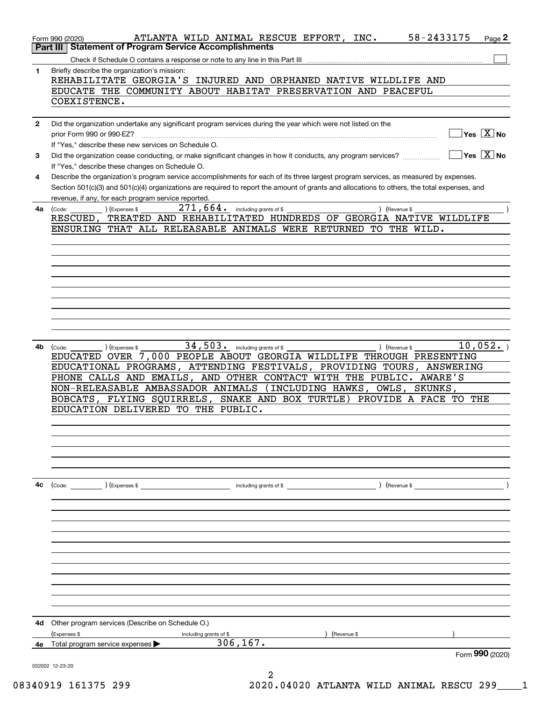|              | 58-2433175<br>ATLANTA WILD ANIMAL RESCUE EFFORT, INC.<br>Page 2<br>Form 990 (2020)                                                                                                 |
|--------------|------------------------------------------------------------------------------------------------------------------------------------------------------------------------------------|
|              | Part III   Statement of Program Service Accomplishments                                                                                                                            |
|              |                                                                                                                                                                                    |
| $\mathbf{1}$ | Briefly describe the organization's mission:<br>REHABILITATE GEORGIA'S INJURED AND ORPHANED NATIVE WILDLIFE AND                                                                    |
|              | EDUCATE THE COMMUNITY ABOUT HABITAT PRESERVATION AND PEACEFUL                                                                                                                      |
|              | COEXISTENCE.                                                                                                                                                                       |
|              |                                                                                                                                                                                    |
| $\mathbf{2}$ | Did the organization undertake any significant program services during the year which were not listed on the                                                                       |
|              | $\sqrt{}$ Yes $\sqrt{}$ X $\sqrt{}$ No<br>prior Form 990 or 990-EZ?                                                                                                                |
|              | If "Yes," describe these new services on Schedule O.                                                                                                                               |
| 3            | $\overline{\mathsf{Yes} \mathrel{\;\;\overline{\mathbf{X}}\;}}$ No<br>Did the organization cease conducting, or make significant changes in how it conducts, any program services? |
|              | If "Yes," describe these changes on Schedule O.                                                                                                                                    |
| 4            | Describe the organization's program service accomplishments for each of its three largest program services, as measured by expenses.                                               |
|              | Section 501(c)(3) and 501(c)(4) organizations are required to report the amount of grants and allocations to others, the total expenses, and                                       |
|              | revenue, if any, for each program service reported.                                                                                                                                |
| 4a -         | $271, 664$ $\cdot$ including grants of \$<br>) (Revenue \$                                                                                                                         |
|              | (Code:<br>(Expenses \$<br>RESCUED, TREATED AND REHABILITATED HUNDREDS OF GEORGIA NATIVE WILDLIFE                                                                                   |
|              | ENSURING THAT ALL RELEASABLE ANIMALS WERE RETURNED TO THE WILD.                                                                                                                    |
|              |                                                                                                                                                                                    |
|              |                                                                                                                                                                                    |
|              |                                                                                                                                                                                    |
|              |                                                                                                                                                                                    |
|              |                                                                                                                                                                                    |
|              |                                                                                                                                                                                    |
|              |                                                                                                                                                                                    |
|              |                                                                                                                                                                                    |
|              |                                                                                                                                                                                    |
|              |                                                                                                                                                                                    |
|              | $34,503$ . including grants of \$<br>10,052.                                                                                                                                       |
| 4b           | (Expenses \$<br>) (Revenue \$<br>(Code:<br>EDUCATED OVER 7,000 PEOPLE ABOUT GEORGIA WILDLIFE THROUGH PRESENTING                                                                    |
|              | EDUCATIONAL PROGRAMS, ATTENDING FESTIVALS, PROVIDING TOURS, ANSWERING                                                                                                              |
|              | PHONE CALLS AND EMAILS, AND OTHER CONTACT WITH THE PUBLIC. AWARE'S                                                                                                                 |
|              | NON-RELEASABLE AMBASSADOR ANIMALS (INCLUDING HAWKS, OWLS, SKUNKS,                                                                                                                  |
|              | BOBCATS, FLYING SQUIRRELS, SNAKE AND BOX TURTLE) PROVIDE A FACE TO THE                                                                                                             |
|              | EDUCATION DELIVERED TO THE PUBLIC.                                                                                                                                                 |
|              |                                                                                                                                                                                    |
|              |                                                                                                                                                                                    |
|              |                                                                                                                                                                                    |
|              |                                                                                                                                                                                    |
|              |                                                                                                                                                                                    |
|              |                                                                                                                                                                                    |
| 4с           | (Code: ) (Expenses \$<br>including grants of \$<br>) (Revenue \$                                                                                                                   |
|              |                                                                                                                                                                                    |
|              |                                                                                                                                                                                    |
|              |                                                                                                                                                                                    |
|              |                                                                                                                                                                                    |
|              |                                                                                                                                                                                    |
|              |                                                                                                                                                                                    |
|              |                                                                                                                                                                                    |
|              |                                                                                                                                                                                    |
|              |                                                                                                                                                                                    |
|              |                                                                                                                                                                                    |
|              |                                                                                                                                                                                    |
|              |                                                                                                                                                                                    |
| 4d           |                                                                                                                                                                                    |
|              | Other program services (Describe on Schedule O.)                                                                                                                                   |
|              | (Expenses \$<br>(Revenue \$<br>including grants of \$<br>306, 167.                                                                                                                 |
| 4e           | Total program service expenses<br>Form 990 (2020)                                                                                                                                  |
|              |                                                                                                                                                                                    |
|              | 032002 12-23-20<br>2                                                                                                                                                               |

08340919 161375 299 2020.04020 ATLANTA WILD ANIMAL RESCU 299\_\_\_\_1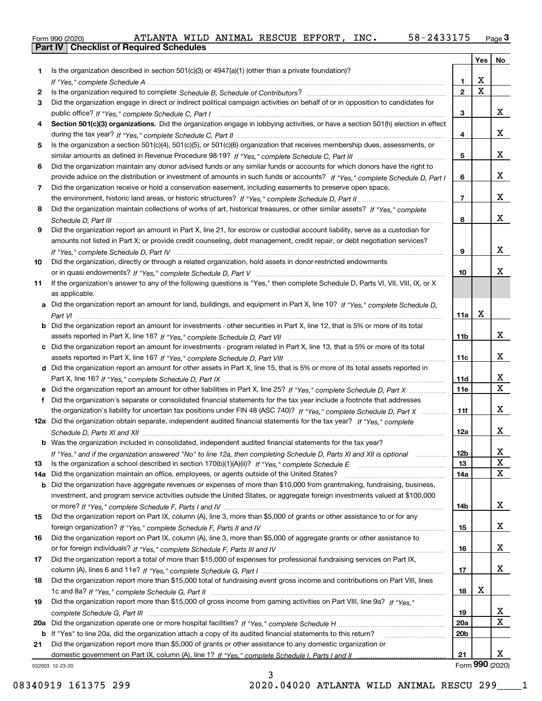|  | Form 990 (2020) |
|--|-----------------|

|     |                                                                                                                                       |                 |             | Yes   No     |
|-----|---------------------------------------------------------------------------------------------------------------------------------------|-----------------|-------------|--------------|
| 1.  | Is the organization described in section $501(c)(3)$ or $4947(a)(1)$ (other than a private foundation)?                               |                 |             |              |
|     |                                                                                                                                       | 1               | X           |              |
| 2   |                                                                                                                                       | $\overline{2}$  | $\mathbf X$ |              |
| 3   | Did the organization engage in direct or indirect political campaign activities on behalf of or in opposition to candidates for       |                 |             |              |
|     |                                                                                                                                       | 3               |             | x            |
| 4   | Section 501(c)(3) organizations. Did the organization engage in lobbying activities, or have a section 501(h) election in effect      |                 |             |              |
|     |                                                                                                                                       | 4               |             | x            |
| 5   | Is the organization a section 501(c)(4), 501(c)(5), or 501(c)(6) organization that receives membership dues, assessments, or          |                 |             |              |
|     |                                                                                                                                       | 5               |             | x            |
| 6   | Did the organization maintain any donor advised funds or any similar funds or accounts for which donors have the right to             |                 |             |              |
|     | provide advice on the distribution or investment of amounts in such funds or accounts? If "Yes," complete Schedule D, Part I          | 6               |             | x            |
| 7   | Did the organization receive or hold a conservation easement, including easements to preserve open space,                             |                 |             |              |
|     |                                                                                                                                       | $\overline{7}$  |             | x            |
| 8   | Did the organization maintain collections of works of art, historical treasures, or other similar assets? If "Yes," complete          |                 |             |              |
|     |                                                                                                                                       | 8               |             | x            |
| 9   | Did the organization report an amount in Part X, line 21, for escrow or custodial account liability, serve as a custodian for         |                 |             |              |
|     | amounts not listed in Part X; or provide credit counseling, debt management, credit repair, or debt negotiation services?             |                 |             |              |
|     |                                                                                                                                       | 9               |             | x            |
| 10  | Did the organization, directly or through a related organization, hold assets in donor-restricted endowments                          |                 |             |              |
|     |                                                                                                                                       | 10              |             | x            |
| 11  | If the organization's answer to any of the following questions is "Yes," then complete Schedule D, Parts VI, VII, VIII, IX, or X      |                 |             |              |
|     | as applicable.                                                                                                                        |                 |             |              |
|     | a Did the organization report an amount for land, buildings, and equipment in Part X, line 10? If "Yes," complete Schedule D.         |                 |             |              |
|     |                                                                                                                                       | 11a             | X           |              |
|     | <b>b</b> Did the organization report an amount for investments - other securities in Part X, line 12, that is 5% or more of its total |                 |             |              |
|     |                                                                                                                                       | 11b             |             | x            |
|     | Did the organization report an amount for investments - program related in Part X, line 13, that is 5% or more of its total           |                 |             |              |
|     |                                                                                                                                       | 11c             |             | x            |
|     | d Did the organization report an amount for other assets in Part X, line 15, that is 5% or more of its total assets reported in       |                 |             |              |
|     |                                                                                                                                       | 11d             |             | x            |
|     | e Did the organization report an amount for other liabilities in Part X, line 25? If "Yes," complete Schedule D, Part X               | 11e             |             | $\mathbf{x}$ |
| f   | Did the organization's separate or consolidated financial statements for the tax year include a footnote that addresses               |                 |             |              |
|     | the organization's liability for uncertain tax positions under FIN 48 (ASC 740)? If "Yes," complete Schedule D, Part X                | 11f             |             | x            |
|     | 12a Did the organization obtain separate, independent audited financial statements for the tax year? If "Yes," complete               |                 |             |              |
|     |                                                                                                                                       | 12a             |             | x            |
|     | <b>b</b> Was the organization included in consolidated, independent audited financial statements for the tax year?                    |                 |             |              |
|     | If "Yes," and if the organization answered "No" to line 12a, then completing Schedule D, Parts XI and XII is optional                 | סצו             |             | Χ            |
| 13  | Is the organization a school described in section 170(b)(1)(A)(ii)? If "Yes," complete Schedule E                                     | 13              |             | X            |
| 14a | Did the organization maintain an office, employees, or agents outside of the United States?                                           | 14a             |             | X            |
| b   | Did the organization have aggregate revenues or expenses of more than \$10,000 from grantmaking, fundraising, business,               |                 |             |              |
|     | investment, and program service activities outside the United States, or aggregate foreign investments valued at \$100,000            |                 |             |              |
|     |                                                                                                                                       | 14b             |             | x            |
| 15  | Did the organization report on Part IX, column (A), line 3, more than \$5,000 of grants or other assistance to or for any             |                 |             |              |
|     |                                                                                                                                       | 15              |             | x            |
| 16  | Did the organization report on Part IX, column (A), line 3, more than \$5,000 of aggregate grants or other assistance to              |                 |             |              |
|     |                                                                                                                                       | 16              |             | x            |
| 17  | Did the organization report a total of more than \$15,000 of expenses for professional fundraising services on Part IX,               |                 |             |              |
|     |                                                                                                                                       | 17              |             | x            |
| 18  | Did the organization report more than \$15,000 total of fundraising event gross income and contributions on Part VIII, lines          |                 |             |              |
|     |                                                                                                                                       | 18              | х           |              |
| 19  | Did the organization report more than \$15,000 of gross income from gaming activities on Part VIII, line 9a? If "Yes."                |                 |             |              |
|     |                                                                                                                                       | 19              |             | х<br>x       |
| 20a |                                                                                                                                       | 20a             |             |              |
|     | b If "Yes" to line 20a, did the organization attach a copy of its audited financial statements to this return?                        | 20 <sub>b</sub> |             |              |
| 21  | Did the organization report more than \$5,000 of grants or other assistance to any domestic organization or                           |                 |             |              |
|     |                                                                                                                                       | 21              |             | x            |

032003 12-23-20

Form (2020) **990**

3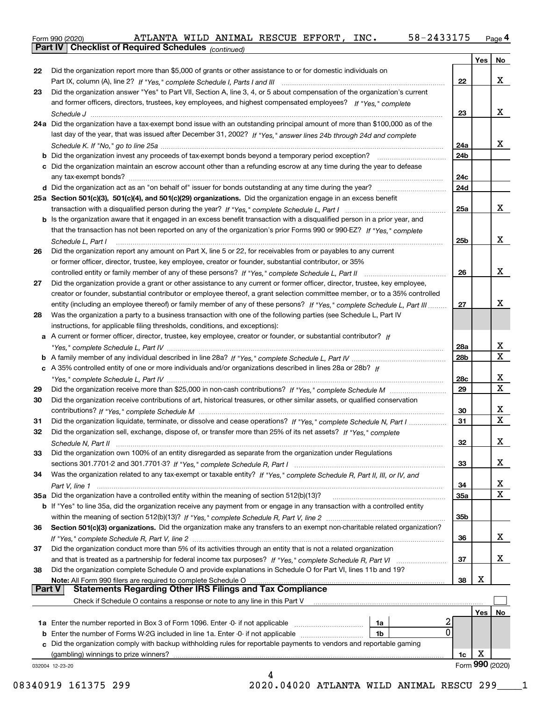**Part IV Checklist of Required Schedules**

*(continued)*

|               |                                                                                                                              |                 | Yes | No              |
|---------------|------------------------------------------------------------------------------------------------------------------------------|-----------------|-----|-----------------|
| 22            | Did the organization report more than \$5,000 of grants or other assistance to or for domestic individuals on                |                 |     |                 |
|               |                                                                                                                              | 22              |     | x               |
| 23            | Did the organization answer "Yes" to Part VII, Section A, line 3, 4, or 5 about compensation of the organization's current   |                 |     |                 |
|               | and former officers, directors, trustees, key employees, and highest compensated employees? If "Yes," complete               |                 |     |                 |
|               |                                                                                                                              | 23              |     | x               |
|               | 24a Did the organization have a tax-exempt bond issue with an outstanding principal amount of more than \$100,000 as of the  |                 |     |                 |
|               | last day of the year, that was issued after December 31, 2002? If "Yes," answer lines 24b through 24d and complete           |                 |     |                 |
|               |                                                                                                                              | 24a             |     | x               |
|               |                                                                                                                              | 24b             |     |                 |
|               | c Did the organization maintain an escrow account other than a refunding escrow at any time during the year to defease       |                 |     |                 |
|               |                                                                                                                              | 24c             |     |                 |
|               |                                                                                                                              | 24d             |     |                 |
|               | 25a Section 501(c)(3), 501(c)(4), and 501(c)(29) organizations. Did the organization engage in an excess benefit             |                 |     |                 |
|               |                                                                                                                              | 25a             |     | X.              |
|               |                                                                                                                              |                 |     |                 |
|               | b Is the organization aware that it engaged in an excess benefit transaction with a disqualified person in a prior year, and |                 |     |                 |
|               | that the transaction has not been reported on any of the organization's prior Forms 990 or 990-EZ? If "Yes," complete        |                 |     | x               |
|               | Schedule L, Part I                                                                                                           | 25 <sub>b</sub> |     |                 |
| 26            | Did the organization report any amount on Part X, line 5 or 22, for receivables from or payables to any current              |                 |     |                 |
|               | or former officer, director, trustee, key employee, creator or founder, substantial contributor, or 35%                      |                 |     |                 |
|               | controlled entity or family member of any of these persons? If "Yes," complete Schedule L, Part II                           | 26              |     | x               |
| 27            | Did the organization provide a grant or other assistance to any current or former officer, director, trustee, key employee,  |                 |     |                 |
|               | creator or founder, substantial contributor or employee thereof, a grant selection committee member, or to a 35% controlled  |                 |     |                 |
|               | entity (including an employee thereof) or family member of any of these persons? If "Yes," complete Schedule L, Part III     | 27              |     | x.              |
| 28            | Was the organization a party to a business transaction with one of the following parties (see Schedule L, Part IV            |                 |     |                 |
|               | instructions, for applicable filing thresholds, conditions, and exceptions):                                                 |                 |     |                 |
|               | a A current or former officer, director, trustee, key employee, creator or founder, or substantial contributor? If           |                 |     |                 |
|               |                                                                                                                              | 28a             |     | х               |
|               |                                                                                                                              | 28 <sub>b</sub> |     | X               |
|               | c A 35% controlled entity of one or more individuals and/or organizations described in lines 28a or 28b? If                  |                 |     |                 |
|               |                                                                                                                              | 28c             |     | x               |
| 29            |                                                                                                                              | 29              |     | X               |
| 30            | Did the organization receive contributions of art, historical treasures, or other similar assets, or qualified conservation  |                 |     |                 |
|               |                                                                                                                              | 30              |     | х               |
| 31            | Did the organization liquidate, terminate, or dissolve and cease operations? If "Yes," complete Schedule N, Part I           | 31              |     | X               |
| 32            | Did the organization sell, exchange, dispose of, or transfer more than 25% of its net assets? If "Yes," complete             |                 |     |                 |
|               |                                                                                                                              | 32              |     | x.              |
|               | Did the organization own 100% of an entity disregarded as separate from the organization under Regulations                   |                 |     |                 |
|               |                                                                                                                              | 33              |     | x               |
| 34            | Was the organization related to any tax-exempt or taxable entity? If "Yes," complete Schedule R, Part II, III, or IV, and    |                 |     |                 |
|               |                                                                                                                              | 34              |     | X               |
|               | 35a Did the organization have a controlled entity within the meaning of section 512(b)(13)?                                  | 35а             |     | X               |
|               | b If "Yes" to line 35a, did the organization receive any payment from or engage in any transaction with a controlled entity  |                 |     |                 |
|               |                                                                                                                              | 35b             |     |                 |
| 36            | Section 501(c)(3) organizations. Did the organization make any transfers to an exempt non-charitable related organization?   |                 |     |                 |
|               |                                                                                                                              | 36              |     | X.              |
| 37            | Did the organization conduct more than 5% of its activities through an entity that is not a related organization             |                 |     |                 |
|               |                                                                                                                              | 37              |     | X.              |
| 38            | Did the organization complete Schedule O and provide explanations in Schedule O for Part VI, lines 11b and 19?               |                 |     |                 |
|               | Note: All Form 990 filers are required to complete Schedule O                                                                | 38              | х   |                 |
| <b>Part V</b> | <b>Statements Regarding Other IRS Filings and Tax Compliance</b>                                                             |                 |     |                 |
|               | Check if Schedule O contains a response or note to any line in this Part V                                                   |                 |     |                 |
|               |                                                                                                                              |                 | Yes | No              |
|               | 2<br>1a                                                                                                                      |                 |     |                 |
| b             | 0<br>Enter the number of Forms W-2G included in line 1a. Enter -0- if not applicable<br>1b                                   |                 |     |                 |
| c             | Did the organization comply with backup withholding rules for reportable payments to vendors and reportable gaming           |                 |     |                 |
|               | (gambling) winnings to prize winners?                                                                                        | 1c              | х   |                 |
|               | 032004 12-23-20                                                                                                              |                 |     | Form 990 (2020) |
|               | 4                                                                                                                            |                 |     |                 |

08340919 161375 299 2020.04020 ATLANTA WILD ANIMAL RESCU 299 1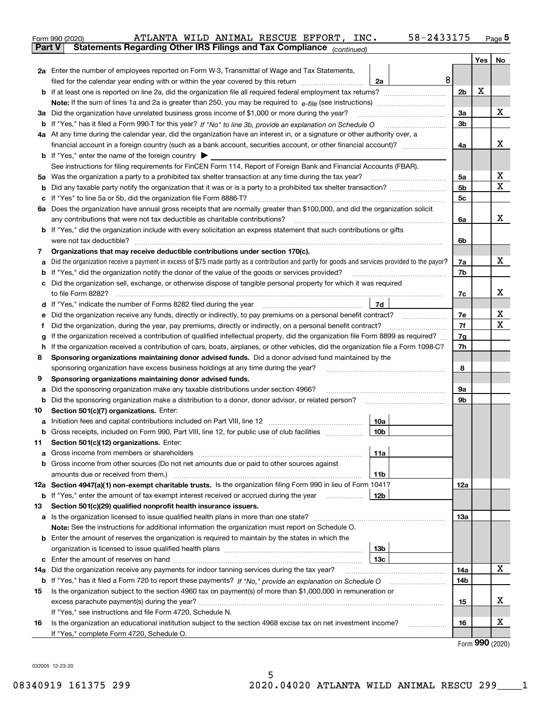|               | 58-2433175<br>ATLANTA WILD ANIMAL RESCUE EFFORT, INC.<br>Form 990 (2020)                                                                                                                                                                        |                |     | Page $5$ |  |  |  |  |
|---------------|-------------------------------------------------------------------------------------------------------------------------------------------------------------------------------------------------------------------------------------------------|----------------|-----|----------|--|--|--|--|
| <b>Part V</b> | Statements Regarding Other IRS Filings and Tax Compliance (continued)                                                                                                                                                                           |                |     |          |  |  |  |  |
|               |                                                                                                                                                                                                                                                 |                | Yes | No       |  |  |  |  |
|               | 2a Enter the number of employees reported on Form W-3, Transmittal of Wage and Tax Statements,                                                                                                                                                  |                |     |          |  |  |  |  |
|               | 8<br>filed for the calendar year ending with or within the year covered by this return <i>manumumumum</i><br>2a                                                                                                                                 |                | X   |          |  |  |  |  |
|               |                                                                                                                                                                                                                                                 |                |     |          |  |  |  |  |
|               |                                                                                                                                                                                                                                                 |                |     |          |  |  |  |  |
|               | 3a Did the organization have unrelated business gross income of \$1,000 or more during the year?                                                                                                                                                | 3a             |     | X        |  |  |  |  |
|               |                                                                                                                                                                                                                                                 | 3b             |     |          |  |  |  |  |
|               | 4a At any time during the calendar year, did the organization have an interest in, or a signature or other authority over, a                                                                                                                    |                |     |          |  |  |  |  |
|               | financial account in a foreign country (such as a bank account, securities account, or other financial account)?                                                                                                                                | 4a             |     | х        |  |  |  |  |
|               | <b>b</b> If "Yes," enter the name of the foreign country $\blacktriangleright$                                                                                                                                                                  |                |     |          |  |  |  |  |
|               | See instructions for filing requirements for FinCEN Form 114, Report of Foreign Bank and Financial Accounts (FBAR).                                                                                                                             |                |     |          |  |  |  |  |
| 5a            |                                                                                                                                                                                                                                                 | 5a             |     | X        |  |  |  |  |
| b             |                                                                                                                                                                                                                                                 | 5 <sub>b</sub> |     | х        |  |  |  |  |
| c             |                                                                                                                                                                                                                                                 | 5c             |     |          |  |  |  |  |
|               | 6a Does the organization have annual gross receipts that are normally greater than \$100,000, and did the organization solicit                                                                                                                  |                |     |          |  |  |  |  |
|               | any contributions that were not tax deductible as charitable contributions?                                                                                                                                                                     | 6a             |     | x        |  |  |  |  |
|               | <b>b</b> If "Yes," did the organization include with every solicitation an express statement that such contributions or gifts                                                                                                                   |                |     |          |  |  |  |  |
|               | were not tax deductible?                                                                                                                                                                                                                        | 6b             |     |          |  |  |  |  |
| 7             | Organizations that may receive deductible contributions under section 170(c).                                                                                                                                                                   |                |     |          |  |  |  |  |
| a             | Did the organization receive a payment in excess of \$75 made partly as a contribution and partly for goods and services provided to the payor?                                                                                                 | 7a             |     | х        |  |  |  |  |
| b             | If "Yes," did the organization notify the donor of the value of the goods or services provided?                                                                                                                                                 | 7b             |     |          |  |  |  |  |
|               | c Did the organization sell, exchange, or otherwise dispose of tangible personal property for which it was required                                                                                                                             |                |     |          |  |  |  |  |
|               |                                                                                                                                                                                                                                                 | 7c             |     | x        |  |  |  |  |
|               | 7d  <br>d If "Yes," indicate the number of Forms 8282 filed during the year [11] [11] The summinimum minimum in the number of Forms 8282 filed during the year                                                                                  |                |     |          |  |  |  |  |
|               | Did the organization receive any funds, directly or indirectly, to pay premiums on a personal benefit contract?<br>е                                                                                                                            |                |     |          |  |  |  |  |
|               | Did the organization, during the year, pay premiums, directly or indirectly, on a personal benefit contract?<br>f                                                                                                                               |                |     |          |  |  |  |  |
|               | If the organization received a contribution of qualified intellectual property, did the organization file Form 8899 as required?<br>g                                                                                                           |                |     |          |  |  |  |  |
| 8             | If the organization received a contribution of cars, boats, airplanes, or other vehicles, did the organization file a Form 1098-C?<br>h<br>Sponsoring organizations maintaining donor advised funds. Did a donor advised fund maintained by the |                |     |          |  |  |  |  |
|               | sponsoring organization have excess business holdings at any time during the year?                                                                                                                                                              | 8              |     |          |  |  |  |  |
| 9             | Sponsoring organizations maintaining donor advised funds.                                                                                                                                                                                       |                |     |          |  |  |  |  |
| а             | Did the sponsoring organization make any taxable distributions under section 4966?                                                                                                                                                              | 9а             |     |          |  |  |  |  |
| b             | Did the sponsoring organization make a distribution to a donor, donor advisor, or related person? [[[[[[[[[[[                                                                                                                                   | 9b             |     |          |  |  |  |  |
| 10            | Section 501(c)(7) organizations. Enter:                                                                                                                                                                                                         |                |     |          |  |  |  |  |
|               | 10a                                                                                                                                                                                                                                             |                |     |          |  |  |  |  |
|               | Gross receipts, included on Form 990, Part VIII, line 12, for public use of club facilities<br> 10 <sub>b</sub>                                                                                                                                 |                |     |          |  |  |  |  |
| 11            | Section 501(c)(12) organizations. Enter:                                                                                                                                                                                                        |                |     |          |  |  |  |  |
| a             | 11a                                                                                                                                                                                                                                             |                |     |          |  |  |  |  |
|               | b Gross income from other sources (Do not net amounts due or paid to other sources against                                                                                                                                                      |                |     |          |  |  |  |  |
|               | 11b                                                                                                                                                                                                                                             |                |     |          |  |  |  |  |
|               | 12a Section 4947(a)(1) non-exempt charitable trusts. Is the organization filing Form 990 in lieu of Form 1041?                                                                                                                                  | 12a            |     |          |  |  |  |  |
|               | 12b<br><b>b</b> If "Yes," enter the amount of tax-exempt interest received or accrued during the year <i>manument</i> of                                                                                                                        |                |     |          |  |  |  |  |
| 13            | Section 501(c)(29) qualified nonprofit health insurance issuers.                                                                                                                                                                                |                |     |          |  |  |  |  |
|               | a Is the organization licensed to issue qualified health plans in more than one state?                                                                                                                                                          | 13a            |     |          |  |  |  |  |
|               | Note: See the instructions for additional information the organization must report on Schedule O.                                                                                                                                               |                |     |          |  |  |  |  |
|               | <b>b</b> Enter the amount of reserves the organization is required to maintain by the states in which the                                                                                                                                       |                |     |          |  |  |  |  |
|               | 13 <sub>b</sub>                                                                                                                                                                                                                                 |                |     |          |  |  |  |  |
|               | 13 <sub>c</sub>                                                                                                                                                                                                                                 |                |     |          |  |  |  |  |
| 14a           | Did the organization receive any payments for indoor tanning services during the tax year?                                                                                                                                                      | 14a            |     | X        |  |  |  |  |
|               | <b>b</b> If "Yes," has it filed a Form 720 to report these payments? If "No," provide an explanation on Schedule O                                                                                                                              | 14b            |     |          |  |  |  |  |
| 15            | Is the organization subject to the section 4960 tax on payment(s) of more than \$1,000,000 in remuneration or                                                                                                                                   |                |     |          |  |  |  |  |
|               |                                                                                                                                                                                                                                                 | 15             |     | х        |  |  |  |  |
|               | If "Yes," see instructions and file Form 4720, Schedule N.                                                                                                                                                                                      |                |     | х        |  |  |  |  |
| 16            | Is the organization an educational institution subject to the section 4968 excise tax on net investment income?<br>If "Yes," complete Form 4720, Schedule O.                                                                                    | 16             |     |          |  |  |  |  |
|               |                                                                                                                                                                                                                                                 |                |     |          |  |  |  |  |

Form (2020) **990**

032005 12-23-20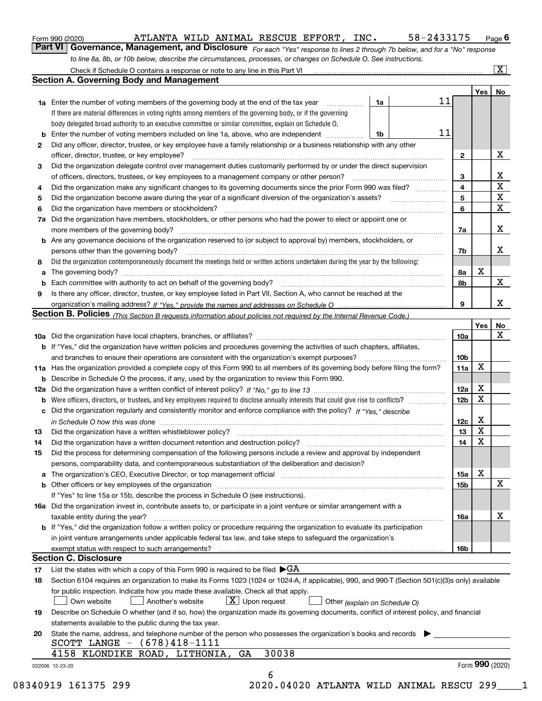| Form 990 (2020) |
|-----------------|
|-----------------|

Form 990 (2020) ATLANTA WILD ANIMAL RESCUE EFFORT, INC.  $58-2433175$  Page

**Part VI** Governance, Management, and Disclosure For each "Yes" response to lines 2 through 7b below, and for a "No" response *to line 8a, 8b, or 10b below, describe the circumstances, processes, or changes on Schedule O. See instructions.*

|    |                                                                                                                                                                                                                                |    |  |    |                         | Yes <sub>1</sub> | No                      |  |  |  |  |
|----|--------------------------------------------------------------------------------------------------------------------------------------------------------------------------------------------------------------------------------|----|--|----|-------------------------|------------------|-------------------------|--|--|--|--|
|    | 1a Enter the number of voting members of the governing body at the end of the tax year                                                                                                                                         | 1a |  | 11 |                         |                  |                         |  |  |  |  |
|    | If there are material differences in voting rights among members of the governing body, or if the governing                                                                                                                    |    |  |    |                         |                  |                         |  |  |  |  |
|    | body delegated broad authority to an executive committee or similar committee, explain on Schedule O.                                                                                                                          |    |  |    |                         |                  |                         |  |  |  |  |
| b  | Enter the number of voting members included on line 1a, above, who are independent                                                                                                                                             | 1b |  | 11 |                         |                  |                         |  |  |  |  |
| 2  | Did any officer, director, trustee, or key employee have a family relationship or a business relationship with any other                                                                                                       |    |  |    |                         |                  |                         |  |  |  |  |
|    | officer, director, trustee, or key employee?                                                                                                                                                                                   |    |  |    | $\mathbf{2}$            |                  | X                       |  |  |  |  |
| З  | Did the organization delegate control over management duties customarily performed by or under the direct supervision                                                                                                          |    |  |    |                         |                  |                         |  |  |  |  |
|    | of officers, directors, trustees, or key employees to a management company or other person?                                                                                                                                    |    |  |    | 3                       |                  | X                       |  |  |  |  |
| 4  | Did the organization make any significant changes to its governing documents since the prior Form 990 was filed?                                                                                                               |    |  |    | $\overline{\mathbf{4}}$ |                  | $\overline{\mathtt{x}}$ |  |  |  |  |
| 5  |                                                                                                                                                                                                                                |    |  |    | 5                       |                  | $\overline{\mathbf{x}}$ |  |  |  |  |
| 6  | Did the organization have members or stockholders?                                                                                                                                                                             |    |  |    | 6                       |                  | $\mathbf X$             |  |  |  |  |
| 7a | Did the organization have members, stockholders, or other persons who had the power to elect or appoint one or                                                                                                                 |    |  |    |                         |                  |                         |  |  |  |  |
|    |                                                                                                                                                                                                                                |    |  |    | 7a                      |                  | X                       |  |  |  |  |
|    | <b>b</b> Are any governance decisions of the organization reserved to (or subject to approval by) members, stockholders, or                                                                                                    |    |  |    |                         |                  |                         |  |  |  |  |
|    | persons other than the governing body?                                                                                                                                                                                         |    |  |    | 7b                      |                  | х                       |  |  |  |  |
| 8  | Did the organization contemporaneously document the meetings held or written actions undertaken during the year by the following:                                                                                              |    |  |    |                         |                  |                         |  |  |  |  |
| a  |                                                                                                                                                                                                                                |    |  |    | 8а                      | X                |                         |  |  |  |  |
| b  |                                                                                                                                                                                                                                |    |  |    | 8b                      |                  | $\mathbf x$             |  |  |  |  |
| 9  | Is there any officer, director, trustee, or key employee listed in Part VII, Section A, who cannot be reached at the                                                                                                           |    |  |    |                         |                  |                         |  |  |  |  |
|    |                                                                                                                                                                                                                                |    |  |    | 9                       |                  | X                       |  |  |  |  |
|    | Section B. Policies (This Section B requests information about policies not required by the Internal Revenue Code.)                                                                                                            |    |  |    |                         |                  |                         |  |  |  |  |
|    |                                                                                                                                                                                                                                |    |  |    |                         | Yes              | No                      |  |  |  |  |
|    |                                                                                                                                                                                                                                |    |  |    | 10a                     |                  | X                       |  |  |  |  |
|    | <b>b</b> If "Yes," did the organization have written policies and procedures governing the activities of such chapters, affiliates,                                                                                            |    |  |    |                         |                  |                         |  |  |  |  |
|    |                                                                                                                                                                                                                                |    |  |    | 10 <sub>b</sub>         |                  |                         |  |  |  |  |
|    | 11a Has the organization provided a complete copy of this Form 990 to all members of its governing body before filing the form?                                                                                                |    |  |    | 11a                     | X                |                         |  |  |  |  |
|    | <b>b</b> Describe in Schedule O the process, if any, used by the organization to review this Form 990.                                                                                                                         |    |  |    |                         |                  |                         |  |  |  |  |
|    |                                                                                                                                                                                                                                |    |  |    | 12a                     | X                |                         |  |  |  |  |
|    | <b>b</b> Were officers, directors, or trustees, and key employees required to disclose annually interests that could give rise to conflicts?                                                                                   |    |  |    | 12 <sub>b</sub>         | х                |                         |  |  |  |  |
|    | c Did the organization regularly and consistently monitor and enforce compliance with the policy? If "Yes," describe                                                                                                           |    |  |    |                         |                  |                         |  |  |  |  |
|    | in Schedule O how this was done manufactured and continuum control of the Schedule O how this was done manufactured and continuum control of the Schedule O how this was done                                                  |    |  |    | 12c                     | X                |                         |  |  |  |  |
| 13 | Did the organization have a written whistleblower policy? [11] matter content to the organization have a written whistleblower policy? [11] matter content content content of the organization have a written whistleblower po |    |  |    | 13                      | X                |                         |  |  |  |  |
| 14 |                                                                                                                                                                                                                                |    |  |    | 14                      | X                |                         |  |  |  |  |
| 15 | Did the process for determining compensation of the following persons include a review and approval by independent                                                                                                             |    |  |    |                         |                  |                         |  |  |  |  |
|    | persons, comparability data, and contemporaneous substantiation of the deliberation and decision?                                                                                                                              |    |  |    |                         |                  |                         |  |  |  |  |
|    | a The organization's CEO, Executive Director, or top management official manufactured content content of the organization's CEO, Executive Director, or top management official manufactured content of the state of the state |    |  |    | 15a                     | X                |                         |  |  |  |  |
|    |                                                                                                                                                                                                                                |    |  |    | 15b                     |                  | X                       |  |  |  |  |
|    | If "Yes" to line 15a or 15b, describe the process in Schedule O (see instructions).                                                                                                                                            |    |  |    |                         |                  |                         |  |  |  |  |
|    | 16a Did the organization invest in, contribute assets to, or participate in a joint venture or similar arrangement with a                                                                                                      |    |  |    |                         |                  |                         |  |  |  |  |
|    | taxable entity during the year?                                                                                                                                                                                                |    |  |    | 16a                     |                  | X                       |  |  |  |  |
|    | b If "Yes," did the organization follow a written policy or procedure requiring the organization to evaluate its participation                                                                                                 |    |  |    |                         |                  |                         |  |  |  |  |
|    | in joint venture arrangements under applicable federal tax law, and take steps to safequard the organization's                                                                                                                 |    |  |    |                         |                  |                         |  |  |  |  |
|    | exempt status with respect to such arrangements?                                                                                                                                                                               |    |  |    | 16b                     |                  |                         |  |  |  |  |
|    | <b>Section C. Disclosure</b>                                                                                                                                                                                                   |    |  |    |                         |                  |                         |  |  |  |  |
| 17 | List the states with which a copy of this Form 990 is required to be filed $\blacktriangleright$ GA                                                                                                                            |    |  |    |                         |                  |                         |  |  |  |  |
| 18 | Section 6104 requires an organization to make its Forms 1023 (1024 or 1024-A, if applicable), 990, and 990-T (Section 501(c)(3)s only) available                                                                               |    |  |    |                         |                  |                         |  |  |  |  |
|    | for public inspection. Indicate how you made these available. Check all that apply.                                                                                                                                            |    |  |    |                         |                  |                         |  |  |  |  |
|    | $\lfloor x \rfloor$ Upon request<br>Own website<br>Another's website<br>Other (explain on Schedule O)                                                                                                                          |    |  |    |                         |                  |                         |  |  |  |  |
| 19 | Describe on Schedule O whether (and if so, how) the organization made its governing documents, conflict of interest policy, and financial                                                                                      |    |  |    |                         |                  |                         |  |  |  |  |
|    | statements available to the public during the tax year.                                                                                                                                                                        |    |  |    |                         |                  |                         |  |  |  |  |
|    |                                                                                                                                                                                                                                |    |  |    |                         |                  |                         |  |  |  |  |
| 20 | State the name, address, and telephone number of the person who possesses the organization's books and records<br>SCOTT LANGE $- (678)418-1111$                                                                                |    |  |    |                         |                  |                         |  |  |  |  |
|    | 30038<br>4158 KLONDIKE ROAD, LITHONIA,<br>GA                                                                                                                                                                                   |    |  |    |                         |                  |                         |  |  |  |  |
|    |                                                                                                                                                                                                                                |    |  |    |                         | Form 990 (2020)  |                         |  |  |  |  |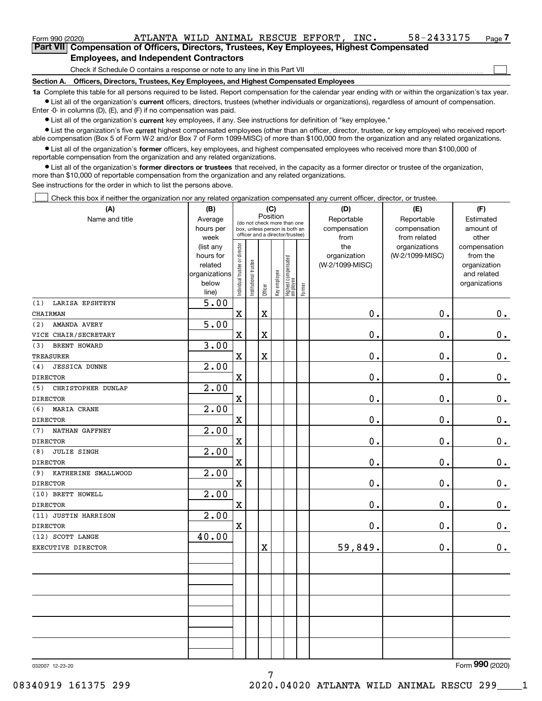| Form 990 (2020)                                                                            | ATLANTA WILD ANIMAL RESCUE EFFORT, |  |  |  |  | INC. | 58-2433175 | Page $7$ |
|--------------------------------------------------------------------------------------------|------------------------------------|--|--|--|--|------|------------|----------|
| Part VII Compensation of Officers, Directors, Trustees, Key Employees, Highest Compensated |                                    |  |  |  |  |      |            |          |
| <b>Employees, and Independent Contractors</b>                                              |                                    |  |  |  |  |      |            |          |
| Check if Schedule O contains a response or note to any line in this Part VII               |                                    |  |  |  |  |      |            |          |

Check if Schedule O contains a response or note to any line in this Part VII

**Section A. Officers, Directors, Trustees, Key Employees, and Highest Compensated Employees**

**1a**  Complete this table for all persons required to be listed. Report compensation for the calendar year ending with or within the organization's tax year.  $\bullet$  List all of the organization's current officers, directors, trustees (whether individuals or organizations), regardless of amount of compensation.

Enter -0- in columns (D), (E), and (F) if no compensation was paid.

**•** List all of the organization's current key employees, if any. See instructions for definition of "key employee."

**•** List the organization's five current highest compensated employees (other than an officer, director, trustee, or key employee) who received reportable compensation (Box 5 of Form W-2 and/or Box 7 of Form 1099-MISC) of more than \$100,000 from the organization and any related organizations.

 $\bullet$  List all of the organization's former officers, key employees, and highest compensated employees who received more than \$100,000 of reportable compensation from the organization and any related organizations.

**•** List all of the organization's former directors or trustees that received, in the capacity as a former director or trustee of the organization, more than \$10,000 of reportable compensation from the organization and any related organizations.

See instructions for the order in which to list the persons above.

Check this box if neither the organization nor any related organization compensated any current officer, director, or trustee.  $\Box$ 

| (A)                           | (B)                    |                                |                       | (C)      |              |                                                                  |        | (D)                 | (E)                              | (F)                      |
|-------------------------------|------------------------|--------------------------------|-----------------------|----------|--------------|------------------------------------------------------------------|--------|---------------------|----------------------------------|--------------------------|
| Name and title                | Average                |                                |                       | Position |              | (do not check more than one                                      |        | Reportable          | Reportable                       | Estimated                |
|                               | hours per              |                                |                       |          |              | box, unless person is both an<br>officer and a director/trustee) |        | compensation        | compensation                     | amount of                |
|                               | week                   |                                |                       |          |              |                                                                  |        | from                | from related                     | other                    |
|                               | (list any<br>hours for |                                |                       |          |              |                                                                  |        | the<br>organization | organizations<br>(W-2/1099-MISC) | compensation<br>from the |
|                               | related                |                                |                       |          |              |                                                                  |        | (W-2/1099-MISC)     |                                  | organization             |
|                               | organizations          |                                |                       |          |              |                                                                  |        |                     |                                  | and related              |
|                               | below                  |                                |                       |          |              |                                                                  |        |                     |                                  | organizations            |
|                               | line)                  | Individual trustee or director | Institutional trustee | Officer  | Key employee | Highest compensated<br> employee                                 | Former |                     |                                  |                          |
| <b>LARISA EPSHTEYN</b><br>(1) | 5.00                   |                                |                       |          |              |                                                                  |        |                     |                                  |                          |
| CHAIRMAN                      |                        | $\mathbf x$                    |                       | X        |              |                                                                  |        | 0.                  | 0.                               | $0_{.}$                  |
| AMANDA AVERY<br>(2)           | 5.00                   |                                |                       |          |              |                                                                  |        |                     |                                  |                          |
| VICE CHAIR/SECRETARY          |                        | $\mathbf x$                    |                       | X        |              |                                                                  |        | $0$ .               | 0.                               | $\mathbf 0$ .            |
| BRENT HOWARD<br>(3)           | 3.00                   |                                |                       |          |              |                                                                  |        |                     |                                  |                          |
| <b>TREASURER</b>              |                        | $\mathbf X$                    |                       | X        |              |                                                                  |        | 0.                  | 0.                               | $0 \cdot$                |
| <b>JESSICA DUNNE</b><br>(4)   | 2.00                   |                                |                       |          |              |                                                                  |        |                     |                                  |                          |
| <b>DIRECTOR</b>               |                        | $\mathbf X$                    |                       |          |              |                                                                  |        | 0.                  | 0.                               | $0_{.}$                  |
| CHRISTOPHER DUNLAP<br>(5)     | 2.00                   |                                |                       |          |              |                                                                  |        |                     |                                  |                          |
| <b>DIRECTOR</b>               |                        | $\mathbf X$                    |                       |          |              |                                                                  |        | 0.                  | 0.                               | $\mathbf 0$ .            |
| (6)<br>MARIA CRANE            | 2.00                   |                                |                       |          |              |                                                                  |        |                     |                                  |                          |
| <b>DIRECTOR</b>               |                        | $\mathbf X$                    |                       |          |              |                                                                  |        | 0.                  | 0.                               | $0_{.}$                  |
| NATHAN GAFFNEY<br>(7)         | 2.00                   |                                |                       |          |              |                                                                  |        |                     |                                  |                          |
| <b>DIRECTOR</b>               |                        | $\mathbf X$                    |                       |          |              |                                                                  |        | 0.                  | 0.                               | $0_{.}$                  |
| <b>JULIE SINGH</b><br>(8)     | 2.00                   |                                |                       |          |              |                                                                  |        |                     |                                  |                          |
| <b>DIRECTOR</b>               |                        | $\mathbf x$                    |                       |          |              |                                                                  |        | 0.                  | 0.                               | $\mathbf 0$ .            |
| (9)<br>KATHERINE SMALLWOOD    | 2.00                   |                                |                       |          |              |                                                                  |        |                     |                                  |                          |
| <b>DIRECTOR</b>               |                        | $\mathbf X$                    |                       |          |              |                                                                  |        | 0.                  | 0.                               | $\mathbf 0$ .            |
| (10) BRETT HOWELL             | 2.00                   |                                |                       |          |              |                                                                  |        |                     |                                  |                          |
| <b>DIRECTOR</b>               |                        | $\mathbf x$                    |                       |          |              |                                                                  |        | $\mathbf 0$ .       | 0.                               | $0_{.}$                  |
| (11) JUSTIN HARRISON          | 2.00                   |                                |                       |          |              |                                                                  |        |                     |                                  |                          |
| <b>DIRECTOR</b>               |                        | $\mathbf X$                    |                       |          |              |                                                                  |        | $\mathbf 0$ .       | 0.                               | $0$ .                    |
| (12) SCOTT LANGE              | 40.00                  |                                |                       |          |              |                                                                  |        |                     |                                  |                          |
| EXECUTIVE DIRECTOR            |                        |                                |                       | X        |              |                                                                  |        | 59,849.             | 0.                               | 0.                       |
|                               |                        |                                |                       |          |              |                                                                  |        |                     |                                  |                          |
|                               |                        |                                |                       |          |              |                                                                  |        |                     |                                  |                          |
|                               |                        |                                |                       |          |              |                                                                  |        |                     |                                  |                          |
|                               |                        |                                |                       |          |              |                                                                  |        |                     |                                  |                          |
|                               |                        |                                |                       |          |              |                                                                  |        |                     |                                  |                          |
|                               |                        |                                |                       |          |              |                                                                  |        |                     |                                  |                          |
|                               |                        |                                |                       |          |              |                                                                  |        |                     |                                  |                          |
|                               |                        |                                |                       |          |              |                                                                  |        |                     |                                  |                          |
|                               |                        |                                |                       |          |              |                                                                  |        |                     |                                  |                          |
|                               |                        |                                |                       |          |              |                                                                  |        |                     |                                  | $\overline{2}$           |

032007 12-23-20

Form (2020) **990**

08340919 161375 299 2020.04020 ATLANTA WILD ANIMAL RESCU 299\_\_\_\_1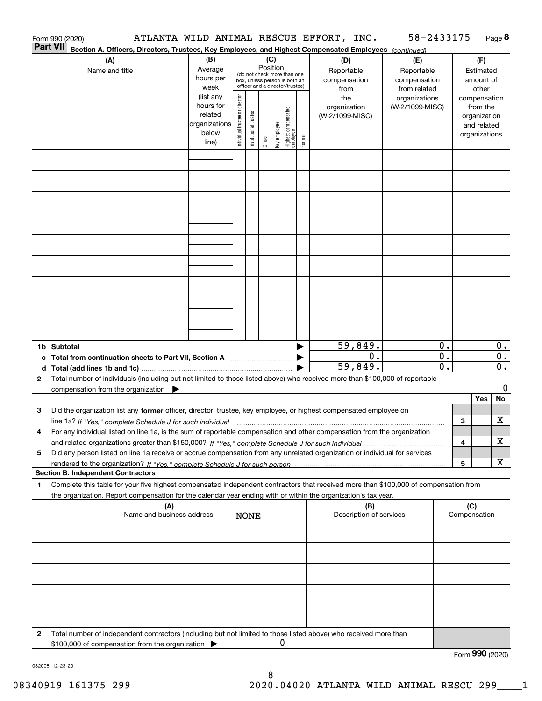|   | Form 990 (2020)                                                                                                                                                                                                                                                       |  |  |                                                                                                                                                                 |  |                                  |  |  | ATLANTA WILD ANIMAL RESCUE EFFORT, INC.                                  | 58-2433175                             |                                               |     |                 | Page 8                               |
|---|-----------------------------------------------------------------------------------------------------------------------------------------------------------------------------------------------------------------------------------------------------------------------|--|--|-----------------------------------------------------------------------------------------------------------------------------------------------------------------|--|----------------------------------|--|--|--------------------------------------------------------------------------|----------------------------------------|-----------------------------------------------|-----|-----------------|--------------------------------------|
|   | Part VII<br>Section A. Officers, Directors, Trustees, Key Employees, and Highest Compensated Employees (continued)                                                                                                                                                    |  |  |                                                                                                                                                                 |  |                                  |  |  |                                                                          |                                        |                                               |     |                 |                                      |
|   | (B)<br>(A)<br>Average<br>Name and title<br>hours per<br>week                                                                                                                                                                                                          |  |  | (C)<br>(D)<br>Position<br>Reportable<br>(do not check more than one<br>compensation<br>box, unless person is both an<br>officer and a director/trustee)<br>from |  |                                  |  |  | (E)<br>Reportable<br>compensation<br>from related                        | (F)<br>Estimated<br>amount of<br>other |                                               |     |                 |                                      |
|   | (list any<br>Individual trustee or director<br>the<br>hours for<br>organization<br>Highest compensated<br>employee<br>trustee<br>related<br>(W-2/1099-MISC)<br>organizations<br>Key employee<br>Institutional t<br>below<br>Former<br>Officer<br>line)                |  |  |                                                                                                                                                                 |  | organizations<br>(W-2/1099-MISC) |  |  | compensation<br>from the<br>organization<br>and related<br>organizations |                                        |                                               |     |                 |                                      |
|   |                                                                                                                                                                                                                                                                       |  |  |                                                                                                                                                                 |  |                                  |  |  |                                                                          |                                        |                                               |     |                 |                                      |
|   |                                                                                                                                                                                                                                                                       |  |  |                                                                                                                                                                 |  |                                  |  |  |                                                                          |                                        |                                               |     |                 |                                      |
|   |                                                                                                                                                                                                                                                                       |  |  |                                                                                                                                                                 |  |                                  |  |  |                                                                          |                                        |                                               |     |                 |                                      |
|   |                                                                                                                                                                                                                                                                       |  |  |                                                                                                                                                                 |  |                                  |  |  |                                                                          |                                        |                                               |     |                 |                                      |
|   |                                                                                                                                                                                                                                                                       |  |  |                                                                                                                                                                 |  |                                  |  |  |                                                                          |                                        |                                               |     |                 |                                      |
|   |                                                                                                                                                                                                                                                                       |  |  |                                                                                                                                                                 |  |                                  |  |  |                                                                          |                                        |                                               |     |                 |                                      |
|   |                                                                                                                                                                                                                                                                       |  |  |                                                                                                                                                                 |  |                                  |  |  |                                                                          |                                        |                                               |     |                 |                                      |
|   | 1b Subtotal                                                                                                                                                                                                                                                           |  |  |                                                                                                                                                                 |  |                                  |  |  | 59,849.                                                                  |                                        | 0.                                            |     |                 | $0$ .                                |
|   | c Total from continuation sheets to Part VII, Section A manufactor continuum                                                                                                                                                                                          |  |  |                                                                                                                                                                 |  |                                  |  |  | $0$ .<br>59,849.                                                         |                                        | $\overline{\mathbf{0}}$ .<br>$\overline{0}$ . |     |                 | $\overline{0}$ .<br>$\overline{0}$ . |
| 2 | Total number of individuals (including but not limited to those listed above) who received more than \$100,000 of reportable<br>compensation from the organization $\blacktriangleright$                                                                              |  |  |                                                                                                                                                                 |  |                                  |  |  |                                                                          |                                        |                                               |     | Yes             | 0<br>No                              |
| з | Did the organization list any former officer, director, trustee, key employee, or highest compensated employee on<br>line 1a? If "Yes," complete Schedule J for such individual material content content to the 1a? If "Yes," complete Schedule J for such individual |  |  |                                                                                                                                                                 |  |                                  |  |  |                                                                          |                                        |                                               | З   |                 | x                                    |
| 4 | For any individual listed on line 1a, is the sum of reportable compensation and other compensation from the organization                                                                                                                                              |  |  |                                                                                                                                                                 |  |                                  |  |  |                                                                          |                                        |                                               | 4   |                 | x                                    |
| 5 | Did any person listed on line 1a receive or accrue compensation from any unrelated organization or individual for services<br><b>Section B. Independent Contractors</b>                                                                                               |  |  |                                                                                                                                                                 |  |                                  |  |  |                                                                          |                                        |                                               | 5   |                 | x                                    |
| 1 | Complete this table for your five highest compensated independent contractors that received more than \$100,000 of compensation from<br>the organization. Report compensation for the calendar year ending with or within the organization's tax year.                |  |  |                                                                                                                                                                 |  |                                  |  |  |                                                                          |                                        |                                               |     |                 |                                      |
|   | (A)<br>Name and business address                                                                                                                                                                                                                                      |  |  | <b>NONE</b>                                                                                                                                                     |  |                                  |  |  | (B)<br>Description of services                                           |                                        |                                               | (C) | Compensation    |                                      |
|   |                                                                                                                                                                                                                                                                       |  |  |                                                                                                                                                                 |  |                                  |  |  |                                                                          |                                        |                                               |     |                 |                                      |
|   |                                                                                                                                                                                                                                                                       |  |  |                                                                                                                                                                 |  |                                  |  |  |                                                                          |                                        |                                               |     |                 |                                      |
|   |                                                                                                                                                                                                                                                                       |  |  |                                                                                                                                                                 |  |                                  |  |  |                                                                          |                                        |                                               |     |                 |                                      |
|   |                                                                                                                                                                                                                                                                       |  |  |                                                                                                                                                                 |  |                                  |  |  |                                                                          |                                        |                                               |     |                 |                                      |
| 2 | Total number of independent contractors (including but not limited to those listed above) who received more than<br>\$100,000 of compensation from the organization                                                                                                   |  |  |                                                                                                                                                                 |  | 0                                |  |  |                                                                          |                                        |                                               |     |                 |                                      |
|   |                                                                                                                                                                                                                                                                       |  |  |                                                                                                                                                                 |  |                                  |  |  |                                                                          |                                        |                                               |     | Form 990 (2020) |                                      |

032008 12-23-20

8 08340919 161375 299 2020.04020 ATLANTA WILD ANIMAL RESCU 299\_\_\_\_1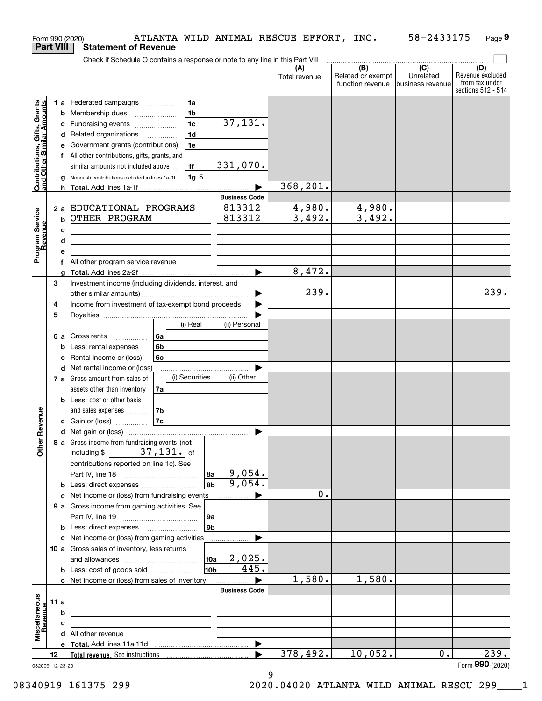|                                                           |                  | ATLANTA WILD ANIMAL RESCUE EFFORT, INC.<br>Form 990 (2020)                    |                      |               |                   | 58-2433175       | Page 9                               |
|-----------------------------------------------------------|------------------|-------------------------------------------------------------------------------|----------------------|---------------|-------------------|------------------|--------------------------------------|
|                                                           | <b>Part VIII</b> | <b>Statement of Revenue</b>                                                   |                      |               |                   |                  |                                      |
|                                                           |                  | Check if Schedule O contains a response or note to any line in this Part VIII |                      | (A)           | $\overline{(B)}$  | $\overline{C}$   | (D)                                  |
|                                                           |                  |                                                                               |                      | Total revenue | Related or exempt | Unrelated        | Revenue excluded                     |
|                                                           |                  |                                                                               |                      |               | function revenue  | business revenue | from tax under<br>sections 512 - 514 |
|                                                           |                  | 1a<br>1 a Federated campaigns                                                 |                      |               |                   |                  |                                      |
| Contributions, Gifts, Grants<br>and Other Similar Amounts |                  | 1 <sub>b</sub><br><b>b</b> Membership dues                                    |                      |               |                   |                  |                                      |
|                                                           |                  | 1 <sub>c</sub><br>c Fundraising events                                        | 37,131.              |               |                   |                  |                                      |
|                                                           |                  | 1 <sub>d</sub><br>d Related organizations                                     |                      |               |                   |                  |                                      |
|                                                           |                  | 1e<br>e Government grants (contributions)                                     |                      |               |                   |                  |                                      |
|                                                           |                  | f All other contributions, gifts, grants, and                                 |                      |               |                   |                  |                                      |
|                                                           |                  | similar amounts not included above<br>1f                                      | 331,070.             |               |                   |                  |                                      |
|                                                           |                  | $1g$ \$<br>g Noncash contributions included in lines 1a-1f                    |                      |               |                   |                  |                                      |
|                                                           |                  |                                                                               |                      | 368, 201.     |                   |                  |                                      |
|                                                           |                  |                                                                               | <b>Business Code</b> |               |                   |                  |                                      |
|                                                           |                  | 2 a EDUCATIONAL PROGRAMS                                                      | 813312               | 4,980.        | 4,980.            |                  |                                      |
|                                                           |                  | <b>b OTHER PROGRAM</b>                                                        | 813312               | 3,492.        | 3,492.            |                  |                                      |
|                                                           |                  | c                                                                             |                      |               |                   |                  |                                      |
|                                                           |                  | d                                                                             |                      |               |                   |                  |                                      |
| Program Service<br>Revenue                                |                  | е                                                                             |                      |               |                   |                  |                                      |
|                                                           |                  |                                                                               |                      |               |                   |                  |                                      |
|                                                           |                  |                                                                               |                      | 8,472.        |                   |                  |                                      |
|                                                           | З                | Investment income (including dividends, interest, and                         |                      | 239.          |                   |                  | 239.                                 |
|                                                           |                  | Income from investment of tax-exempt bond proceeds                            | ▶                    |               |                   |                  |                                      |
|                                                           | 4<br>5           |                                                                               |                      |               |                   |                  |                                      |
|                                                           |                  | (i) Real                                                                      | (ii) Personal        |               |                   |                  |                                      |
|                                                           |                  | 6 a Gross rents<br>l 6a                                                       |                      |               |                   |                  |                                      |
|                                                           |                  | 6b<br><b>b</b> Less: rental expenses                                          |                      |               |                   |                  |                                      |
|                                                           |                  | 6c<br>c Rental income or (loss)                                               |                      |               |                   |                  |                                      |
|                                                           |                  | d Net rental income or (loss)                                                 |                      |               |                   |                  |                                      |
|                                                           |                  | (i) Securities<br>7 a Gross amount from sales of                              | (ii) Other           |               |                   |                  |                                      |
|                                                           |                  | assets other than inventory<br>7a                                             |                      |               |                   |                  |                                      |
|                                                           |                  | <b>b</b> Less: cost or other basis                                            |                      |               |                   |                  |                                      |
|                                                           |                  | and sales expenses <i>manufacturers</i><br>7b                                 |                      |               |                   |                  |                                      |
| wenue                                                     |                  | 7c<br><b>c</b> Gain or (loss) $\ldots$                                        |                      |               |                   |                  |                                      |
|                                                           |                  |                                                                               |                      |               |                   |                  |                                      |
| Other Re                                                  |                  | 8 a Gross income from fundraising events (not                                 |                      |               |                   |                  |                                      |
|                                                           |                  | including \$ $37,131$ of                                                      |                      |               |                   |                  |                                      |
|                                                           |                  | contributions reported on line 1c). See                                       |                      |               |                   |                  |                                      |
|                                                           |                  | 8a                                                                            | 9,054.<br>9,054.     |               |                   |                  |                                      |
|                                                           |                  | 8b<br><b>b</b> Less: direct expenses <i></i>                                  |                      | 0.            |                   |                  |                                      |
|                                                           |                  | c Net income or (loss) from fundraising events                                |                      |               |                   |                  |                                      |
|                                                           |                  | 9 a Gross income from gaming activities. See<br>9a                            |                      |               |                   |                  |                                      |
|                                                           |                  | 9 <sub>b</sub>                                                                |                      |               |                   |                  |                                      |
|                                                           |                  | c Net income or (loss) from gaming activities                                 |                      |               |                   |                  |                                      |
|                                                           |                  | 10 a Gross sales of inventory, less returns                                   |                      |               |                   |                  |                                      |
|                                                           |                  | 10a                                                                           | 2,025.               |               |                   |                  |                                      |
|                                                           |                  | 10b                                                                           | 445.                 |               |                   |                  |                                      |
|                                                           |                  | c Net income or (loss) from sales of inventory                                |                      | 1,580.        | 1,580.            |                  |                                      |
|                                                           |                  |                                                                               | <b>Business Code</b> |               |                   |                  |                                      |
| Miscellaneous<br>Revenue                                  | 11a              |                                                                               |                      |               |                   |                  |                                      |
|                                                           |                  | b                                                                             |                      |               |                   |                  |                                      |
|                                                           |                  | c                                                                             |                      |               |                   |                  |                                      |
|                                                           |                  |                                                                               |                      |               |                   |                  |                                      |
|                                                           |                  |                                                                               | ▶                    |               |                   |                  |                                      |
|                                                           | 12               |                                                                               |                      | 378,492.      | 10,052.           | 0.               | 239.<br>Form 990 (2020)              |
|                                                           |                  | 032009 12-23-20                                                               |                      |               |                   |                  |                                      |

032009 12-23-20

9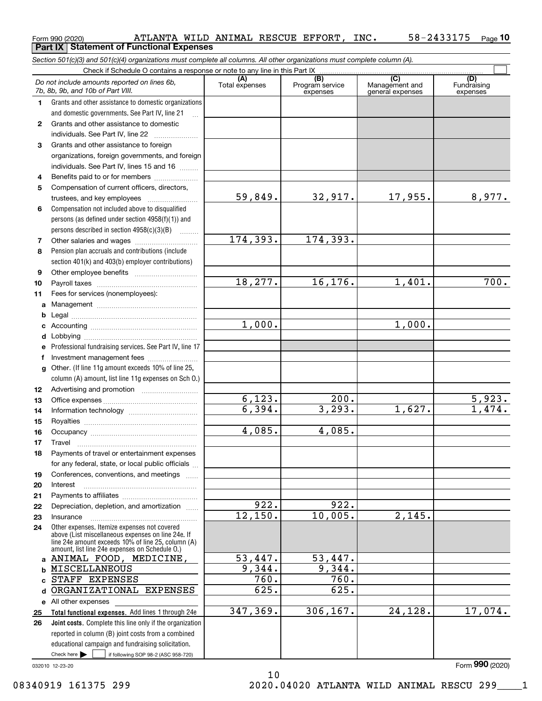|              | Section 501(c)(3) and 501(c)(4) organizations must complete all columns. All other organizations must complete column (A).                                                                                                      |          |          |         |         |  |  |  |  |  |  |
|--------------|---------------------------------------------------------------------------------------------------------------------------------------------------------------------------------------------------------------------------------|----------|----------|---------|---------|--|--|--|--|--|--|
|              | Check if Schedule O contains a response or note to any line in this Part IX                                                                                                                                                     |          |          |         |         |  |  |  |  |  |  |
|              | (B)<br>(C)<br>(D)<br>(A)<br>Do not include amounts reported on lines 6b,<br>Total expenses<br>Program service<br>Management and<br>Fundraising<br>7b, 8b, 9b, and 10b of Part VIII.<br>expenses<br>general expenses<br>expenses |          |          |         |         |  |  |  |  |  |  |
| 1            | Grants and other assistance to domestic organizations                                                                                                                                                                           |          |          |         |         |  |  |  |  |  |  |
|              | and domestic governments. See Part IV, line 21                                                                                                                                                                                  |          |          |         |         |  |  |  |  |  |  |
| $\mathbf{2}$ | Grants and other assistance to domestic                                                                                                                                                                                         |          |          |         |         |  |  |  |  |  |  |
|              | individuals. See Part IV, line 22                                                                                                                                                                                               |          |          |         |         |  |  |  |  |  |  |
| 3            | Grants and other assistance to foreign                                                                                                                                                                                          |          |          |         |         |  |  |  |  |  |  |
|              | organizations, foreign governments, and foreign                                                                                                                                                                                 |          |          |         |         |  |  |  |  |  |  |
|              | individuals. See Part IV, lines 15 and 16                                                                                                                                                                                       |          |          |         |         |  |  |  |  |  |  |
| 4            | Benefits paid to or for members                                                                                                                                                                                                 |          |          |         |         |  |  |  |  |  |  |
| 5            | Compensation of current officers, directors,                                                                                                                                                                                    |          |          |         |         |  |  |  |  |  |  |
|              | trustees, and key employees                                                                                                                                                                                                     | 59,849.  | 32,917.  | 17,955. | 8,977.  |  |  |  |  |  |  |
| 6            | Compensation not included above to disqualified                                                                                                                                                                                 |          |          |         |         |  |  |  |  |  |  |
|              | persons (as defined under section 4958(f)(1)) and                                                                                                                                                                               |          |          |         |         |  |  |  |  |  |  |
|              | persons described in section 4958(c)(3)(B)                                                                                                                                                                                      |          |          |         |         |  |  |  |  |  |  |
| 7            |                                                                                                                                                                                                                                 | 174,393. | 174,393. |         |         |  |  |  |  |  |  |
| 8            | Pension plan accruals and contributions (include                                                                                                                                                                                |          |          |         |         |  |  |  |  |  |  |
|              | section 401(k) and 403(b) employer contributions)                                                                                                                                                                               |          |          |         |         |  |  |  |  |  |  |
| 9            |                                                                                                                                                                                                                                 |          |          |         |         |  |  |  |  |  |  |
| 10           |                                                                                                                                                                                                                                 | 18,277.  | 16, 176. | 1,401.  | 700.    |  |  |  |  |  |  |
| 11           | Fees for services (nonemployees):                                                                                                                                                                                               |          |          |         |         |  |  |  |  |  |  |
| a            |                                                                                                                                                                                                                                 |          |          |         |         |  |  |  |  |  |  |
|              |                                                                                                                                                                                                                                 |          |          |         |         |  |  |  |  |  |  |
|              |                                                                                                                                                                                                                                 | 1,000.   |          | 1,000.  |         |  |  |  |  |  |  |
|              |                                                                                                                                                                                                                                 |          |          |         |         |  |  |  |  |  |  |
|              | Professional fundraising services. See Part IV, line 17                                                                                                                                                                         |          |          |         |         |  |  |  |  |  |  |
| f            | Investment management fees                                                                                                                                                                                                      |          |          |         |         |  |  |  |  |  |  |
| g            | Other. (If line 11g amount exceeds 10% of line 25,                                                                                                                                                                              |          |          |         |         |  |  |  |  |  |  |
|              | column (A) amount, list line 11g expenses on Sch O.)                                                                                                                                                                            |          |          |         |         |  |  |  |  |  |  |
| 12           |                                                                                                                                                                                                                                 |          |          |         |         |  |  |  |  |  |  |
| 13           |                                                                                                                                                                                                                                 | 6,123.   | 200.     |         | 5,923.  |  |  |  |  |  |  |
| 14           |                                                                                                                                                                                                                                 | 6,394.   | 3,293.   | 1,627.  | 1,474.  |  |  |  |  |  |  |
| 15           |                                                                                                                                                                                                                                 |          |          |         |         |  |  |  |  |  |  |
| 16           |                                                                                                                                                                                                                                 | 4,085.   | 4,085.   |         |         |  |  |  |  |  |  |
| 17           |                                                                                                                                                                                                                                 |          |          |         |         |  |  |  |  |  |  |
| 18           | Payments of travel or entertainment expenses                                                                                                                                                                                    |          |          |         |         |  |  |  |  |  |  |
|              | for any federal, state, or local public officials                                                                                                                                                                               |          |          |         |         |  |  |  |  |  |  |
| 19           | Conferences, conventions, and meetings                                                                                                                                                                                          |          |          |         |         |  |  |  |  |  |  |
| 20           | Interest                                                                                                                                                                                                                        |          |          |         |         |  |  |  |  |  |  |
| 21           |                                                                                                                                                                                                                                 | 922.     | 922.     |         |         |  |  |  |  |  |  |
| 22           | Depreciation, depletion, and amortization                                                                                                                                                                                       | 12, 150. | 10,005.  | 2,145.  |         |  |  |  |  |  |  |
| 23           | Insurance                                                                                                                                                                                                                       |          |          |         |         |  |  |  |  |  |  |
| 24           | Other expenses. Itemize expenses not covered<br>above (List miscellaneous expenses on line 24e. If<br>line 24e amount exceeds 10% of line 25, column (A)<br>amount, list line 24e expenses on Schedule O.)                      |          |          |         |         |  |  |  |  |  |  |
| a            | ANIMAL FOOD, MEDICINE,                                                                                                                                                                                                          | 53,447.  | 53,447.  |         |         |  |  |  |  |  |  |
|              | MISCELLANEOUS                                                                                                                                                                                                                   | 9,344.   | 9,344.   |         |         |  |  |  |  |  |  |
|              | STAFF EXPENSES                                                                                                                                                                                                                  | 760.     | 760.     |         |         |  |  |  |  |  |  |
| d            | ORGANIZATIONAL EXPENSES                                                                                                                                                                                                         | 625.     | 625.     |         |         |  |  |  |  |  |  |
|              | e All other expenses                                                                                                                                                                                                            |          |          |         |         |  |  |  |  |  |  |
| 25           | Total functional expenses. Add lines 1 through 24e                                                                                                                                                                              | 347,369. | 306,167. | 24,128. | 17,074. |  |  |  |  |  |  |
| 26           | <b>Joint costs.</b> Complete this line only if the organization                                                                                                                                                                 |          |          |         |         |  |  |  |  |  |  |
|              | reported in column (B) joint costs from a combined                                                                                                                                                                              |          |          |         |         |  |  |  |  |  |  |
|              | educational campaign and fundraising solicitation.                                                                                                                                                                              |          |          |         |         |  |  |  |  |  |  |
|              | Check here $\blacktriangleright$<br>if following SOP 98-2 (ASC 958-720)                                                                                                                                                         |          |          |         |         |  |  |  |  |  |  |

10

 $_{\rm Form}$   $_{990}$   $_{(2020)}$   $_{\rm ATLANTA}$  wild  $_{\rm ANIMAL}$  RESCUE EFFORT, INC.  $_{\rm 58-2433175}$   $_{\rm Page}$   $_{\rm 10}$ 

ATLANTA WILD ANIMAL RESCUE EFFORT, INC. 58-2433175

**Part IX Statement of Functional Expenses**

032010 12-23-20

Form (2020) **990**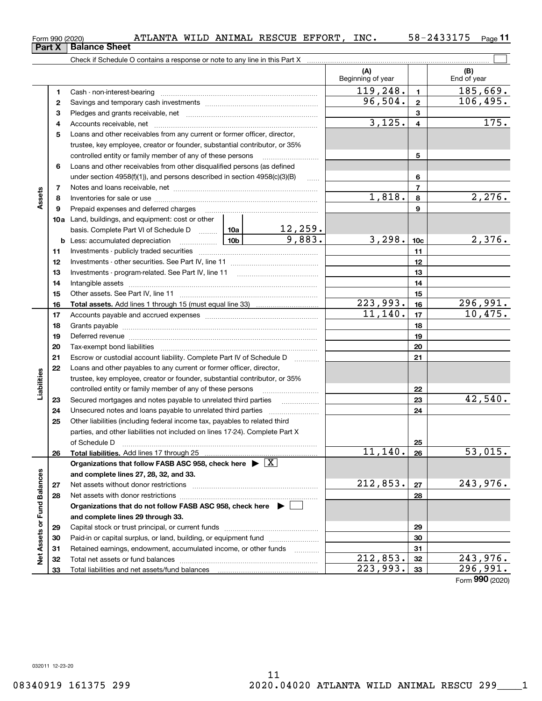|                         | 1  |                                                                                                                 |                          | 119,248. | $\mathbf{1}$    | 185,669.        |
|-------------------------|----|-----------------------------------------------------------------------------------------------------------------|--------------------------|----------|-----------------|-----------------|
|                         | 2  |                                                                                                                 |                          | 96,504.  | $\overline{2}$  | 106,495.        |
|                         | з  |                                                                                                                 |                          |          | 3               |                 |
|                         | 4  |                                                                                                                 |                          | 3,125.   | $\overline{4}$  | 175.            |
|                         | 5  | Loans and other receivables from any current or former officer, director,                                       |                          |          |                 |                 |
|                         |    | trustee, key employee, creator or founder, substantial contributor, or 35%                                      |                          |          |                 |                 |
|                         |    | controlled entity or family member of any of these persons                                                      |                          |          | 5               |                 |
|                         | 6  | Loans and other receivables from other disqualified persons (as defined                                         |                          |          |                 |                 |
|                         |    | under section 4958(f)(1)), and persons described in section 4958(c)(3)(B)                                       | $\ldots$                 |          | 6               |                 |
|                         | 7  |                                                                                                                 |                          |          | 7               |                 |
| Assets                  | 8  |                                                                                                                 |                          | 1,818.   | 8               | 2,276.          |
|                         | 9  | Prepaid expenses and deferred charges                                                                           |                          |          | 9               |                 |
|                         |    | <b>10a</b> Land, buildings, and equipment: cost or other                                                        |                          |          |                 |                 |
|                         |    | basis. Complete Part VI of Schedule D  [10a ]                                                                   |                          |          |                 |                 |
|                         |    | <u>  10b</u><br><b>b</b> Less: accumulated depreciation                                                         | $\frac{12,259.}{9,883.}$ | 3,298.   | 10 <sub>c</sub> | 2,376.          |
|                         | 11 |                                                                                                                 |                          |          | 11              |                 |
|                         | 12 |                                                                                                                 |                          |          | 12              |                 |
|                         | 13 |                                                                                                                 |                          | 13       |                 |                 |
|                         | 14 |                                                                                                                 |                          | 14       |                 |                 |
|                         | 15 |                                                                                                                 |                          | 15       |                 |                 |
|                         | 16 |                                                                                                                 | 223,993.                 | 16       | 296,991.        |                 |
|                         | 17 |                                                                                                                 |                          | 11,140.  | 17              | 10,475.         |
|                         | 18 |                                                                                                                 |                          | 18       |                 |                 |
|                         | 19 | Deferred revenue manual contracts and contracts are all the manual contracts and contracts are contracted and c |                          | 19       |                 |                 |
|                         | 20 |                                                                                                                 |                          | 20       |                 |                 |
|                         | 21 | Escrow or custodial account liability. Complete Part IV of Schedule D                                           |                          | 21       |                 |                 |
|                         | 22 | Loans and other payables to any current or former officer, director,                                            |                          |          |                 |                 |
|                         |    | trustee, key employee, creator or founder, substantial contributor, or 35%                                      |                          |          |                 |                 |
| Liabilities             |    | controlled entity or family member of any of these persons                                                      |                          | 22       |                 |                 |
|                         | 23 | Secured mortgages and notes payable to unrelated third parties                                                  |                          |          | 23              | 42,540.         |
|                         | 24 | Unsecured notes and loans payable to unrelated third parties                                                    |                          |          | 24              |                 |
|                         | 25 | Other liabilities (including federal income tax, payables to related third                                      |                          |          |                 |                 |
|                         |    | parties, and other liabilities not included on lines 17-24). Complete Part X                                    |                          |          |                 |                 |
|                         |    | of Schedule D                                                                                                   |                          |          | 25              |                 |
|                         | 26 | Total liabilities. Add lines 17 through 25                                                                      |                          | 11, 140. | 26              | 53,015.         |
|                         |    | Organizations that follow FASB ASC 958, check here $\blacktriangleright \lfloor X \rfloor$                      |                          |          |                 |                 |
| nces                    |    | and complete lines 27, 28, 32, and 33.                                                                          |                          |          |                 |                 |
|                         | 27 |                                                                                                                 |                          | 212,853. | 27              | 243,976.        |
|                         | 28 | Net assets with donor restrictions                                                                              |                          |          | 28              |                 |
|                         |    | Organizations that do not follow FASB ASC 958, check here ▶ □                                                   |                          |          |                 |                 |
|                         |    | and complete lines 29 through 33.                                                                               |                          |          |                 |                 |
| Net Assets or Fund Bala | 29 |                                                                                                                 |                          |          | 29              |                 |
|                         | 30 | Paid-in or capital surplus, or land, building, or equipment fund                                                |                          |          | 30              |                 |
|                         | 31 | Retained earnings, endowment, accumulated income, or other funds                                                |                          |          | 31              |                 |
|                         | 32 |                                                                                                                 |                          | 212,853. | 32              | 243,976.        |
|                         | 33 | Total liabilities and net assets/fund balances                                                                  |                          | 223,993. | 33              | 296,991.        |
|                         |    |                                                                                                                 |                          |          |                 | Form 990 (2020) |

Check if Schedule O contains a response or note to any line in this Part X

58-2433175 Page 11

 $\boxed{\phantom{1}}$ 

**(A) (B)**

Beginning of year  $\vert$  | End of year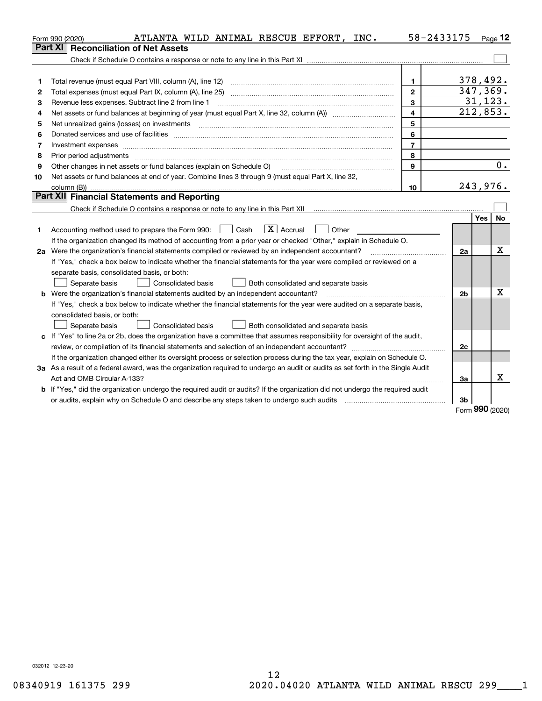|    | ATLANTA WILD ANIMAL RESCUE EFFORT, INC.<br>Form 990 (2020)                                                                      | 58-2433175              |                | $Page$ 12        |
|----|---------------------------------------------------------------------------------------------------------------------------------|-------------------------|----------------|------------------|
|    | <b>Reconciliation of Net Assets</b><br>Part XI                                                                                  |                         |                |                  |
|    |                                                                                                                                 |                         |                |                  |
|    |                                                                                                                                 |                         |                |                  |
| 1  | Total revenue (must equal Part VIII, column (A), line 12)                                                                       | 1.                      |                | 378,492.         |
| 2  |                                                                                                                                 | $\overline{2}$          |                | 347,369.         |
| 3  | Revenue less expenses. Subtract line 2 from line 1                                                                              | 3                       |                | 31, 123.         |
| 4  |                                                                                                                                 | $\overline{\mathbf{4}}$ |                | 212,853.         |
| 5  | Net unrealized gains (losses) on investments                                                                                    | 5                       |                |                  |
| 6  |                                                                                                                                 | 6                       |                |                  |
| 7  |                                                                                                                                 | $\overline{7}$          |                |                  |
| 8  | Prior period adjustments                                                                                                        | 8                       |                |                  |
| 9  | Other changes in net assets or fund balances (explain on Schedule O)                                                            | 9                       |                | 0.               |
| 10 | Net assets or fund balances at end of year. Combine lines 3 through 9 (must equal Part X, line 32,                              |                         |                |                  |
|    | column (B))                                                                                                                     | 10                      |                | 243,976.         |
|    | Part XII Financial Statements and Reporting                                                                                     |                         |                |                  |
|    |                                                                                                                                 |                         |                |                  |
|    |                                                                                                                                 |                         |                | Yes<br><b>No</b> |
| 1  | $\boxed{\text{X}}$ Accrual<br>Accounting method used to prepare the Form 990: <u>June</u> Cash<br>Other                         |                         |                |                  |
|    | If the organization changed its method of accounting from a prior year or checked "Other," explain in Schedule O.               |                         |                |                  |
|    | 2a Were the organization's financial statements compiled or reviewed by an independent accountant?                              |                         | 2a             | x                |
|    | If "Yes," check a box below to indicate whether the financial statements for the year were compiled or reviewed on a            |                         |                |                  |
|    | separate basis, consolidated basis, or both:                                                                                    |                         |                |                  |
|    | Separate basis<br>Consolidated basis<br>Both consolidated and separate basis                                                    |                         |                |                  |
|    | <b>b</b> Were the organization's financial statements audited by an independent accountant?                                     |                         | 2 <sub>b</sub> | X                |
|    | If "Yes," check a box below to indicate whether the financial statements for the year were audited on a separate basis,         |                         |                |                  |
|    | consolidated basis, or both:                                                                                                    |                         |                |                  |
|    | Separate basis<br>Consolidated basis<br>Both consolidated and separate basis                                                    |                         |                |                  |
|    | c If "Yes" to line 2a or 2b, does the organization have a committee that assumes responsibility for oversight of the audit,     |                         |                |                  |
|    | review, or compilation of its financial statements and selection of an independent accountant?                                  |                         | 2c             |                  |
|    | If the organization changed either its oversight process or selection process during the tax year, explain on Schedule O.       |                         |                |                  |
|    | 3a As a result of a federal award, was the organization required to undergo an audit or audits as set forth in the Single Audit |                         |                | х                |
|    |                                                                                                                                 |                         | За             |                  |
|    | b If "Yes," did the organization undergo the required audit or audits? If the organization did not undergo the required audit   |                         |                |                  |
|    |                                                                                                                                 |                         | 3b             | <u>nnn</u>       |

Form (2020) **990**

032012 12-23-20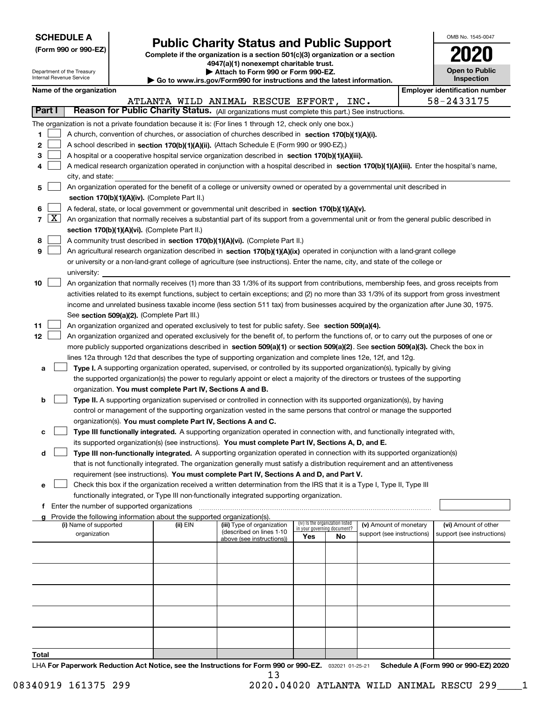| <b>SCHEDULE A</b> |
|-------------------|
|-------------------|

**(Form 990 or 990-EZ)** 

## **Public Charity Status and Public Support**

OMB No. 1545-0047

|                            | (LOLIII aan of aan-ET)                      |  |                                                                        | Complete if the organization is a section 501(c)(3) organization or a section<br>4947(a)(1) nonexempt charitable trust.                      |     |                                                                |                            |  |                                       |
|----------------------------|---------------------------------------------|--|------------------------------------------------------------------------|----------------------------------------------------------------------------------------------------------------------------------------------|-----|----------------------------------------------------------------|----------------------------|--|---------------------------------------|
| Department of the Treasury |                                             |  |                                                                        | <b>Open to Public</b>                                                                                                                        |     |                                                                |                            |  |                                       |
|                            | Internal Revenue Service                    |  |                                                                        | Attach to Form 990 or Form 990-EZ.<br>Go to www.irs.gov/Form990 for instructions and the latest information.                                 |     |                                                                |                            |  | Inspection                            |
|                            | Name of the organization                    |  |                                                                        |                                                                                                                                              |     |                                                                |                            |  | <b>Employer identification number</b> |
|                            |                                             |  |                                                                        | ATLANTA WILD ANIMAL RESCUE EFFORT, INC.                                                                                                      |     |                                                                |                            |  | 58-2433175                            |
| Part I                     |                                             |  |                                                                        | Reason for Public Charity Status. (All organizations must complete this part.) See instructions.                                             |     |                                                                |                            |  |                                       |
|                            |                                             |  |                                                                        | The organization is not a private foundation because it is: (For lines 1 through 12, check only one box.)                                    |     |                                                                |                            |  |                                       |
| 1                          |                                             |  |                                                                        | A church, convention of churches, or association of churches described in section 170(b)(1)(A)(i).                                           |     |                                                                |                            |  |                                       |
| 2                          |                                             |  |                                                                        | A school described in section 170(b)(1)(A)(ii). (Attach Schedule E (Form 990 or 990-EZ).)                                                    |     |                                                                |                            |  |                                       |
| 3                          |                                             |  |                                                                        | A hospital or a cooperative hospital service organization described in section 170(b)(1)(A)(iii).                                            |     |                                                                |                            |  |                                       |
| 4                          |                                             |  |                                                                        | A medical research organization operated in conjunction with a hospital described in section 170(b)(1)(A)(iii). Enter the hospital's name,   |     |                                                                |                            |  |                                       |
|                            | city, and state:                            |  |                                                                        |                                                                                                                                              |     |                                                                |                            |  |                                       |
| 5                          |                                             |  |                                                                        | An organization operated for the benefit of a college or university owned or operated by a governmental unit described in                    |     |                                                                |                            |  |                                       |
|                            |                                             |  | section 170(b)(1)(A)(iv). (Complete Part II.)                          |                                                                                                                                              |     |                                                                |                            |  |                                       |
| 6                          |                                             |  |                                                                        | A federal, state, or local government or governmental unit described in section 170(b)(1)(A)(v).                                             |     |                                                                |                            |  |                                       |
| 7   X                      |                                             |  |                                                                        | An organization that normally receives a substantial part of its support from a governmental unit or from the general public described in    |     |                                                                |                            |  |                                       |
|                            |                                             |  | section 170(b)(1)(A)(vi). (Complete Part II.)                          |                                                                                                                                              |     |                                                                |                            |  |                                       |
| 8                          |                                             |  |                                                                        | A community trust described in section 170(b)(1)(A)(vi). (Complete Part II.)                                                                 |     |                                                                |                            |  |                                       |
| 9                          |                                             |  |                                                                        | An agricultural research organization described in section 170(b)(1)(A)(ix) operated in conjunction with a land-grant college                |     |                                                                |                            |  |                                       |
|                            |                                             |  |                                                                        | or university or a non-land-grant college of agriculture (see instructions). Enter the name, city, and state of the college or               |     |                                                                |                            |  |                                       |
|                            | university:                                 |  |                                                                        |                                                                                                                                              |     |                                                                |                            |  |                                       |
| 10                         |                                             |  |                                                                        | An organization that normally receives (1) more than 33 1/3% of its support from contributions, membership fees, and gross receipts from     |     |                                                                |                            |  |                                       |
|                            |                                             |  |                                                                        | activities related to its exempt functions, subject to certain exceptions; and (2) no more than 33 1/3% of its support from gross investment |     |                                                                |                            |  |                                       |
|                            |                                             |  |                                                                        | income and unrelated business taxable income (less section 511 tax) from businesses acquired by the organization after June 30, 1975.        |     |                                                                |                            |  |                                       |
|                            |                                             |  | See section 509(a)(2). (Complete Part III.)                            |                                                                                                                                              |     |                                                                |                            |  |                                       |
| 11                         |                                             |  |                                                                        | An organization organized and operated exclusively to test for public safety. See section 509(a)(4).                                         |     |                                                                |                            |  |                                       |
| 12                         |                                             |  |                                                                        | An organization organized and operated exclusively for the benefit of, to perform the functions of, or to carry out the purposes of one or   |     |                                                                |                            |  |                                       |
|                            |                                             |  |                                                                        | more publicly supported organizations described in section 509(a)(1) or section 509(a)(2). See section 509(a)(3). Check the box in           |     |                                                                |                            |  |                                       |
|                            |                                             |  |                                                                        | lines 12a through 12d that describes the type of supporting organization and complete lines 12e, 12f, and 12g.                               |     |                                                                |                            |  |                                       |
| a                          |                                             |  |                                                                        | Type I. A supporting organization operated, supervised, or controlled by its supported organization(s), typically by giving                  |     |                                                                |                            |  |                                       |
|                            |                                             |  |                                                                        | the supported organization(s) the power to regularly appoint or elect a majority of the directors or trustees of the supporting              |     |                                                                |                            |  |                                       |
| b                          |                                             |  | organization. You must complete Part IV, Sections A and B.             | Type II. A supporting organization supervised or controlled in connection with its supported organization(s), by having                      |     |                                                                |                            |  |                                       |
|                            |                                             |  |                                                                        | control or management of the supporting organization vested in the same persons that control or manage the supported                         |     |                                                                |                            |  |                                       |
|                            |                                             |  | organization(s). You must complete Part IV, Sections A and C.          |                                                                                                                                              |     |                                                                |                            |  |                                       |
| с                          |                                             |  |                                                                        | Type III functionally integrated. A supporting organization operated in connection with, and functionally integrated with,                   |     |                                                                |                            |  |                                       |
|                            |                                             |  |                                                                        | its supported organization(s) (see instructions). You must complete Part IV, Sections A, D, and E.                                           |     |                                                                |                            |  |                                       |
| d                          |                                             |  |                                                                        | Type III non-functionally integrated. A supporting organization operated in connection with its supported organization(s)                    |     |                                                                |                            |  |                                       |
|                            |                                             |  |                                                                        | that is not functionally integrated. The organization generally must satisfy a distribution requirement and an attentiveness                 |     |                                                                |                            |  |                                       |
|                            |                                             |  |                                                                        | requirement (see instructions). You must complete Part IV, Sections A and D, and Part V.                                                     |     |                                                                |                            |  |                                       |
| е                          |                                             |  |                                                                        | Check this box if the organization received a written determination from the IRS that it is a Type I, Type II, Type III                      |     |                                                                |                            |  |                                       |
|                            |                                             |  |                                                                        | functionally integrated, or Type III non-functionally integrated supporting organization.                                                    |     |                                                                |                            |  |                                       |
| f                          | Enter the number of supported organizations |  |                                                                        |                                                                                                                                              |     |                                                                |                            |  |                                       |
|                            |                                             |  | Provide the following information about the supported organization(s). |                                                                                                                                              |     |                                                                |                            |  |                                       |
|                            | (i) Name of supported                       |  | (ii) EIN                                                               | (iii) Type of organization<br>(described on lines 1-10                                                                                       |     | (iv) Is the organization listed<br>in your governing document? | (v) Amount of monetary     |  | (vi) Amount of other                  |
|                            | organization                                |  |                                                                        | above (see instructions))                                                                                                                    | Yes | No                                                             | support (see instructions) |  | support (see instructions)            |
|                            |                                             |  |                                                                        |                                                                                                                                              |     |                                                                |                            |  |                                       |
|                            |                                             |  |                                                                        |                                                                                                                                              |     |                                                                |                            |  |                                       |
|                            |                                             |  |                                                                        |                                                                                                                                              |     |                                                                |                            |  |                                       |
|                            |                                             |  |                                                                        |                                                                                                                                              |     |                                                                |                            |  |                                       |
|                            |                                             |  |                                                                        |                                                                                                                                              |     |                                                                |                            |  |                                       |
|                            |                                             |  |                                                                        |                                                                                                                                              |     |                                                                |                            |  |                                       |

032021 01-25-21 **Total** LHA For Paperwork Reduction Act Notice, see the Instructions for Form 990 or 990-EZ. 032021 01-25-21 Schedule A (Form 990 or 990-EZ) 2020 13

08340919 161375 299 2020.04020 ATLANTA WILD ANIMAL RESCU 299\_\_\_\_1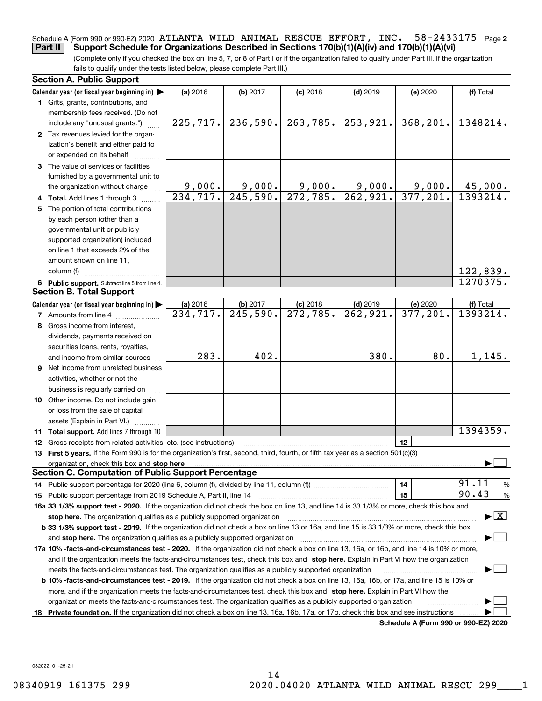## Schedule A (Form 990 or 990-EZ) 2020 ATLANTA WILD ANIMAL RESCUE EFFORT, INC. 58-2433175 Page 2 **Part II** Support Schedule for Organizations Described in Sections 170(b)(1)(A)(iv) and 170(b)(1)(A)(vi)

(Complete only if you checked the box on line 5, 7, or 8 of Part I or if the organization failed to qualify under Part III. If the organization fails to qualify under the tests listed below, please complete Part III.)

|    | <b>Section A. Public Support</b>                                                                                                                                                                                               |           |          |                         |                        |                                      |                                          |
|----|--------------------------------------------------------------------------------------------------------------------------------------------------------------------------------------------------------------------------------|-----------|----------|-------------------------|------------------------|--------------------------------------|------------------------------------------|
|    | Calendar year (or fiscal year beginning in) $\blacktriangleright$                                                                                                                                                              | (a) 2016  | (b) 2017 | $(c)$ 2018              | $(d)$ 2019             | (e) 2020                             | (f) Total                                |
|    | 1 Gifts, grants, contributions, and                                                                                                                                                                                            |           |          |                         |                        |                                      |                                          |
|    | membership fees received. (Do not                                                                                                                                                                                              |           |          |                         |                        |                                      |                                          |
|    | include any "unusual grants.")                                                                                                                                                                                                 | 225, 717. | 236,590. | 263,785.                | 253,921.               | 368, 201.                            | 1348214.                                 |
|    | 2 Tax revenues levied for the organ-                                                                                                                                                                                           |           |          |                         |                        |                                      |                                          |
|    | ization's benefit and either paid to                                                                                                                                                                                           |           |          |                         |                        |                                      |                                          |
|    | or expended on its behalf                                                                                                                                                                                                      |           |          |                         |                        |                                      |                                          |
|    | 3 The value of services or facilities                                                                                                                                                                                          |           |          |                         |                        |                                      |                                          |
|    | furnished by a governmental unit to                                                                                                                                                                                            |           |          |                         |                        |                                      |                                          |
|    | the organization without charge                                                                                                                                                                                                | 9,000.    | 9,000.   | 9,000.                  | 9,000.                 | 9,000.                               | 45,000.                                  |
|    | 4 Total. Add lines 1 through 3                                                                                                                                                                                                 | 234,717.  | 245,590. | 272,785.                | 262,921.               | 377,201.                             | 1393214.                                 |
| 5. | The portion of total contributions                                                                                                                                                                                             |           |          |                         |                        |                                      |                                          |
|    | by each person (other than a                                                                                                                                                                                                   |           |          |                         |                        |                                      |                                          |
|    | governmental unit or publicly                                                                                                                                                                                                  |           |          |                         |                        |                                      |                                          |
|    | supported organization) included                                                                                                                                                                                               |           |          |                         |                        |                                      |                                          |
|    | on line 1 that exceeds 2% of the                                                                                                                                                                                               |           |          |                         |                        |                                      |                                          |
|    | amount shown on line 11,                                                                                                                                                                                                       |           |          |                         |                        |                                      |                                          |
|    | column (f)                                                                                                                                                                                                                     |           |          |                         |                        |                                      | <u>122,839.</u>                          |
|    | 6 Public support. Subtract line 5 from line 4.                                                                                                                                                                                 |           |          |                         |                        |                                      | 1270375.                                 |
|    | <b>Section B. Total Support</b>                                                                                                                                                                                                |           |          |                         |                        |                                      |                                          |
|    | Calendar year (or fiscal year beginning in)                                                                                                                                                                                    | (a) 2016  | (b) 2017 | $(c)$ 2018              | $(d)$ 2019             | (e) 2020                             | (f) Total                                |
|    | <b>7</b> Amounts from line 4                                                                                                                                                                                                   | 234,717.  | 245,590. | $\overline{272}$ , 785. | $\overline{262,921}$ . | 377,201.                             | 1393214.                                 |
| 8  | Gross income from interest,                                                                                                                                                                                                    |           |          |                         |                        |                                      |                                          |
|    | dividends, payments received on                                                                                                                                                                                                |           |          |                         |                        |                                      |                                          |
|    | securities loans, rents, royalties,                                                                                                                                                                                            |           |          |                         |                        |                                      |                                          |
|    | and income from similar sources                                                                                                                                                                                                | 283.      | 402.     |                         | 380.                   | 80.                                  | 1,145.                                   |
| 9  | Net income from unrelated business                                                                                                                                                                                             |           |          |                         |                        |                                      |                                          |
|    | activities, whether or not the                                                                                                                                                                                                 |           |          |                         |                        |                                      |                                          |
|    | business is regularly carried on                                                                                                                                                                                               |           |          |                         |                        |                                      |                                          |
|    | 10 Other income. Do not include gain                                                                                                                                                                                           |           |          |                         |                        |                                      |                                          |
|    | or loss from the sale of capital                                                                                                                                                                                               |           |          |                         |                        |                                      |                                          |
|    | assets (Explain in Part VI.)                                                                                                                                                                                                   |           |          |                         |                        |                                      |                                          |
|    | 11 Total support. Add lines 7 through 10                                                                                                                                                                                       |           |          |                         |                        |                                      | 1394359.                                 |
|    | <b>12</b> Gross receipts from related activities, etc. (see instructions)                                                                                                                                                      |           |          |                         |                        | 12                                   |                                          |
|    | 13 First 5 years. If the Form 990 is for the organization's first, second, third, fourth, or fifth tax year as a section 501(c)(3)                                                                                             |           |          |                         |                        |                                      |                                          |
|    | organization, check this box and stop here manufactured and according to the state of the state of the state of the state of the state of the state of the state of the state of the state of the state of the state of the st |           |          |                         |                        |                                      |                                          |
|    | <b>Section C. Computation of Public Support Percentage</b>                                                                                                                                                                     |           |          |                         |                        |                                      |                                          |
|    |                                                                                                                                                                                                                                |           |          |                         |                        | 14                                   | 91.11<br>$\frac{9}{6}$                   |
|    | <b>15</b> Public support percentage from 2019 Schedule A, Part II, line 14                                                                                                                                                     |           |          |                         |                        | 15                                   | 90.43<br>$\%$                            |
|    | 16a 33 1/3% support test - 2020. If the organization did not check the box on line 13, and line 14 is 33 1/3% or more, check this box and                                                                                      |           |          |                         |                        |                                      |                                          |
|    | stop here. The organization qualifies as a publicly supported organization                                                                                                                                                     |           |          |                         |                        |                                      | $\blacktriangleright$ $\boxed{\text{X}}$ |
|    | b 33 1/3% support test - 2019. If the organization did not check a box on line 13 or 16a, and line 15 is 33 1/3% or more, check this box                                                                                       |           |          |                         |                        |                                      |                                          |
|    | and stop here. The organization qualifies as a publicly supported organization                                                                                                                                                 |           |          |                         |                        |                                      |                                          |
|    | 17a 10% -facts-and-circumstances test - 2020. If the organization did not check a box on line 13, 16a, or 16b, and line 14 is 10% or more,                                                                                     |           |          |                         |                        |                                      |                                          |
|    | and if the organization meets the facts-and-circumstances test, check this box and stop here. Explain in Part VI how the organization                                                                                          |           |          |                         |                        |                                      |                                          |
|    | meets the facts-and-circumstances test. The organization qualifies as a publicly supported organization                                                                                                                        |           |          |                         |                        |                                      |                                          |
|    | <b>b 10% -facts-and-circumstances test - 2019.</b> If the organization did not check a box on line 13, 16a, 16b, or 17a, and line 15 is 10% or                                                                                 |           |          |                         |                        |                                      |                                          |
|    | more, and if the organization meets the facts-and-circumstances test, check this box and stop here. Explain in Part VI how the                                                                                                 |           |          |                         |                        |                                      |                                          |
|    | organization meets the facts-and-circumstances test. The organization qualifies as a publicly supported organization                                                                                                           |           |          |                         |                        |                                      |                                          |
| 18 | Private foundation. If the organization did not check a box on line 13, 16a, 16b, 17a, or 17b, check this box and see instructions                                                                                             |           |          |                         |                        |                                      |                                          |
|    |                                                                                                                                                                                                                                |           |          |                         |                        | Schedule A (Form 990 or 990-F7) 2020 |                                          |

**Schedule A (Form 990 or 990-EZ) 2020**

032022 01-25-21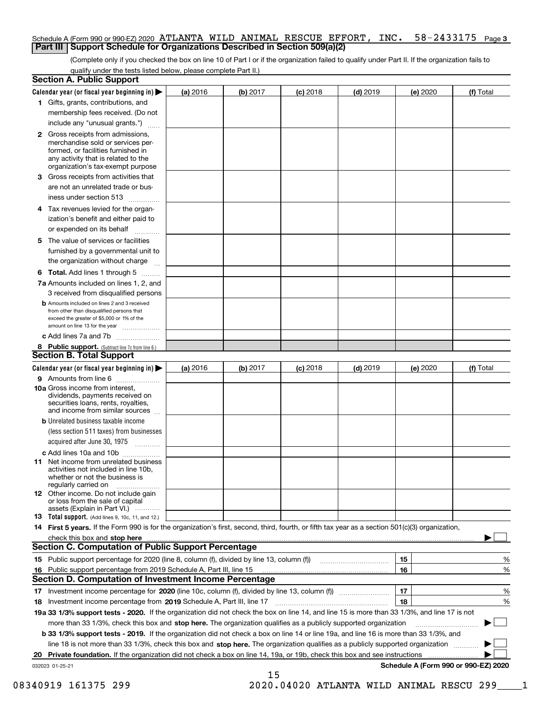## Schedule A (Form 990 or 990-EZ) 2020 ATLANTA WILD ANIMAL RESCUE EFFORT, INC. 58-2433175 Page 3 **Part III | Support Schedule for Organizations Described in Section 509(a)(2)**

(Complete only if you checked the box on line 10 of Part I or if the organization failed to qualify under Part II. If the organization fails to qualify under the tests listed below, please complete Part II.)

| <b>Section A. Public Support</b>                                                                                                                                                                                              |          |          |            |            |          |                                      |
|-------------------------------------------------------------------------------------------------------------------------------------------------------------------------------------------------------------------------------|----------|----------|------------|------------|----------|--------------------------------------|
| Calendar year (or fiscal year beginning in) $\blacktriangleright$                                                                                                                                                             | (a) 2016 | (b) 2017 | $(c)$ 2018 | $(d)$ 2019 | (e) 2020 | (f) Total                            |
| 1 Gifts, grants, contributions, and                                                                                                                                                                                           |          |          |            |            |          |                                      |
| membership fees received. (Do not                                                                                                                                                                                             |          |          |            |            |          |                                      |
| include any "unusual grants.")                                                                                                                                                                                                |          |          |            |            |          |                                      |
| <b>2</b> Gross receipts from admissions,<br>merchandise sold or services per-<br>formed, or facilities furnished in<br>any activity that is related to the<br>organization's tax-exempt purpose                               |          |          |            |            |          |                                      |
| Gross receipts from activities that<br>З                                                                                                                                                                                      |          |          |            |            |          |                                      |
| are not an unrelated trade or bus-                                                                                                                                                                                            |          |          |            |            |          |                                      |
| iness under section 513                                                                                                                                                                                                       |          |          |            |            |          |                                      |
| 4 Tax revenues levied for the organ-<br>ization's benefit and either paid to                                                                                                                                                  |          |          |            |            |          |                                      |
| or expended on its behalf                                                                                                                                                                                                     |          |          |            |            |          |                                      |
| 5 The value of services or facilities                                                                                                                                                                                         |          |          |            |            |          |                                      |
| furnished by a governmental unit to                                                                                                                                                                                           |          |          |            |            |          |                                      |
| the organization without charge                                                                                                                                                                                               |          |          |            |            |          |                                      |
| <b>6 Total.</b> Add lines 1 through 5                                                                                                                                                                                         |          |          |            |            |          |                                      |
| 7a Amounts included on lines 1, 2, and                                                                                                                                                                                        |          |          |            |            |          |                                      |
| 3 received from disqualified persons                                                                                                                                                                                          |          |          |            |            |          |                                      |
| <b>b</b> Amounts included on lines 2 and 3 received<br>from other than disqualified persons that<br>exceed the greater of \$5,000 or 1% of the<br>amount on line 13 for the year                                              |          |          |            |            |          |                                      |
| c Add lines 7a and 7b                                                                                                                                                                                                         |          |          |            |            |          |                                      |
| 8 Public support. (Subtract line 7c from line 6.)                                                                                                                                                                             |          |          |            |            |          |                                      |
| <b>Section B. Total Support</b>                                                                                                                                                                                               |          |          |            |            |          |                                      |
| Calendar year (or fiscal year beginning in) $\blacktriangleright$                                                                                                                                                             | (a) 2016 | (b) 2017 | $(c)$ 2018 | $(d)$ 2019 | (e) 2020 | (f) Total                            |
| 9 Amounts from line 6                                                                                                                                                                                                         |          |          |            |            |          |                                      |
| 10a Gross income from interest,<br>dividends, payments received on<br>securities loans, rents, royalties,<br>and income from similar sources                                                                                  |          |          |            |            |          |                                      |
| <b>b</b> Unrelated business taxable income<br>(less section 511 taxes) from businesses<br>acquired after June 30, 1975                                                                                                        |          |          |            |            |          |                                      |
|                                                                                                                                                                                                                               |          |          |            |            |          |                                      |
| c Add lines 10a and 10b<br><b>11</b> Net income from unrelated business<br>activities not included in line 10b,<br>whether or not the business is<br>regularly carried on                                                     |          |          |            |            |          |                                      |
| <b>12</b> Other income. Do not include gain<br>or loss from the sale of capital<br>assets (Explain in Part VI.)                                                                                                               |          |          |            |            |          |                                      |
| <b>13</b> Total support. (Add lines 9, 10c, 11, and 12.)                                                                                                                                                                      |          |          |            |            |          |                                      |
| 14 First 5 years. If the Form 990 is for the organization's first, second, third, fourth, or fifth tax year as a section 501(c)(3) organization,                                                                              |          |          |            |            |          |                                      |
| check this box and stop here with the continuum control to the control of the state of the state of the control of the state of the control of the control of the control of the control of the control of the control of the |          |          |            |            |          |                                      |
| <b>Section C. Computation of Public Support Percentage</b>                                                                                                                                                                    |          |          |            |            |          |                                      |
|                                                                                                                                                                                                                               |          |          |            |            | 15       | %                                    |
| 16 Public support percentage from 2019 Schedule A, Part III, line 15                                                                                                                                                          |          |          |            |            | 16       | %                                    |
| <b>Section D. Computation of Investment Income Percentage</b>                                                                                                                                                                 |          |          |            |            |          |                                      |
|                                                                                                                                                                                                                               |          |          |            |            | 17       | %                                    |
| 18 Investment income percentage from 2019 Schedule A, Part III, line 17                                                                                                                                                       |          |          |            |            | 18       | %                                    |
| 19a 33 1/3% support tests - 2020. If the organization did not check the box on line 14, and line 15 is more than 33 1/3%, and line 17 is not                                                                                  |          |          |            |            |          |                                      |
| more than 33 1/3%, check this box and stop here. The organization qualifies as a publicly supported organization                                                                                                              |          |          |            |            |          |                                      |
| b 33 1/3% support tests - 2019. If the organization did not check a box on line 14 or line 19a, and line 16 is more than 33 1/3%, and                                                                                         |          |          |            |            |          |                                      |
| line 18 is not more than 33 1/3%, check this box and stop here. The organization qualifies as a publicly supported organization                                                                                               |          |          |            |            |          |                                      |
| Private foundation. If the organization did not check a box on line 14, 19a, or 19b, check this box and see instructions<br>20                                                                                                |          |          |            |            |          |                                      |
| 032023 01-25-21                                                                                                                                                                                                               |          | 15       |            |            |          | Schedule A (Form 990 or 990-EZ) 2020 |
|                                                                                                                                                                                                                               |          |          |            |            |          |                                      |

 <sup>08340919 161375 299 2020.04020</sup> ATLANTA WILD ANIMAL RESCU 299\_\_\_\_1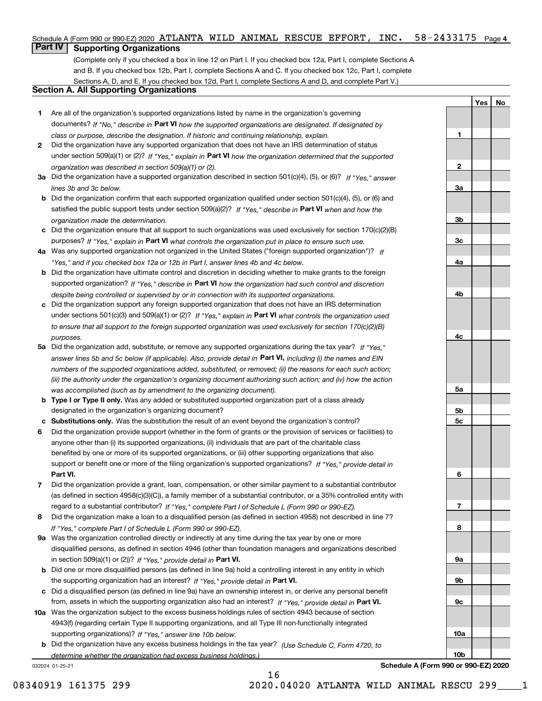### INC.  $58-2433175$  Page 4 Schedule A (Form 990 or 990-EZ) 2020 ATLANTA WILD ANIMAL RESCUE EFFORT, INC.  $58-2433175$  Page

## **Part IV Supporting Organizations**

(Complete only if you checked a box in line 12 on Part I. If you checked box 12a, Part I, complete Sections A and B. If you checked box 12b, Part I, complete Sections A and C. If you checked box 12c, Part I, complete Sections A, D, and E. If you checked box 12d, Part I, complete Sections A and D, and complete Part V.)

## **Section A. All Supporting Organizations**

- **1** Are all of the organization's supported organizations listed by name in the organization's governing documents? If "No," describe in Part VI how the supported organizations are designated. If designated by *class or purpose, describe the designation. If historic and continuing relationship, explain.*
- **2** Did the organization have any supported organization that does not have an IRS determination of status under section 509(a)(1) or (2)? If "Yes," explain in Part VI how the organization determined that the supported *organization was described in section 509(a)(1) or (2).*
- **3a** Did the organization have a supported organization described in section 501(c)(4), (5), or (6)? If "Yes," answer *lines 3b and 3c below.*
- **b** Did the organization confirm that each supported organization qualified under section 501(c)(4), (5), or (6) and satisfied the public support tests under section 509(a)(2)? If "Yes," describe in **Part VI** when and how the *organization made the determination.*
- **c** Did the organization ensure that all support to such organizations was used exclusively for section 170(c)(2)(B) purposes? If "Yes," explain in Part VI what controls the organization put in place to ensure such use.
- **4 a** *If* Was any supported organization not organized in the United States ("foreign supported organization")? *"Yes," and if you checked box 12a or 12b in Part I, answer lines 4b and 4c below.*
- **b** Did the organization have ultimate control and discretion in deciding whether to make grants to the foreign supported organization? If "Yes," describe in Part VI how the organization had such control and discretion *despite being controlled or supervised by or in connection with its supported organizations.*
- **c** Did the organization support any foreign supported organization that does not have an IRS determination under sections 501(c)(3) and 509(a)(1) or (2)? If "Yes," explain in Part VI what controls the organization used *to ensure that all support to the foreign supported organization was used exclusively for section 170(c)(2)(B) purposes.*
- **5a** Did the organization add, substitute, or remove any supported organizations during the tax year? If "Yes," answer lines 5b and 5c below (if applicable). Also, provide detail in **Part VI,** including (i) the names and EIN *numbers of the supported organizations added, substituted, or removed; (ii) the reasons for each such action; (iii) the authority under the organization's organizing document authorizing such action; and (iv) how the action was accomplished (such as by amendment to the organizing document).*
- **b Type I or Type II only.** Was any added or substituted supported organization part of a class already designated in the organization's organizing document?
- **c Substitutions only.**  Was the substitution the result of an event beyond the organization's control?
- **6** Did the organization provide support (whether in the form of grants or the provision of services or facilities) to **Part VI.** *If "Yes," provide detail in* support or benefit one or more of the filing organization's supported organizations? anyone other than (i) its supported organizations, (ii) individuals that are part of the charitable class benefited by one or more of its supported organizations, or (iii) other supporting organizations that also
- **7** Did the organization provide a grant, loan, compensation, or other similar payment to a substantial contributor regard to a substantial contributor? If "Yes," complete Part I of Schedule L (Form 990 or 990-EZ). (as defined in section 4958(c)(3)(C)), a family member of a substantial contributor, or a 35% controlled entity with
- **8** Did the organization make a loan to a disqualified person (as defined in section 4958) not described in line 7? *If "Yes," complete Part I of Schedule L (Form 990 or 990-EZ).*
- **9 a** Was the organization controlled directly or indirectly at any time during the tax year by one or more in section 509(a)(1) or (2))? If "Yes," provide detail in Part VI. disqualified persons, as defined in section 4946 (other than foundation managers and organizations described
- **b** Did one or more disqualified persons (as defined in line 9a) hold a controlling interest in any entity in which the supporting organization had an interest? If "Yes," provide detail in Part VI.
- **c** Did a disqualified person (as defined in line 9a) have an ownership interest in, or derive any personal benefit from, assets in which the supporting organization also had an interest? If "Yes," provide detail in Part VI.
- **10 a** Was the organization subject to the excess business holdings rules of section 4943 because of section supporting organizations)? If "Yes," answer line 10b below. 4943(f) (regarding certain Type II supporting organizations, and all Type III non-functionally integrated
	- **b** Did the organization have any excess business holdings in the tax year? (Use Schedule C, Form 4720, to *determine whether the organization had excess business holdings.)*

16

032024 01-25-21

Yes | No

**1**

**2**

**3a**

**3b**

**10b**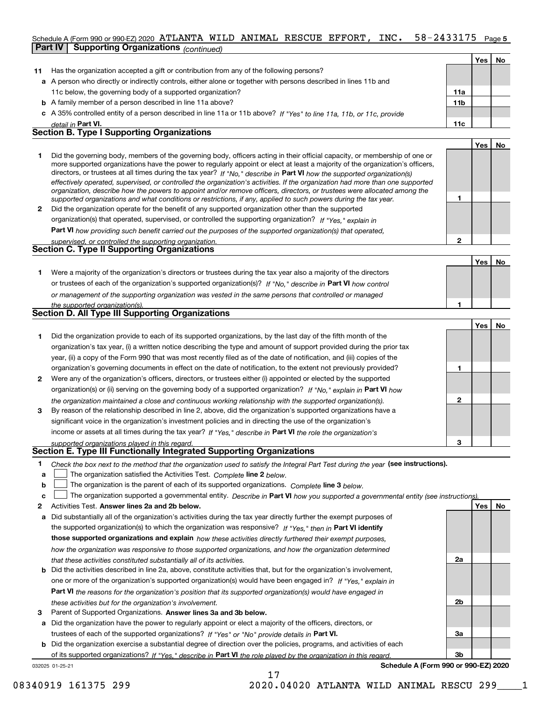### 58-2433175 Page 5 Schedule A (Form 990 or 990-EZ) 2020 ATLANTA WILD ANIMAL RESCUE EFFORT, INC.  $58-2433175$  Page **Part IV | Supporting Organizations** (continued)

|    |                                                                                                                                                                                                                                                             |     | Yes l | No |
|----|-------------------------------------------------------------------------------------------------------------------------------------------------------------------------------------------------------------------------------------------------------------|-----|-------|----|
| 11 | Has the organization accepted a gift or contribution from any of the following persons?                                                                                                                                                                     |     |       |    |
|    | a A person who directly or indirectly controls, either alone or together with persons described in lines 11b and                                                                                                                                            |     |       |    |
|    | 11c below, the governing body of a supported organization?                                                                                                                                                                                                  | 11a |       |    |
|    | <b>b</b> A family member of a person described in line 11a above?                                                                                                                                                                                           | 11b |       |    |
|    | c A 35% controlled entity of a person described in line 11a or 11b above? If "Yes" to line 11a, 11b, or 11c, provide                                                                                                                                        |     |       |    |
|    | detail in Part VI.                                                                                                                                                                                                                                          | 11c |       |    |
|    | <b>Section B. Type I Supporting Organizations</b>                                                                                                                                                                                                           |     |       |    |
|    |                                                                                                                                                                                                                                                             |     | Yes   | No |
|    | Did the governing body, members of the governing body, officers acting in their official capacity, or membership of one or<br>more supported organizations have the power to regularly appoint or elect at least a majority of the organization's officers, |     |       |    |

|              | directors, or trustees at all times during the tax year? If "No," describe in Part VI how the supported organization(s)        |
|--------------|--------------------------------------------------------------------------------------------------------------------------------|
|              | effectively operated, supervised, or controlled the organization's activities. If the organization had more than one supported |
|              | organization, describe how the powers to appoint and/or remove officers, directors, or trustees were allocated among the       |
|              | supported organizations and what conditions or restrictions, if any, applied to such powers during the tax year.               |
| $\mathbf{2}$ | Did the organization operate for the benefit of any supported organization other than the supported                            |
|              | organization(s) that operated, supervised, or controlled the supporting organization? If "Yes," explain in                     |

**Part VI**  *how providing such benefit carried out the purposes of the supported organization(s) that operated,*

| supervised, or controlled the supporting organization. |  |
|--------------------------------------------------------|--|
| <b>Section C. Type II Supporting Organizations</b>     |  |
|                                                        |  |

|                                                                                                                  | Yes | No |
|------------------------------------------------------------------------------------------------------------------|-----|----|
| Were a majority of the organization's directors or trustees during the tax year also a majority of the directors |     |    |
| or trustees of each of the organization's supported organization(s)? If "No," describe in Part VI how control    |     |    |
| or management of the supporting organization was vested in the same persons that controlled or managed           |     |    |
| the supported organization(s).                                                                                   |     |    |

| Section D. All Type III Supporting Organizations |  |
|--------------------------------------------------|--|
|                                                  |  |

|              |                                                                                                                        |   | Yes | No |
|--------------|------------------------------------------------------------------------------------------------------------------------|---|-----|----|
|              | Did the organization provide to each of its supported organizations, by the last day of the fifth month of the         |   |     |    |
|              | organization's tax year, (i) a written notice describing the type and amount of support provided during the prior tax  |   |     |    |
|              | year, (ii) a copy of the Form 990 that was most recently filed as of the date of notification, and (iii) copies of the |   |     |    |
|              | organization's governing documents in effect on the date of notification, to the extent not previously provided?       |   |     |    |
| $\mathbf{2}$ | Were any of the organization's officers, directors, or trustees either (i) appointed or elected by the supported       |   |     |    |
|              | organization(s) or (ii) serving on the governing body of a supported organization? If "No," explain in Part VI how     |   |     |    |
|              | the organization maintained a close and continuous working relationship with the supported organization(s).            | 2 |     |    |
| 3            | By reason of the relationship described in line 2, above, did the organization's supported organizations have a        |   |     |    |
|              | significant voice in the organization's investment policies and in directing the use of the organization's             |   |     |    |
|              | income or assets at all times during the tax year? If "Yes," describe in Part VI the role the organization's           |   |     |    |
|              | supported organizations played in this regard.                                                                         | з |     |    |

# *supported organizations played in this regard.* **Section E. Type III Functionally Integrated Supporting Organizations**

| Check the box next to the method that the organization used to satisfy the Integral Part Test during the year (see instructions). |  |
|-----------------------------------------------------------------------------------------------------------------------------------|--|
|                                                                                                                                   |  |

- **a** The organization satisfied the Activities Test. Complete line 2 below.  $\begin{array}{c} \hline \end{array}$
- **b** The organization is the parent of each of its supported organizations. Complete line 3 below.

|  |  |  | c <u>L</u> The organization supported a governmental entity. Describe in Part VI how you supported a governmental entity (see instructions). |  |
|--|--|--|----------------------------------------------------------------------------------------------------------------------------------------------|--|
|--|--|--|----------------------------------------------------------------------------------------------------------------------------------------------|--|

17

- **2 Answer lines 2a and 2b below. Yes No** Activities Test.
- **a** Did substantially all of the organization's activities during the tax year directly further the exempt purposes of the supported organization(s) to which the organization was responsive? If "Yes," then in **Part VI identify those supported organizations and explain**  *how these activities directly furthered their exempt purposes, how the organization was responsive to those supported organizations, and how the organization determined that these activities constituted substantially all of its activities.*
- **b** Did the activities described in line 2a, above, constitute activities that, but for the organization's involvement, **Part VI**  *the reasons for the organization's position that its supported organization(s) would have engaged in* one or more of the organization's supported organization(s) would have been engaged in? If "Yes," explain in *these activities but for the organization's involvement.*
- 3 Parent of Supported Organizations. Answer lines 3a and 3b below.

**a** Did the organization have the power to regularly appoint or elect a majority of the officers, directors, or trustees of each of the supported organizations? If "Yes" or "No" provide details in Part VI.

**b** Did the organization exercise a substantial degree of direction over the policies, programs, and activities of each of its supported organizations? If "Yes," describe in Part VI the role played by the organization in this regard.

032025 01-25-21

**Schedule A (Form 990 or 990-EZ) 2020**

**2a**

**2b**

**3a**

**3b**

**1**

**2**

08340919 161375 299 2020.04020 ATLANTA WILD ANIMAL RESCU 299\_\_\_\_1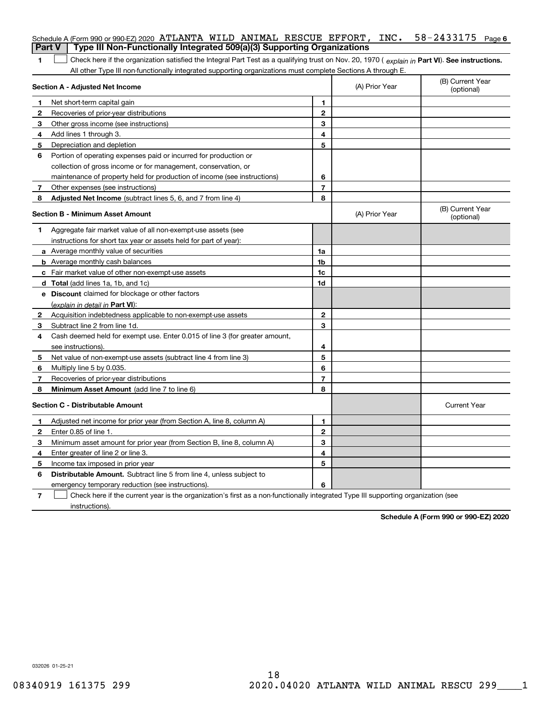| <b>Part V</b>  | Schedule A (Form 990 or 990-EZ) 2020 ATLANTA WILD ANIMAL RESCUE EFFORT, INC. $58-2433175$ Page 6<br>Type III Non-Functionally Integrated 509(a)(3) Supporting Organizations |                         |                |                                |
|----------------|-----------------------------------------------------------------------------------------------------------------------------------------------------------------------------|-------------------------|----------------|--------------------------------|
|                |                                                                                                                                                                             |                         |                |                                |
| 1              | Check here if the organization satisfied the Integral Part Test as a qualifying trust on Nov. 20, 1970 (explain in Part VI). See instructions.                              |                         |                |                                |
|                | All other Type III non-functionally integrated supporting organizations must complete Sections A through E.<br><b>Section A - Adjusted Net Income</b>                       |                         | (A) Prior Year | (B) Current Year<br>(optional) |
| 1              | Net short-term capital gain                                                                                                                                                 | 1                       |                |                                |
| 2              | Recoveries of prior-year distributions                                                                                                                                      | $\mathbf{2}$            |                |                                |
| 3              | Other gross income (see instructions)                                                                                                                                       | 3                       |                |                                |
| 4              | Add lines 1 through 3.                                                                                                                                                      | 4                       |                |                                |
| 5              | Depreciation and depletion                                                                                                                                                  | 5                       |                |                                |
| 6              | Portion of operating expenses paid or incurred for production or                                                                                                            |                         |                |                                |
|                | collection of gross income or for management, conservation, or                                                                                                              |                         |                |                                |
|                | maintenance of property held for production of income (see instructions)                                                                                                    | 6                       |                |                                |
| 7              | Other expenses (see instructions)                                                                                                                                           | $\overline{7}$          |                |                                |
| 8              | <b>Adjusted Net Income</b> (subtract lines 5, 6, and 7 from line 4)                                                                                                         | 8                       |                |                                |
|                | <b>Section B - Minimum Asset Amount</b>                                                                                                                                     |                         | (A) Prior Year | (B) Current Year<br>(optional) |
| 1              | Aggregate fair market value of all non-exempt-use assets (see                                                                                                               |                         |                |                                |
|                | instructions for short tax year or assets held for part of year):                                                                                                           |                         |                |                                |
|                | <b>a</b> Average monthly value of securities                                                                                                                                | 1a                      |                |                                |
|                | <b>b</b> Average monthly cash balances                                                                                                                                      | 1b                      |                |                                |
|                | c Fair market value of other non-exempt-use assets                                                                                                                          | 1c                      |                |                                |
|                | <b>d</b> Total (add lines 1a, 1b, and 1c)                                                                                                                                   | 1d                      |                |                                |
|                | e Discount claimed for blockage or other factors                                                                                                                            |                         |                |                                |
|                | (explain in detail in Part VI):                                                                                                                                             |                         |                |                                |
| $\mathbf{2}$   | Acquisition indebtedness applicable to non-exempt-use assets                                                                                                                | $\mathbf{2}$            |                |                                |
| 3              | Subtract line 2 from line 1d.                                                                                                                                               | 3                       |                |                                |
| 4              | Cash deemed held for exempt use. Enter 0.015 of line 3 (for greater amount,                                                                                                 |                         |                |                                |
|                | see instructions).                                                                                                                                                          | 4                       |                |                                |
| 5              | Net value of non-exempt-use assets (subtract line 4 from line 3)                                                                                                            | 5                       |                |                                |
| 6              | Multiply line 5 by 0.035.                                                                                                                                                   | 6                       |                |                                |
| 7              | Recoveries of prior-year distributions                                                                                                                                      | $\overline{\mathbf{r}}$ |                |                                |
| 8              | Minimum Asset Amount (add line 7 to line 6)                                                                                                                                 | 8                       |                |                                |
|                | <b>Section C - Distributable Amount</b>                                                                                                                                     |                         |                | <b>Current Year</b>            |
| 1.             | Adjusted net income for prior year (from Section A, line 8, column A)                                                                                                       | 1                       |                |                                |
| 2              | Enter 0.85 of line 1.                                                                                                                                                       | 2                       |                |                                |
| 3              | Minimum asset amount for prior year (from Section B, line 8, column A)                                                                                                      | 3                       |                |                                |
| 4              | Enter greater of line 2 or line 3.                                                                                                                                          | 4                       |                |                                |
| 5              | Income tax imposed in prior year                                                                                                                                            | 5                       |                |                                |
| 6              | Distributable Amount. Subtract line 5 from line 4, unless subject to                                                                                                        |                         |                |                                |
|                | emergency temporary reduction (see instructions).                                                                                                                           | 6                       |                |                                |
| $\overline{7}$ | Check here if the current year is the organization's first as a non-functionally integrated Type III supporting organization (see                                           |                         |                |                                |

instructions).

**Schedule A (Form 990 or 990-EZ) 2020**

032026 01-25-21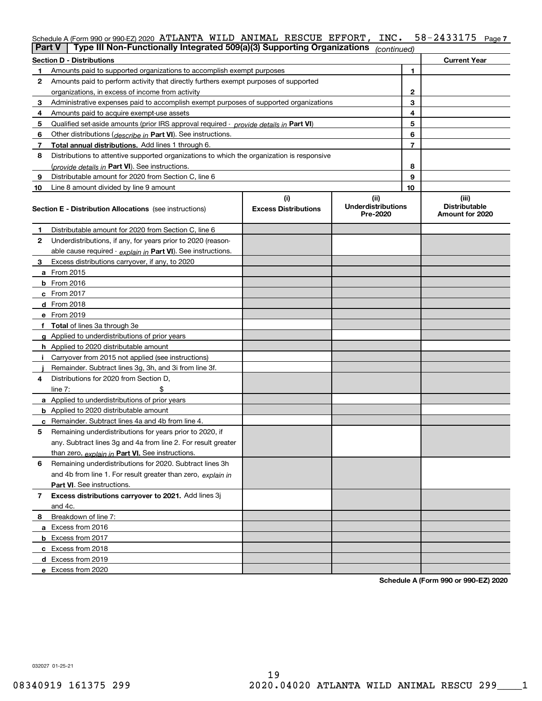|    | Schedule A (Form 990 or 990-EZ) 2020 ATLANTA WILD ANIMAL RESCUE EFFORT,                    |                                    | INC.                                          |    | 58-2433175<br>Page 7                             |
|----|--------------------------------------------------------------------------------------------|------------------------------------|-----------------------------------------------|----|--------------------------------------------------|
|    | Type III Non-Functionally Integrated 509(a)(3) Supporting Organizations<br>Part V          |                                    | (continued)                                   |    |                                                  |
|    | <b>Section D - Distributions</b>                                                           |                                    |                                               |    | <b>Current Year</b>                              |
| 1  | Amounts paid to supported organizations to accomplish exempt purposes                      |                                    |                                               | 1  |                                                  |
| 2  | Amounts paid to perform activity that directly furthers exempt purposes of supported       |                                    |                                               |    |                                                  |
|    | organizations, in excess of income from activity                                           |                                    |                                               | 2  |                                                  |
| 3  | Administrative expenses paid to accomplish exempt purposes of supported organizations      |                                    |                                               | 3  |                                                  |
| 4  | Amounts paid to acquire exempt-use assets                                                  |                                    |                                               | 4  |                                                  |
| 5  | Qualified set-aside amounts (prior IRS approval required - provide details in Part VI)     |                                    |                                               | 5  |                                                  |
| 6  | Other distributions ( <i>describe in</i> Part VI). See instructions.                       |                                    |                                               | 6  |                                                  |
| 7  | Total annual distributions. Add lines 1 through 6.                                         |                                    |                                               | 7  |                                                  |
| 8  | Distributions to attentive supported organizations to which the organization is responsive |                                    |                                               |    |                                                  |
|    | (provide details in Part VI). See instructions.                                            |                                    |                                               | 8  |                                                  |
| 9  | Distributable amount for 2020 from Section C, line 6                                       |                                    |                                               | 9  |                                                  |
| 10 | Line 8 amount divided by line 9 amount                                                     |                                    |                                               | 10 |                                                  |
|    | <b>Section E - Distribution Allocations</b> (see instructions)                             | (i)<br><b>Excess Distributions</b> | (ii)<br><b>Underdistributions</b><br>Pre-2020 |    | (iii)<br><b>Distributable</b><br>Amount for 2020 |
| 1  | Distributable amount for 2020 from Section C, line 6                                       |                                    |                                               |    |                                                  |
| 2  | Underdistributions, if any, for years prior to 2020 (reason-                               |                                    |                                               |    |                                                  |
|    | able cause required - explain in Part VI). See instructions.                               |                                    |                                               |    |                                                  |
| 3  | Excess distributions carryover, if any, to 2020                                            |                                    |                                               |    |                                                  |
|    | a From 2015                                                                                |                                    |                                               |    |                                                  |
|    | <b>b</b> From 2016                                                                         |                                    |                                               |    |                                                  |
|    | c From 2017                                                                                |                                    |                                               |    |                                                  |
|    | d From 2018                                                                                |                                    |                                               |    |                                                  |
|    | e From 2019                                                                                |                                    |                                               |    |                                                  |
|    | f Total of lines 3a through 3e                                                             |                                    |                                               |    |                                                  |
|    | g Applied to underdistributions of prior years                                             |                                    |                                               |    |                                                  |
|    | h Applied to 2020 distributable amount                                                     |                                    |                                               |    |                                                  |
|    | Carryover from 2015 not applied (see instructions)                                         |                                    |                                               |    |                                                  |
|    | Remainder. Subtract lines 3g, 3h, and 3i from line 3f.                                     |                                    |                                               |    |                                                  |
| 4  | Distributions for 2020 from Section D.                                                     |                                    |                                               |    |                                                  |
|    | line $7:$                                                                                  |                                    |                                               |    |                                                  |
|    | a Applied to underdistributions of prior years                                             |                                    |                                               |    |                                                  |
|    | <b>b</b> Applied to 2020 distributable amount                                              |                                    |                                               |    |                                                  |
|    | c Remainder. Subtract lines 4a and 4b from line 4.                                         |                                    |                                               |    |                                                  |
|    | Remaining underdistributions for years prior to 2020, if                                   |                                    |                                               |    |                                                  |
|    | any. Subtract lines 3g and 4a from line 2. For result greater                              |                                    |                                               |    |                                                  |
|    | than zero, explain in Part VI. See instructions.                                           |                                    |                                               |    |                                                  |
| 6  | Remaining underdistributions for 2020. Subtract lines 3h                                   |                                    |                                               |    |                                                  |
|    | and 4b from line 1. For result greater than zero, explain in                               |                                    |                                               |    |                                                  |
|    | Part VI. See instructions.                                                                 |                                    |                                               |    |                                                  |
| 7  | Excess distributions carryover to 2021. Add lines 3j                                       |                                    |                                               |    |                                                  |
|    | and 4c.                                                                                    |                                    |                                               |    |                                                  |
| 8  | Breakdown of line 7:                                                                       |                                    |                                               |    |                                                  |
|    | a Excess from 2016                                                                         |                                    |                                               |    |                                                  |

**Schedule A (Form 990 or 990-EZ) 2020**

032027 01-25-21

**b** Excess from 2017 **c** Excess from 2018 **d** Excess from 2019 **e** Excess from 2020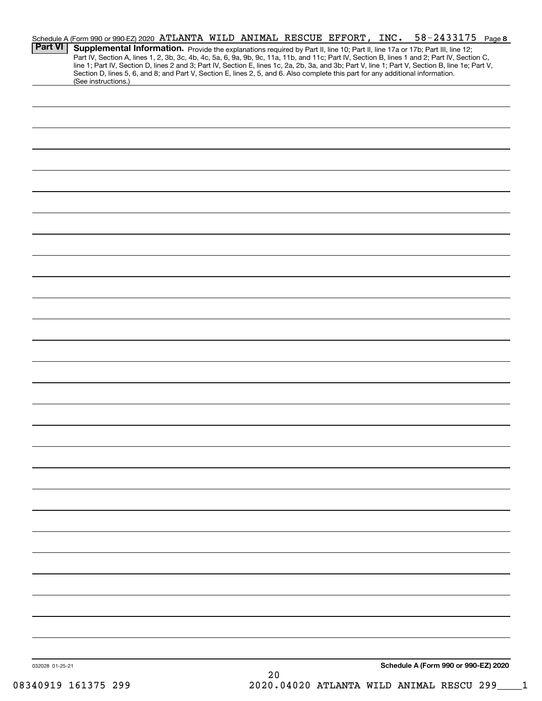| <b>Part VI</b>  | Schedule A (Form 990 or 990-EZ) 2020 ATLANTA WILD ANIMAL RESCUE EFFORT, INC.<br>Supplemental Information. Provide the explanations required by Part II, line 10; Part II, line 17a or 17b; Part III, line 12;<br>Part IV, Section A, lines 1, 2, 3b, 3c, 4b, 4c, 5a, 6, 9a, 9b, 9c, 11a, 11b, and 11c; Part IV, Section B, lines 1 and 2; Part IV, Section C,<br>line 1; Part IV, Section D, lines 2 and 3; Part IV, Section E, lines 1c, 2a, 2b, 3a, and 3b; Part V, line 1; Part V, Section B, line 1e; Part V, |  |  |     |  |  | $58 - 2433175$ Page 8                |  |
|-----------------|-------------------------------------------------------------------------------------------------------------------------------------------------------------------------------------------------------------------------------------------------------------------------------------------------------------------------------------------------------------------------------------------------------------------------------------------------------------------------------------------------------------------|--|--|-----|--|--|--------------------------------------|--|
|                 | Section D, lines 5, 6, and 8; and Part V, Section E, lines 2, 5, and 6. Also complete this part for any additional information.<br>(See instructions.)                                                                                                                                                                                                                                                                                                                                                            |  |  |     |  |  |                                      |  |
|                 |                                                                                                                                                                                                                                                                                                                                                                                                                                                                                                                   |  |  |     |  |  |                                      |  |
|                 |                                                                                                                                                                                                                                                                                                                                                                                                                                                                                                                   |  |  |     |  |  |                                      |  |
|                 |                                                                                                                                                                                                                                                                                                                                                                                                                                                                                                                   |  |  |     |  |  |                                      |  |
|                 |                                                                                                                                                                                                                                                                                                                                                                                                                                                                                                                   |  |  |     |  |  |                                      |  |
|                 |                                                                                                                                                                                                                                                                                                                                                                                                                                                                                                                   |  |  |     |  |  |                                      |  |
|                 |                                                                                                                                                                                                                                                                                                                                                                                                                                                                                                                   |  |  |     |  |  |                                      |  |
|                 |                                                                                                                                                                                                                                                                                                                                                                                                                                                                                                                   |  |  |     |  |  |                                      |  |
|                 |                                                                                                                                                                                                                                                                                                                                                                                                                                                                                                                   |  |  |     |  |  |                                      |  |
|                 |                                                                                                                                                                                                                                                                                                                                                                                                                                                                                                                   |  |  |     |  |  |                                      |  |
|                 |                                                                                                                                                                                                                                                                                                                                                                                                                                                                                                                   |  |  |     |  |  |                                      |  |
|                 |                                                                                                                                                                                                                                                                                                                                                                                                                                                                                                                   |  |  |     |  |  |                                      |  |
|                 |                                                                                                                                                                                                                                                                                                                                                                                                                                                                                                                   |  |  |     |  |  |                                      |  |
|                 |                                                                                                                                                                                                                                                                                                                                                                                                                                                                                                                   |  |  |     |  |  |                                      |  |
|                 |                                                                                                                                                                                                                                                                                                                                                                                                                                                                                                                   |  |  |     |  |  |                                      |  |
|                 |                                                                                                                                                                                                                                                                                                                                                                                                                                                                                                                   |  |  |     |  |  |                                      |  |
|                 |                                                                                                                                                                                                                                                                                                                                                                                                                                                                                                                   |  |  |     |  |  |                                      |  |
|                 |                                                                                                                                                                                                                                                                                                                                                                                                                                                                                                                   |  |  |     |  |  |                                      |  |
|                 |                                                                                                                                                                                                                                                                                                                                                                                                                                                                                                                   |  |  |     |  |  |                                      |  |
|                 |                                                                                                                                                                                                                                                                                                                                                                                                                                                                                                                   |  |  |     |  |  |                                      |  |
|                 |                                                                                                                                                                                                                                                                                                                                                                                                                                                                                                                   |  |  |     |  |  |                                      |  |
|                 |                                                                                                                                                                                                                                                                                                                                                                                                                                                                                                                   |  |  |     |  |  |                                      |  |
|                 |                                                                                                                                                                                                                                                                                                                                                                                                                                                                                                                   |  |  |     |  |  |                                      |  |
|                 |                                                                                                                                                                                                                                                                                                                                                                                                                                                                                                                   |  |  |     |  |  |                                      |  |
|                 |                                                                                                                                                                                                                                                                                                                                                                                                                                                                                                                   |  |  |     |  |  |                                      |  |
|                 |                                                                                                                                                                                                                                                                                                                                                                                                                                                                                                                   |  |  |     |  |  |                                      |  |
|                 |                                                                                                                                                                                                                                                                                                                                                                                                                                                                                                                   |  |  |     |  |  |                                      |  |
|                 |                                                                                                                                                                                                                                                                                                                                                                                                                                                                                                                   |  |  |     |  |  |                                      |  |
|                 |                                                                                                                                                                                                                                                                                                                                                                                                                                                                                                                   |  |  |     |  |  |                                      |  |
|                 |                                                                                                                                                                                                                                                                                                                                                                                                                                                                                                                   |  |  |     |  |  |                                      |  |
|                 |                                                                                                                                                                                                                                                                                                                                                                                                                                                                                                                   |  |  |     |  |  |                                      |  |
|                 |                                                                                                                                                                                                                                                                                                                                                                                                                                                                                                                   |  |  |     |  |  |                                      |  |
| 032028 01-25-21 |                                                                                                                                                                                                                                                                                                                                                                                                                                                                                                                   |  |  | n n |  |  | Schedule A (Form 990 or 990-EZ) 2020 |  |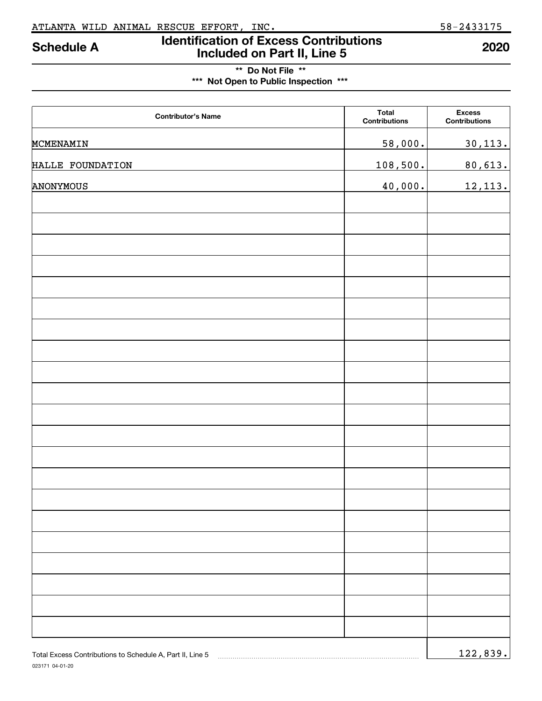## **\*\* Do Not File \*\* \*\*\* Not Open to Public Inspection \*\*\***

| <b>Contributor's Name</b>                                 | <b>Total</b><br><b>Contributions</b> | <b>Excess</b><br><b>Contributions</b> |
|-----------------------------------------------------------|--------------------------------------|---------------------------------------|
| MCMENAMIN                                                 | 58,000.                              | 30,113.                               |
| HALLE FOUNDATION                                          | 108,500.                             | 80,613.                               |
| ANONYMOUS                                                 | 40,000.                              | 12,113.                               |
|                                                           |                                      |                                       |
|                                                           |                                      |                                       |
|                                                           |                                      |                                       |
|                                                           |                                      |                                       |
|                                                           |                                      |                                       |
|                                                           |                                      |                                       |
|                                                           |                                      |                                       |
|                                                           |                                      |                                       |
|                                                           |                                      |                                       |
|                                                           |                                      |                                       |
|                                                           |                                      |                                       |
|                                                           |                                      |                                       |
|                                                           |                                      |                                       |
|                                                           |                                      |                                       |
|                                                           |                                      |                                       |
|                                                           |                                      |                                       |
|                                                           |                                      |                                       |
|                                                           |                                      |                                       |
|                                                           |                                      |                                       |
|                                                           |                                      |                                       |
|                                                           |                                      |                                       |
| Total Excess Contributions to Schedule A, Part II, Line 5 |                                      | 122,839.                              |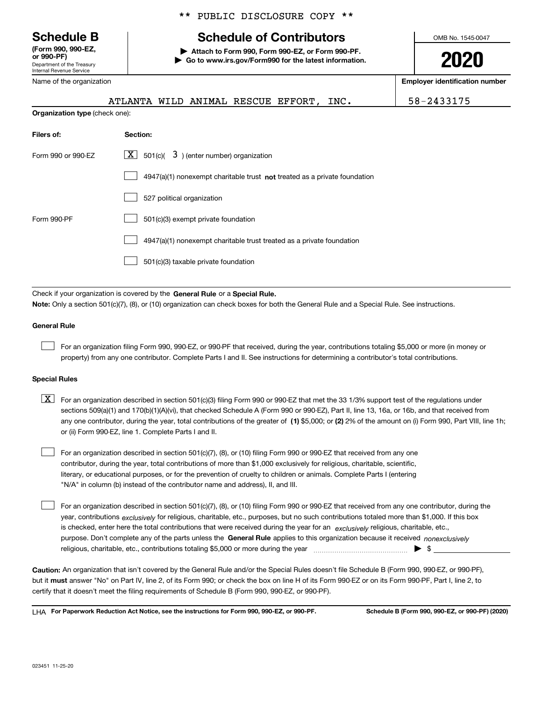Department of the Treasury Internal Revenue Service **(Form 990, 990-EZ,**

Name of the organization

## \*\* PUBLIC DISCLOSURE COPY \*\*

# **Schedule B Schedule of Contributors**

**or 990-PF) | Attach to Form 990, Form 990-EZ, or Form 990-PF. | Go to www.irs.gov/Form990 for the latest information.** OMB No. 1545-0047

**2020**

**Employer identification number**

|                                       | ATLANTA WILD ANIMAL RESCUE EFFORT, |  |  | INC. | 58-2433175 |
|---------------------------------------|------------------------------------|--|--|------|------------|
| <b>Organization type (check one):</b> |                                    |  |  |      |            |
| Filers of:                            | Section:                           |  |  |      |            |

| Form 990 or 990-EZ | $\overline{X}$ 501(c)( 3) (enter number) organization                     |
|--------------------|---------------------------------------------------------------------------|
|                    | 4947(a)(1) nonexempt charitable trust not treated as a private foundation |
|                    | 527 political organization                                                |
| Form 990-PF        | 501(c)(3) exempt private foundation                                       |
|                    | 4947(a)(1) nonexempt charitable trust treated as a private foundation     |
|                    | 501(c)(3) taxable private foundation                                      |

Check if your organization is covered by the General Rule or a Special Rule. **Note:**  Only a section 501(c)(7), (8), or (10) organization can check boxes for both the General Rule and a Special Rule. See instructions.

### **General Rule**

 $\begin{array}{c} \hline \end{array}$ 

For an organization filing Form 990, 990-EZ, or 990-PF that received, during the year, contributions totaling \$5,000 or more (in money or property) from any one contributor. Complete Parts I and II. See instructions for determining a contributor's total contributions.

### **Special Rules**

| $X$ For an organization described in section 501(c)(3) filing Form 990 or 990-EZ that met the 33 1/3% support test of the regulations under           |
|-------------------------------------------------------------------------------------------------------------------------------------------------------|
| sections 509(a)(1) and 170(b)(1)(A)(vi), that checked Schedule A (Form 990 or 990-EZ), Part II, line 13, 16a, or 16b, and that received from          |
| any one contributor, during the year, total contributions of the greater of (1) \$5,000; or (2) 2% of the amount on (i) Form 990, Part VIII, line 1h; |
| or (ii) Form 990-EZ, line 1. Complete Parts I and II.                                                                                                 |

For an organization described in section 501(c)(7), (8), or (10) filing Form 990 or 990-EZ that received from any one contributor, during the year, total contributions of more than \$1,000 exclusively for religious, charitable, scientific, literary, or educational purposes, or for the prevention of cruelty to children or animals. Complete Parts I (entering "N/A" in column (b) instead of the contributor name and address), II, and III.  $\begin{array}{c} \hline \end{array}$ 

purpose. Don't complete any of the parts unless the General Rule applies to this organization because it received *nonexclusively* year, contributions <sub>exclusively</sub> for religious, charitable, etc., purposes, but no such contributions totaled more than \$1,000. If this box is checked, enter here the total contributions that were received during the year for an *exclusively* religious, charitable, etc., For an organization described in section 501(c)(7), (8), or (10) filing Form 990 or 990-EZ that received from any one contributor, during the religious, charitable, etc., contributions totaling \$5,000 or more during the year  $\Box$ — $\Box$   $\Box$  $\begin{array}{c} \hline \end{array}$ 

**Caution:**  An organization that isn't covered by the General Rule and/or the Special Rules doesn't file Schedule B (Form 990, 990-EZ, or 990-PF),  **must** but it answer "No" on Part IV, line 2, of its Form 990; or check the box on line H of its Form 990-EZ or on its Form 990-PF, Part I, line 2, to certify that it doesn't meet the filing requirements of Schedule B (Form 990, 990-EZ, or 990-PF).

**For Paperwork Reduction Act Notice, see the instructions for Form 990, 990-EZ, or 990-PF. Schedule B (Form 990, 990-EZ, or 990-PF) (2020)** LHA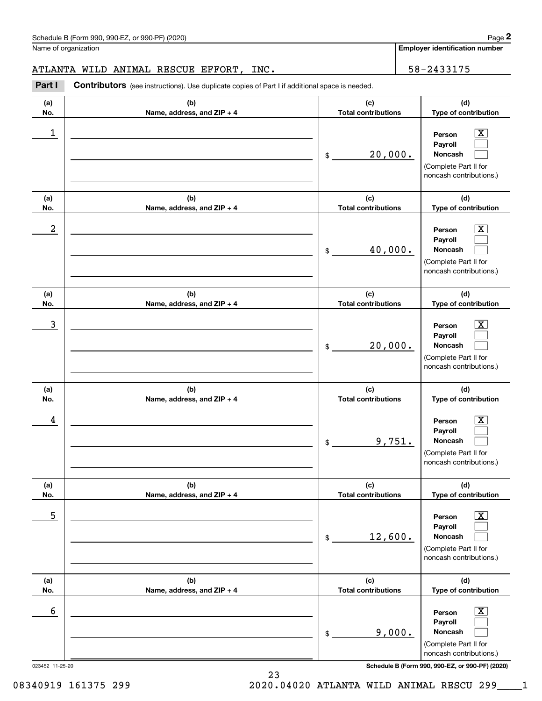Name of organization

**Employer identification number**

**(a) No. (b) Name, address, and ZIP + 4 (c) Total contributions (d) Type of contribution Person Payroll Noncash (a) No. (b) Name, address, and ZIP + 4 (c) Total contributions (d) Type of contribution Person Payroll Noncash (a) No. (b) Name, address, and ZIP + 4 (c) Total contributions (d) Type of contribution Person Payroll Noncash (a) No. (b) Name, address, and ZIP + 4 (c) Total contributions (d) Type of contribution Person Payroll Noncash (a) No. (b) Name, address, and ZIP + 4 (c) Total contributions (d) Type of contribution Person Payroll Noncash (a) No. (b) Name, address, and ZIP + 4 (c) Total contributions (d) Type of contribution Person Payroll Noncash Part I** Contributors (see instructions). Use duplicate copies of Part I if additional space is needed. \$ (Complete Part II for noncash contributions.) \$ (Complete Part II for noncash contributions.) \$ (Complete Part II for noncash contributions.) \$ (Complete Part II for noncash contributions.) \$ (Complete Part II for noncash contributions.) \$  $|X|$  $\begin{array}{c} \hline \end{array}$  $\begin{array}{c} \hline \end{array}$  $\boxed{\text{X}}$  $\begin{array}{c} \hline \end{array}$  $\begin{array}{c} \hline \end{array}$  $|X|$  $\begin{array}{c} \hline \end{array}$  $\begin{array}{c} \hline \end{array}$  $\lfloor x \rfloor$  $\begin{array}{c} \hline \end{array}$  $\begin{array}{c} \hline \end{array}$  $\boxed{\text{X}}$  $\begin{array}{c} \hline \end{array}$  $\begin{array}{c} \hline \end{array}$  $\boxed{\text{X}}$  $\begin{array}{c} \hline \end{array}$  $\begin{array}{c} \hline \end{array}$ 1 X 20,000.  $2$  Person  $\overline{\text{X}}$ 40,000. 3 X 20,000. 4 X 9,751.  $\overline{\phantom{a}}$  5  $\overline{\phantom{a}}$  Person  $\overline{\phantom{a}}$   $\overline{\phantom{a}}$ 12,600. 6 X 9,000. ATLANTA WILD ANIMAL RESCUE EFFORT, INC.  $\vert$  58-2433175

023452 11-25-20 **Schedule B (Form 990, 990-EZ, or 990-PF) (2020)**

(Complete Part II for noncash contributions.)

08340919 161375 299 2020.04020 ATLANTA WILD ANIMAL RESCU 299\_\_\_\_1

23

**<sup>2</sup>**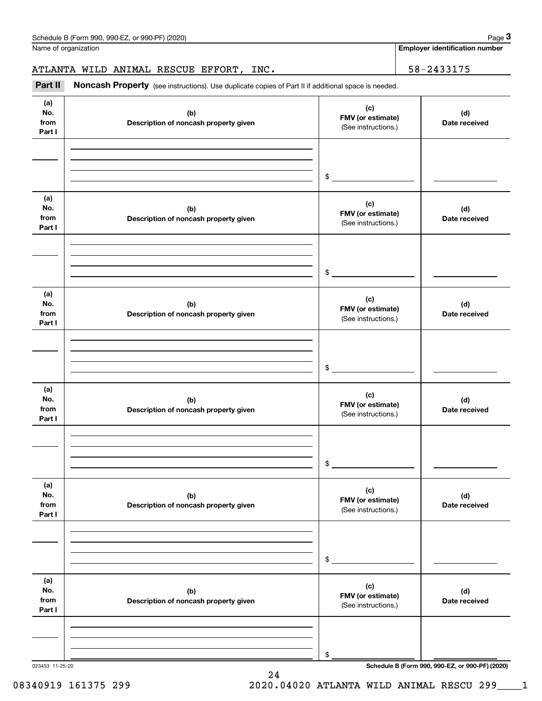Name of organization

**Employer identification number**

ATLANTA WILD ANIMAL RESCUE EFFORT, INC. 58-2433175

| Noncash Property (see instructions). Use duplicate copies of Part II if additional space is needed. |                                                 |                      |
|-----------------------------------------------------------------------------------------------------|-------------------------------------------------|----------------------|
| (b)<br>Description of noncash property given                                                        | (c)<br>FMV (or estimate)<br>(See instructions.) | (d)<br>Date received |
|                                                                                                     | $\frac{1}{2}$                                   |                      |
| (b)<br>Description of noncash property given                                                        | (c)<br>FMV (or estimate)<br>(See instructions.) | (d)<br>Date received |
|                                                                                                     | $$_$                                            |                      |
| (b)<br>Description of noncash property given                                                        | (c)<br>FMV (or estimate)<br>(See instructions.) | (d)<br>Date received |
|                                                                                                     | $\mathfrak{S}$                                  |                      |
| (b)<br>Description of noncash property given                                                        | (c)<br>FMV (or estimate)<br>(See instructions.) | (d)<br>Date received |
|                                                                                                     | \$                                              |                      |
| (b)<br>Description of noncash property given                                                        | (c)<br>FMV (or estimate)<br>(See instructions.) | (d)<br>Date received |
|                                                                                                     | \$                                              |                      |
| (b)<br>Description of noncash property given                                                        | (c)<br>FMV (or estimate)<br>(See instructions.) | (d)<br>Date received |
|                                                                                                     | \$                                              |                      |
|                                                                                                     |                                                 |                      |

24 08340919 161375 299 2020.04020 ATLANTA WILD ANIMAL RESCU 299 1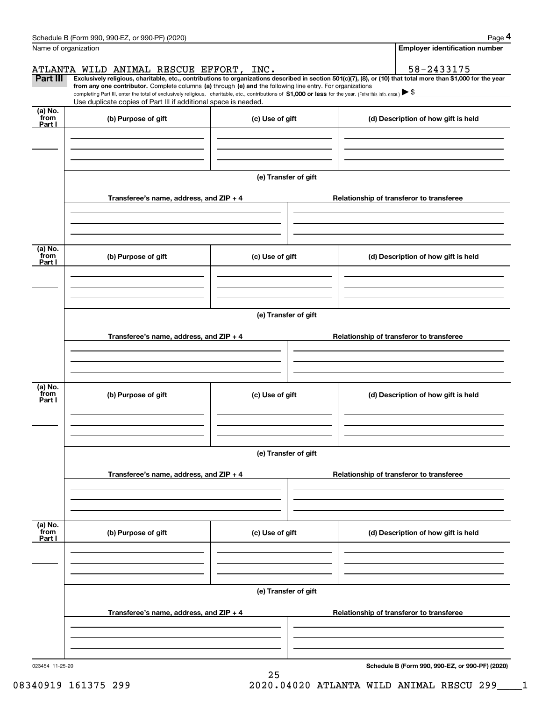|                           | Schedule B (Form 990, 990-EZ, or 990-PF) (2020)                                                                                                                                                                                                                                                 |                      | Page 4                                                                                                                                                         |  |  |  |  |
|---------------------------|-------------------------------------------------------------------------------------------------------------------------------------------------------------------------------------------------------------------------------------------------------------------------------------------------|----------------------|----------------------------------------------------------------------------------------------------------------------------------------------------------------|--|--|--|--|
| Name of organization      |                                                                                                                                                                                                                                                                                                 |                      | <b>Employer identification number</b>                                                                                                                          |  |  |  |  |
|                           | ATLANTA WILD ANIMAL RESCUE EFFORT, INC.                                                                                                                                                                                                                                                         |                      | 58-2433175                                                                                                                                                     |  |  |  |  |
| Part III                  | from any one contributor. Complete columns (a) through (e) and the following line entry. For organizations<br>completing Part III, enter the total of exclusively religious, charitable, etc., contributions of \$1,000 or less for the year. (Enter this info. once.) $\blacktriangleright$ \$ |                      | Exclusively religious, charitable, etc., contributions to organizations described in section 501(c)(7), (8), or (10) that total more than \$1,000 for the year |  |  |  |  |
| (a) No.                   | Use duplicate copies of Part III if additional space is needed.                                                                                                                                                                                                                                 |                      |                                                                                                                                                                |  |  |  |  |
| from<br>Part I            | (b) Purpose of gift                                                                                                                                                                                                                                                                             | (c) Use of gift      | (d) Description of how gift is held                                                                                                                            |  |  |  |  |
|                           |                                                                                                                                                                                                                                                                                                 | (e) Transfer of gift |                                                                                                                                                                |  |  |  |  |
|                           | Transferee's name, address, and $ZIP + 4$                                                                                                                                                                                                                                                       |                      | Relationship of transferor to transferee                                                                                                                       |  |  |  |  |
| (a) No.                   |                                                                                                                                                                                                                                                                                                 |                      |                                                                                                                                                                |  |  |  |  |
| from<br>Part I            | (b) Purpose of gift                                                                                                                                                                                                                                                                             | (c) Use of gift      | (d) Description of how gift is held                                                                                                                            |  |  |  |  |
|                           |                                                                                                                                                                                                                                                                                                 | (e) Transfer of gift |                                                                                                                                                                |  |  |  |  |
|                           | Transferee's name, address, and $ZIP + 4$                                                                                                                                                                                                                                                       |                      | Relationship of transferor to transferee                                                                                                                       |  |  |  |  |
|                           |                                                                                                                                                                                                                                                                                                 |                      |                                                                                                                                                                |  |  |  |  |
| (a) No.<br>from<br>Part I | (b) Purpose of gift                                                                                                                                                                                                                                                                             | (c) Use of gift      | (d) Description of how gift is held                                                                                                                            |  |  |  |  |
|                           |                                                                                                                                                                                                                                                                                                 |                      |                                                                                                                                                                |  |  |  |  |
|                           | (e) Transfer of gift                                                                                                                                                                                                                                                                            |                      |                                                                                                                                                                |  |  |  |  |
|                           | Transferee's name, address, and ZIP + 4                                                                                                                                                                                                                                                         |                      | Relationship of transferor to transferee                                                                                                                       |  |  |  |  |
| (a) No.<br>from           |                                                                                                                                                                                                                                                                                                 |                      |                                                                                                                                                                |  |  |  |  |
| Part I                    | (b) Purpose of gift                                                                                                                                                                                                                                                                             | (c) Use of gift      | (d) Description of how gift is held                                                                                                                            |  |  |  |  |
|                           |                                                                                                                                                                                                                                                                                                 |                      |                                                                                                                                                                |  |  |  |  |
|                           | (e) Transfer of gift                                                                                                                                                                                                                                                                            |                      |                                                                                                                                                                |  |  |  |  |
|                           | Transferee's name, address, and ZIP + 4                                                                                                                                                                                                                                                         |                      | Relationship of transferor to transferee                                                                                                                       |  |  |  |  |
|                           |                                                                                                                                                                                                                                                                                                 |                      |                                                                                                                                                                |  |  |  |  |
| 023454 11-25-20           |                                                                                                                                                                                                                                                                                                 | 25                   | Schedule B (Form 990, 990-EZ, or 990-PF) (2020)                                                                                                                |  |  |  |  |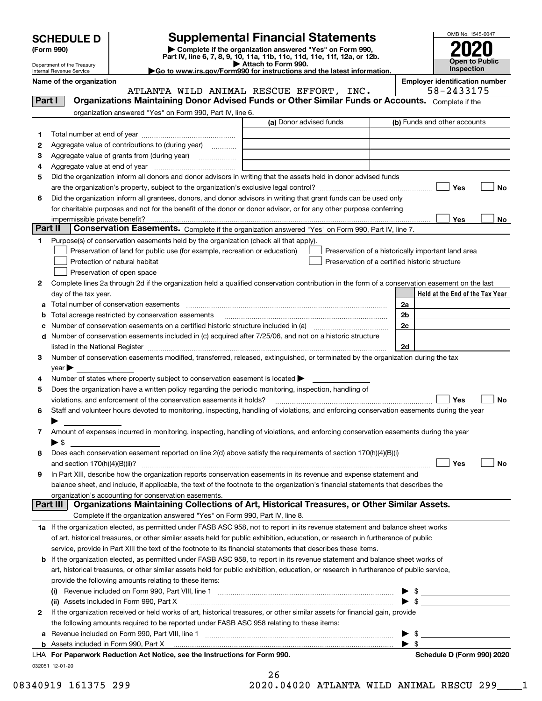| <b>SCHEDULE D</b> |  |
|-------------------|--|
|-------------------|--|

| (Form 990) |  |
|------------|--|
|------------|--|

**(Form 990) | Complete if the organization answered "Yes" on Form 990, Part IV, line 6, 7, 8, 9, 10, 11a, 11b, 11c, 11d, 11e, 11f, 12a, or 12b. SCHEDULE D Supplemental Financial Statements**<br> **Form 990**<br>
Part IV, line 6, 7, 8, 9, 10, 11a, 11b, 11c, 11d, 11e, 11f, 12a, or 12b.



Department of the Treasury Internal Revenue Service

**| Attach to Form 990. |Go to www.irs.gov/Form990 for instructions and the latest information.**

**Name of the organization**<br> **Employer identification number**<br> **Employer identification number**<br> **Employer identification number** 

|                | ATLANTA WILD ANIMAL RESCUE EFFORT, INC.                                                                                                                                                                                       | 58-2433175                                         |  |  |  |
|----------------|-------------------------------------------------------------------------------------------------------------------------------------------------------------------------------------------------------------------------------|----------------------------------------------------|--|--|--|
| Part I         | Organizations Maintaining Donor Advised Funds or Other Similar Funds or Accounts. Complete if the                                                                                                                             |                                                    |  |  |  |
|                | organization answered "Yes" on Form 990, Part IV, line 6.                                                                                                                                                                     |                                                    |  |  |  |
|                | (a) Donor advised funds                                                                                                                                                                                                       | (b) Funds and other accounts                       |  |  |  |
| 1              |                                                                                                                                                                                                                               |                                                    |  |  |  |
| 2              | Aggregate value of contributions to (during year)                                                                                                                                                                             |                                                    |  |  |  |
| з              |                                                                                                                                                                                                                               |                                                    |  |  |  |
| 4              |                                                                                                                                                                                                                               |                                                    |  |  |  |
| 5              | Did the organization inform all donors and donor advisors in writing that the assets held in donor advised funds                                                                                                              |                                                    |  |  |  |
|                |                                                                                                                                                                                                                               | Yes<br>No                                          |  |  |  |
| 6              | Did the organization inform all grantees, donors, and donor advisors in writing that grant funds can be used only                                                                                                             |                                                    |  |  |  |
|                | for charitable purposes and not for the benefit of the donor or donor advisor, or for any other purpose conferring                                                                                                            |                                                    |  |  |  |
|                | impermissible private benefit?                                                                                                                                                                                                | Yes<br>No                                          |  |  |  |
| <b>Part II</b> | Conservation Easements. Complete if the organization answered "Yes" on Form 990, Part IV, line 7.                                                                                                                             |                                                    |  |  |  |
| 1              | Purpose(s) of conservation easements held by the organization (check all that apply).                                                                                                                                         |                                                    |  |  |  |
|                | Preservation of land for public use (for example, recreation or education)                                                                                                                                                    | Preservation of a historically important land area |  |  |  |
|                | Protection of natural habitat                                                                                                                                                                                                 | Preservation of a certified historic structure     |  |  |  |
|                | Preservation of open space                                                                                                                                                                                                    |                                                    |  |  |  |
| 2              | Complete lines 2a through 2d if the organization held a qualified conservation contribution in the form of a conservation easement on the last                                                                                |                                                    |  |  |  |
|                | day of the tax year.                                                                                                                                                                                                          | Held at the End of the Tax Year                    |  |  |  |
| а              |                                                                                                                                                                                                                               | 2a                                                 |  |  |  |
| b              | Total acreage restricted by conservation easements                                                                                                                                                                            | 2b                                                 |  |  |  |
| c              | Number of conservation easements on a certified historic structure included in (a) manufacture included in (a)                                                                                                                | 2c                                                 |  |  |  |
| d              | Number of conservation easements included in (c) acquired after 7/25/06, and not on a historic structure                                                                                                                      |                                                    |  |  |  |
|                | listed in the National Register [11, 1200] [12] The National Register [11, 1200] [12] The National Register [11, 1200] [12] The National Register [11, 1200] [12] The National Register [11, 1200] [12] The National Register | 2d                                                 |  |  |  |
| з              | Number of conservation easements modified, transferred, released, extinguished, or terminated by the organization during the tax                                                                                              |                                                    |  |  |  |
| 4              | vear<br>Number of states where property subject to conservation easement is located >                                                                                                                                         |                                                    |  |  |  |
| 5              | Does the organization have a written policy regarding the periodic monitoring, inspection, handling of                                                                                                                        |                                                    |  |  |  |
|                | violations, and enforcement of the conservation easements it holds?                                                                                                                                                           | Yes<br>No                                          |  |  |  |
| 6              | Staff and volunteer hours devoted to monitoring, inspecting, handling of violations, and enforcing conservation easements during the year                                                                                     |                                                    |  |  |  |
|                |                                                                                                                                                                                                                               |                                                    |  |  |  |
| 7.             | Amount of expenses incurred in monitoring, inspecting, handling of violations, and enforcing conservation easements during the year                                                                                           |                                                    |  |  |  |
|                | ▶ \$                                                                                                                                                                                                                          |                                                    |  |  |  |
| 8              | Does each conservation easement reported on line 2(d) above satisfy the requirements of section 170(h)(4)(B)(i)                                                                                                               |                                                    |  |  |  |
|                | and section $170(h)(4)(B)(ii)?$                                                                                                                                                                                               | Yes<br>No                                          |  |  |  |
| 9              | In Part XIII, describe how the organization reports conservation easements in its revenue and expense statement and                                                                                                           |                                                    |  |  |  |
|                | balance sheet, and include, if applicable, the text of the footnote to the organization's financial statements that describes the                                                                                             |                                                    |  |  |  |
|                | organization's accounting for conservation easements.                                                                                                                                                                         |                                                    |  |  |  |
|                | Organizations Maintaining Collections of Art, Historical Treasures, or Other Similar Assets.<br><b>Part III</b>                                                                                                               |                                                    |  |  |  |
|                | Complete if the organization answered "Yes" on Form 990, Part IV, line 8.                                                                                                                                                     |                                                    |  |  |  |
|                | 1a If the organization elected, as permitted under FASB ASC 958, not to report in its revenue statement and balance sheet works                                                                                               |                                                    |  |  |  |
|                | of art, historical treasures, or other similar assets held for public exhibition, education, or research in furtherance of public                                                                                             |                                                    |  |  |  |
|                | service, provide in Part XIII the text of the footnote to its financial statements that describes these items.                                                                                                                |                                                    |  |  |  |
|                | <b>b</b> If the organization elected, as permitted under FASB ASC 958, to report in its revenue statement and balance sheet works of                                                                                          |                                                    |  |  |  |
|                | art, historical treasures, or other similar assets held for public exhibition, education, or research in furtherance of public service,                                                                                       |                                                    |  |  |  |
|                | provide the following amounts relating to these items:                                                                                                                                                                        |                                                    |  |  |  |
|                |                                                                                                                                                                                                                               | \$                                                 |  |  |  |
|                | (ii) Assets included in Form 990, Part X                                                                                                                                                                                      | $\blacktriangleright$ \$                           |  |  |  |
| $\mathbf{2}$   | If the organization received or held works of art, historical treasures, or other similar assets for financial gain, provide                                                                                                  |                                                    |  |  |  |
|                | the following amounts required to be reported under FASB ASC 958 relating to these items:                                                                                                                                     |                                                    |  |  |  |
| а              |                                                                                                                                                                                                                               | \$<br>$\blacktriangleright$ s                      |  |  |  |
|                |                                                                                                                                                                                                                               |                                                    |  |  |  |

| 41 | 6 |  |  |
|----|---|--|--|
|    |   |  |  |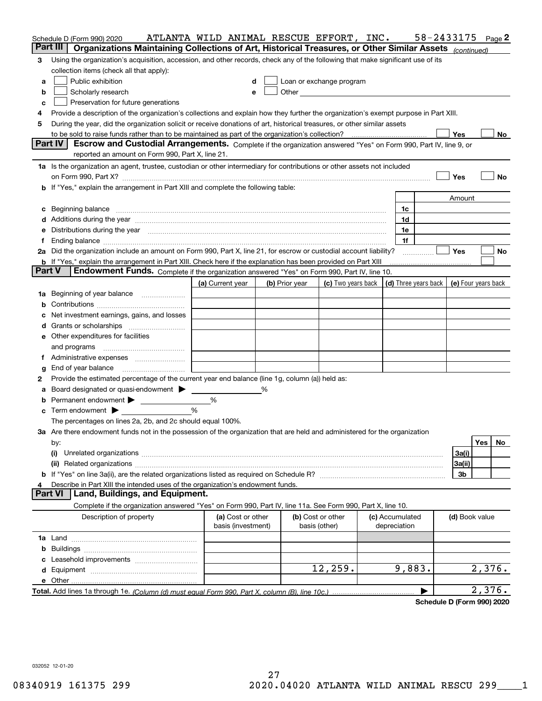|        | Schedule D (Form 990) 2020                                                                                                                                                                                                                                                                                                                           | ATLANTA WILD ANIMAL RESCUE EFFORT, INC. |   |                |                                                   |                                 | 58-2433175                           |                     |        | Page 2 |
|--------|------------------------------------------------------------------------------------------------------------------------------------------------------------------------------------------------------------------------------------------------------------------------------------------------------------------------------------------------------|-----------------------------------------|---|----------------|---------------------------------------------------|---------------------------------|--------------------------------------|---------------------|--------|--------|
|        | Part III<br>Organizations Maintaining Collections of Art, Historical Treasures, or Other Similar Assets (continued)                                                                                                                                                                                                                                  |                                         |   |                |                                                   |                                 |                                      |                     |        |        |
| 3      | Using the organization's acquisition, accession, and other records, check any of the following that make significant use of its                                                                                                                                                                                                                      |                                         |   |                |                                                   |                                 |                                      |                     |        |        |
|        | collection items (check all that apply):                                                                                                                                                                                                                                                                                                             |                                         |   |                |                                                   |                                 |                                      |                     |        |        |
| a      | Public exhibition                                                                                                                                                                                                                                                                                                                                    | d                                       |   |                | Loan or exchange program                          |                                 |                                      |                     |        |        |
| b      | Scholarly research                                                                                                                                                                                                                                                                                                                                   | e                                       |   |                | Other <u>with the contract of the contract of</u> |                                 |                                      |                     |        |        |
| c      | Preservation for future generations                                                                                                                                                                                                                                                                                                                  |                                         |   |                |                                                   |                                 |                                      |                     |        |        |
| 4      | Provide a description of the organization's collections and explain how they further the organization's exempt purpose in Part XIII.                                                                                                                                                                                                                 |                                         |   |                |                                                   |                                 |                                      |                     |        |        |
| 5      | During the year, did the organization solicit or receive donations of art, historical treasures, or other similar assets                                                                                                                                                                                                                             |                                         |   |                |                                                   |                                 |                                      |                     |        |        |
|        | to be sold to raise funds rather than to be maintained as part of the organization's collection?                                                                                                                                                                                                                                                     |                                         |   |                |                                                   |                                 |                                      | Yes                 |        | No     |
|        | <b>Part IV</b><br>Escrow and Custodial Arrangements. Complete if the organization answered "Yes" on Form 990, Part IV, line 9, or                                                                                                                                                                                                                    |                                         |   |                |                                                   |                                 |                                      |                     |        |        |
|        | reported an amount on Form 990, Part X, line 21.                                                                                                                                                                                                                                                                                                     |                                         |   |                |                                                   |                                 |                                      |                     |        |        |
|        | 1a Is the organization an agent, trustee, custodian or other intermediary for contributions or other assets not included                                                                                                                                                                                                                             |                                         |   |                |                                                   |                                 |                                      |                     |        |        |
|        | on Form 990, Part X? [11] matter contracts and contracts and contracts are contracted as a function of the set of the set of the set of the set of the set of the set of the set of the set of the set of the set of the set o                                                                                                                       |                                         |   |                |                                                   |                                 |                                      | Yes                 |        | No     |
|        | If "Yes," explain the arrangement in Part XIII and complete the following table:                                                                                                                                                                                                                                                                     |                                         |   |                |                                                   |                                 |                                      |                     |        |        |
|        |                                                                                                                                                                                                                                                                                                                                                      |                                         |   |                |                                                   |                                 |                                      | Amount              |        |        |
| c      |                                                                                                                                                                                                                                                                                                                                                      |                                         |   |                |                                                   | 1c                              |                                      |                     |        |        |
| d      | Additions during the year manufactured and an annual contract of the year manufactured and a set of the year manufactured and a set of the year manufactured and a set of the year manufactured and a set of the set of the se                                                                                                                       |                                         |   |                |                                                   | 1d                              |                                      |                     |        |        |
| е      | Distributions during the year measurement contains and all the state of the state of the state of the state of                                                                                                                                                                                                                                       |                                         |   |                |                                                   | 1e                              |                                      |                     |        |        |
|        | Ending balance manufactured and contact the contract of the contract of the contract of the contract of the contract of the contract of the contract of the contract of the contract of the contract of the contract of the co<br>2a Did the organization include an amount on Form 990, Part X, line 21, for escrow or custodial account liability? |                                         |   |                |                                                   | 1f                              |                                      | Yes                 |        | No     |
|        | <b>b</b> If "Yes," explain the arrangement in Part XIII. Check here if the explanation has been provided on Part XIII                                                                                                                                                                                                                                |                                         |   |                |                                                   |                                 |                                      |                     |        |        |
| Part V | Endowment Funds. Complete if the organization answered "Yes" on Form 990, Part IV, line 10.                                                                                                                                                                                                                                                          |                                         |   |                |                                                   |                                 |                                      |                     |        |        |
|        |                                                                                                                                                                                                                                                                                                                                                      | (a) Current year                        |   | (b) Prior year | (c) Two years back                                |                                 | $\vert$ (d) Three years back $\vert$ | (e) Four years back |        |        |
| 1a     | Beginning of year balance                                                                                                                                                                                                                                                                                                                            |                                         |   |                |                                                   |                                 |                                      |                     |        |        |
| b      |                                                                                                                                                                                                                                                                                                                                                      |                                         |   |                |                                                   |                                 |                                      |                     |        |        |
|        | Net investment earnings, gains, and losses                                                                                                                                                                                                                                                                                                           |                                         |   |                |                                                   |                                 |                                      |                     |        |        |
| a      |                                                                                                                                                                                                                                                                                                                                                      |                                         |   |                |                                                   |                                 |                                      |                     |        |        |
|        | e Other expenditures for facilities                                                                                                                                                                                                                                                                                                                  |                                         |   |                |                                                   |                                 |                                      |                     |        |        |
|        | and programs                                                                                                                                                                                                                                                                                                                                         |                                         |   |                |                                                   |                                 |                                      |                     |        |        |
| Ť.     |                                                                                                                                                                                                                                                                                                                                                      |                                         |   |                |                                                   |                                 |                                      |                     |        |        |
| g      | End of year balance                                                                                                                                                                                                                                                                                                                                  |                                         |   |                |                                                   |                                 |                                      |                     |        |        |
| 2      | Provide the estimated percentage of the current year end balance (line 1g, column (a)) held as:                                                                                                                                                                                                                                                      |                                         |   |                |                                                   |                                 |                                      |                     |        |        |
|        | Board designated or quasi-endowment                                                                                                                                                                                                                                                                                                                  |                                         | % |                |                                                   |                                 |                                      |                     |        |        |
| b      | Permanent endowment > ______________                                                                                                                                                                                                                                                                                                                 | %                                       |   |                |                                                   |                                 |                                      |                     |        |        |
| c      | Term endowment $\blacktriangleright$                                                                                                                                                                                                                                                                                                                 | %                                       |   |                |                                                   |                                 |                                      |                     |        |        |
|        | The percentages on lines 2a, 2b, and 2c should equal 100%.                                                                                                                                                                                                                                                                                           |                                         |   |                |                                                   |                                 |                                      |                     |        |        |
|        | 3a Are there endowment funds not in the possession of the organization that are held and administered for the organization                                                                                                                                                                                                                           |                                         |   |                |                                                   |                                 |                                      |                     |        |        |
|        | by:                                                                                                                                                                                                                                                                                                                                                  |                                         |   |                |                                                   |                                 |                                      |                     | Yes    | No     |
|        | (i)                                                                                                                                                                                                                                                                                                                                                  |                                         |   |                |                                                   |                                 |                                      | 3a(i)               |        |        |
|        |                                                                                                                                                                                                                                                                                                                                                      |                                         |   |                |                                                   |                                 |                                      | 3a(ii)              |        |        |
|        |                                                                                                                                                                                                                                                                                                                                                      |                                         |   |                |                                                   |                                 |                                      | 3b                  |        |        |
|        | Describe in Part XIII the intended uses of the organization's endowment funds.                                                                                                                                                                                                                                                                       |                                         |   |                |                                                   |                                 |                                      |                     |        |        |
|        | Land, Buildings, and Equipment.<br>Part VI                                                                                                                                                                                                                                                                                                           |                                         |   |                |                                                   |                                 |                                      |                     |        |        |
|        | Complete if the organization answered "Yes" on Form 990, Part IV, line 11a. See Form 990, Part X, line 10.                                                                                                                                                                                                                                           |                                         |   |                |                                                   |                                 |                                      |                     |        |        |
|        | Description of property                                                                                                                                                                                                                                                                                                                              | (a) Cost or other<br>basis (investment) |   |                | (b) Cost or other<br>basis (other)                | (c) Accumulated<br>depreciation |                                      | (d) Book value      |        |        |
|        |                                                                                                                                                                                                                                                                                                                                                      |                                         |   |                |                                                   |                                 |                                      |                     |        |        |
| b      |                                                                                                                                                                                                                                                                                                                                                      |                                         |   |                |                                                   |                                 |                                      |                     |        |        |
|        |                                                                                                                                                                                                                                                                                                                                                      |                                         |   |                |                                                   |                                 |                                      |                     |        |        |
|        |                                                                                                                                                                                                                                                                                                                                                      |                                         |   |                | 12,259.                                           | 9,883.                          |                                      |                     | 2,376. |        |
|        | e Other                                                                                                                                                                                                                                                                                                                                              |                                         |   |                |                                                   |                                 |                                      |                     |        |        |
|        |                                                                                                                                                                                                                                                                                                                                                      |                                         |   |                |                                                   |                                 |                                      |                     | 2,376. |        |

**Schedule D (Form 990) 2020**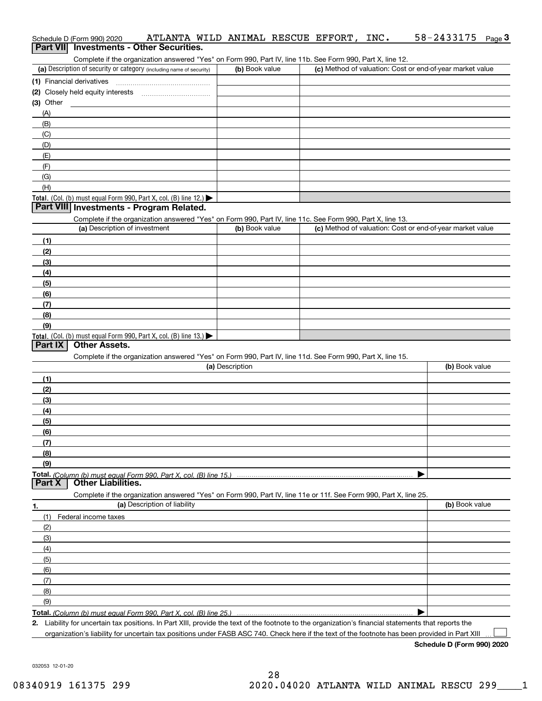|                | Complete if the organization answered "Yes" on Form 990, Part IV, line 11b. See Form 990, Part X, line 12.<br>(a) Description of security or category (including name of security) | (b) Book value  | (c) Method of valuation: Cost or end-of-year market value |                |
|----------------|------------------------------------------------------------------------------------------------------------------------------------------------------------------------------------|-----------------|-----------------------------------------------------------|----------------|
|                |                                                                                                                                                                                    |                 |                                                           |                |
|                |                                                                                                                                                                                    |                 |                                                           |                |
| $(3)$ Other    |                                                                                                                                                                                    |                 |                                                           |                |
| (A)            |                                                                                                                                                                                    |                 |                                                           |                |
| (B)            |                                                                                                                                                                                    |                 |                                                           |                |
| (C)            |                                                                                                                                                                                    |                 |                                                           |                |
| (D)            |                                                                                                                                                                                    |                 |                                                           |                |
| (E)            |                                                                                                                                                                                    |                 |                                                           |                |
| (F)            |                                                                                                                                                                                    |                 |                                                           |                |
| (G)            |                                                                                                                                                                                    |                 |                                                           |                |
| (H)            |                                                                                                                                                                                    |                 |                                                           |                |
|                | Total. (Col. (b) must equal Form 990, Part X, col. (B) line 12.)                                                                                                                   |                 |                                                           |                |
|                | Part VIII Investments - Program Related.                                                                                                                                           |                 |                                                           |                |
|                | Complete if the organization answered "Yes" on Form 990, Part IV, line 11c. See Form 990, Part X, line 13.                                                                         |                 |                                                           |                |
|                | (a) Description of investment                                                                                                                                                      | (b) Book value  | (c) Method of valuation: Cost or end-of-year market value |                |
| (1)            |                                                                                                                                                                                    |                 |                                                           |                |
| (2)            |                                                                                                                                                                                    |                 |                                                           |                |
| (3)            |                                                                                                                                                                                    |                 |                                                           |                |
| (4)            |                                                                                                                                                                                    |                 |                                                           |                |
| (5)            |                                                                                                                                                                                    |                 |                                                           |                |
| (6)            |                                                                                                                                                                                    |                 |                                                           |                |
| (7)            |                                                                                                                                                                                    |                 |                                                           |                |
| (8)            |                                                                                                                                                                                    |                 |                                                           |                |
|                |                                                                                                                                                                                    |                 |                                                           |                |
| (9)            |                                                                                                                                                                                    |                 |                                                           |                |
|                | Total. (Col. (b) must equal Form 990, Part X, col. (B) line 13.)<br><b>Other Assets.</b>                                                                                           |                 |                                                           |                |
|                | Complete if the organization answered "Yes" on Form 990, Part IV, line 11d. See Form 990, Part X, line 15.                                                                         |                 |                                                           |                |
|                |                                                                                                                                                                                    | (a) Description |                                                           | (b) Book value |
| (1)            |                                                                                                                                                                                    |                 |                                                           |                |
| (2)            |                                                                                                                                                                                    |                 |                                                           |                |
| Part IX<br>(3) |                                                                                                                                                                                    |                 |                                                           |                |
| (4)            |                                                                                                                                                                                    |                 |                                                           |                |
| (5)            |                                                                                                                                                                                    |                 |                                                           |                |
| (6)            |                                                                                                                                                                                    |                 |                                                           |                |
| (7)            |                                                                                                                                                                                    |                 |                                                           |                |
| (8)            |                                                                                                                                                                                    |                 |                                                           |                |
| (9)<br>Part X  | <b>Other Liabilities.</b>                                                                                                                                                          |                 |                                                           |                |
|                | Complete if the organization answered "Yes" on Form 990, Part IV, line 11e or 11f. See Form 990, Part X, line 25.                                                                  |                 |                                                           |                |
|                | (a) Description of liability                                                                                                                                                       |                 |                                                           | (b) Book value |
| (1)            | Federal income taxes                                                                                                                                                               |                 |                                                           |                |
| (2)            |                                                                                                                                                                                    |                 |                                                           |                |
| (3)            |                                                                                                                                                                                    |                 |                                                           |                |
| (4)            |                                                                                                                                                                                    |                 |                                                           |                |
| (5)            |                                                                                                                                                                                    |                 |                                                           |                |
| (6)            |                                                                                                                                                                                    |                 |                                                           |                |
| (7)            |                                                                                                                                                                                    |                 |                                                           |                |
| (8)            |                                                                                                                                                                                    |                 |                                                           |                |
| (9)            |                                                                                                                                                                                    |                 |                                                           |                |

Schedule D (Form 990) 2020 ATLANTA WILD ANIMAL RESCUE EFFORT, INC. 58-2433175 <sub>Page</sub> 3

**Schedule D (Form 990) 2020**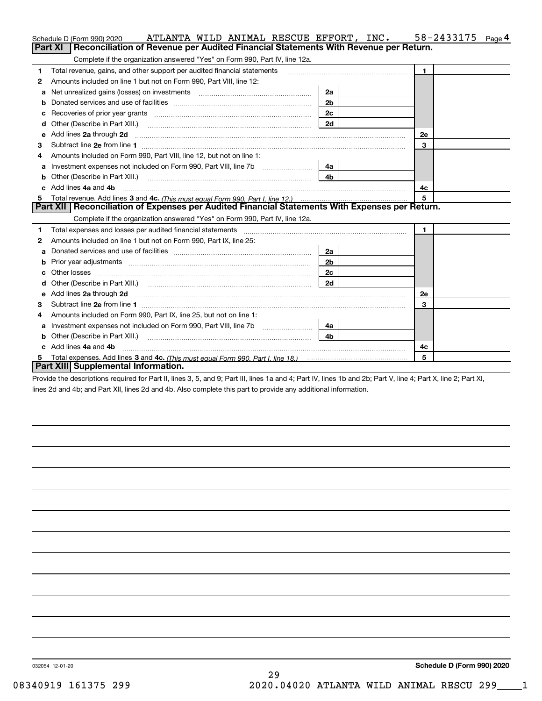|    | ATLANTA WILD ANIMAL RESCUE EFFORT, INC.<br>Schedule D (Form 990) 2020                                                                                                                                                               |                | 58-2433175<br>Page 4 |
|----|-------------------------------------------------------------------------------------------------------------------------------------------------------------------------------------------------------------------------------------|----------------|----------------------|
|    | Reconciliation of Revenue per Audited Financial Statements With Revenue per Return.<br>Part XI                                                                                                                                      |                |                      |
|    | Complete if the organization answered "Yes" on Form 990, Part IV, line 12a.                                                                                                                                                         |                |                      |
| 1  | Total revenue, gains, and other support per audited financial statements                                                                                                                                                            |                | $\blacksquare$       |
| 2  | Amounts included on line 1 but not on Form 990, Part VIII, line 12:                                                                                                                                                                 |                |                      |
| а  | Net unrealized gains (losses) on investments [11] matter contracts and the unrealized gains (losses) on investments                                                                                                                 | 2a             |                      |
|    |                                                                                                                                                                                                                                     | 2 <sub>b</sub> |                      |
|    |                                                                                                                                                                                                                                     | 2c             |                      |
| d  | Other (Describe in Part XIII.) <b>2006</b> 2007 2010 2010 2010 2010 2011 2012 2013 2014 2015 2016 2017 2018 2019 2016 2016 2017 2018 2019 2016 2017 2018 2019 2016 2017 2018 2019 2018 2019 2016 2017 2018 2019 2018 2019 2018 2019 | 2d             |                      |
| е  | Add lines 2a through 2d                                                                                                                                                                                                             |                | 2e                   |
| З  |                                                                                                                                                                                                                                     |                | 3                    |
| 4  | Amounts included on Form 990, Part VIII, line 12, but not on line 1:                                                                                                                                                                |                |                      |
| a  |                                                                                                                                                                                                                                     | 4a             |                      |
|    |                                                                                                                                                                                                                                     | 4b             |                      |
| c. | Add lines 4a and 4b                                                                                                                                                                                                                 |                | 4c                   |
|    |                                                                                                                                                                                                                                     |                | 5                    |
|    | Part XII   Reconciliation of Expenses per Audited Financial Statements With Expenses per Return.                                                                                                                                    |                |                      |
|    | Complete if the organization answered "Yes" on Form 990, Part IV, line 12a.                                                                                                                                                         |                |                      |
| 1  | Total expenses and losses per audited financial statements [11] [11] Total expenses and losses per audited financial statements [11] [11] Total expenses and losses per audited financial statements                                |                | $\mathbf{1}$         |
| 2  | Amounts included on line 1 but not on Form 990, Part IX, line 25:                                                                                                                                                                   |                |                      |
| a  |                                                                                                                                                                                                                                     | 2a             |                      |
| b  |                                                                                                                                                                                                                                     | 2b             |                      |
|    |                                                                                                                                                                                                                                     | 2c             |                      |
| d  |                                                                                                                                                                                                                                     | 2d             |                      |
| е  | Add lines 2a through 2d                                                                                                                                                                                                             |                | <b>2e</b>            |
| 3  |                                                                                                                                                                                                                                     |                | $\overline{3}$       |
| 4  | Amounts included on Form 990, Part IX, line 25, but not on line 1:                                                                                                                                                                  |                |                      |
| a  | Investment expenses not included on Form 990, Part VIII, line 7b [1000000000000000000000000000000000                                                                                                                                | 4a l           |                      |
| b  | Other (Describe in Part XIII.)                                                                                                                                                                                                      | 4b             |                      |
| c  | Add lines 4a and 4b                                                                                                                                                                                                                 |                | 4c                   |
| 5  |                                                                                                                                                                                                                                     |                | 5                    |
|    | Part XIII Supplemental Information.                                                                                                                                                                                                 |                |                      |

Provide the descriptions required for Part II, lines 3, 5, and 9; Part III, lines 1a and 4; Part IV, lines 1b and 2b; Part V, line 4; Part X, line 2; Part XI, lines 2d and 4b; and Part XII, lines 2d and 4b. Also complete this part to provide any additional information.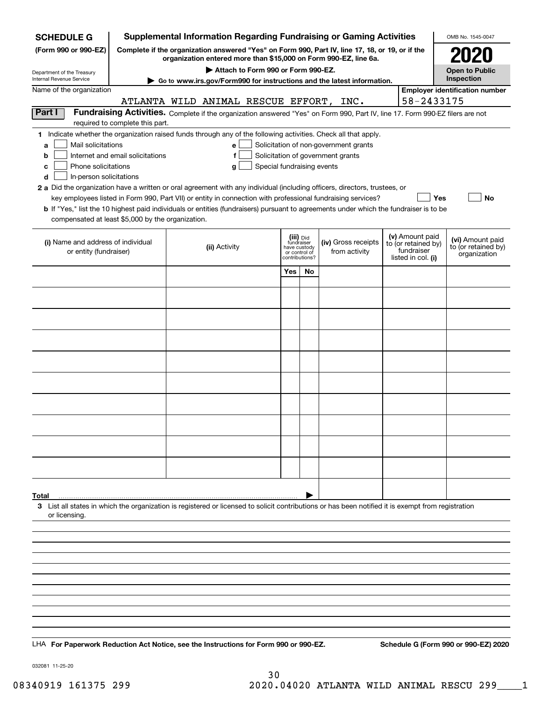| <b>SCHEDULE G</b>                                                                                                                                                                                                                                                                                                                                                                                                                                                                                                                       |                                                                                                                                                                     |  |               |                            |                                                                            |    | <b>Supplemental Information Regarding Fundraising or Gaming Activities</b>                                                                                                                |  |                                                                            | OMB No. 1545-0047                                       |
|-----------------------------------------------------------------------------------------------------------------------------------------------------------------------------------------------------------------------------------------------------------------------------------------------------------------------------------------------------------------------------------------------------------------------------------------------------------------------------------------------------------------------------------------|---------------------------------------------------------------------------------------------------------------------------------------------------------------------|--|---------------|----------------------------|----------------------------------------------------------------------------|----|-------------------------------------------------------------------------------------------------------------------------------------------------------------------------------------------|--|----------------------------------------------------------------------------|---------------------------------------------------------|
| (Form 990 or 990-EZ)                                                                                                                                                                                                                                                                                                                                                                                                                                                                                                                    | Complete if the organization answered "Yes" on Form 990, Part IV, line 17, 18, or 19, or if the<br>organization entered more than \$15,000 on Form 990-EZ, line 6a. |  |               |                            |                                                                            |    |                                                                                                                                                                                           |  | <b>2020</b>                                                                |                                                         |
|                                                                                                                                                                                                                                                                                                                                                                                                                                                                                                                                         | Attach to Form 990 or Form 990-EZ.                                                                                                                                  |  |               |                            |                                                                            |    |                                                                                                                                                                                           |  |                                                                            | <b>Open to Public</b>                                   |
| Department of the Treasury<br>Internal Revenue Service                                                                                                                                                                                                                                                                                                                                                                                                                                                                                  |                                                                                                                                                                     |  |               |                            |                                                                            |    | Go to www.irs.gov/Form990 for instructions and the latest information.                                                                                                                    |  |                                                                            | Inspection                                              |
| Name of the organization                                                                                                                                                                                                                                                                                                                                                                                                                                                                                                                |                                                                                                                                                                     |  |               |                            |                                                                            |    |                                                                                                                                                                                           |  |                                                                            | <b>Employer identification number</b>                   |
|                                                                                                                                                                                                                                                                                                                                                                                                                                                                                                                                         |                                                                                                                                                                     |  |               |                            |                                                                            |    | ATLANTA WILD ANIMAL RESCUE EFFORT, INC.                                                                                                                                                   |  | 58-2433175                                                                 |                                                         |
| Part I                                                                                                                                                                                                                                                                                                                                                                                                                                                                                                                                  | required to complete this part.                                                                                                                                     |  |               |                            |                                                                            |    | Fundraising Activities. Complete if the organization answered "Yes" on Form 990, Part IV, line 17. Form 990-EZ filers are not                                                             |  |                                                                            |                                                         |
| 1 Indicate whether the organization raised funds through any of the following activities. Check all that apply.<br>Mail solicitations<br>a<br>b<br>Phone solicitations<br>с<br>In-person solicitations<br>d<br>2 a Did the organization have a written or oral agreement with any individual (including officers, directors, trustees, or<br>b If "Yes," list the 10 highest paid individuals or entities (fundraisers) pursuant to agreements under which the fundraiser is to be<br>compensated at least \$5,000 by the organization. | Internet and email solicitations                                                                                                                                    |  | e<br>f<br>g   | Special fundraising events |                                                                            |    | Solicitation of non-government grants<br>Solicitation of government grants<br>key employees listed in Form 990, Part VII) or entity in connection with professional fundraising services? |  | Yes                                                                        | No                                                      |
| (i) Name and address of individual<br>or entity (fundraiser)                                                                                                                                                                                                                                                                                                                                                                                                                                                                            |                                                                                                                                                                     |  | (ii) Activity |                            | (iii) Did<br>fundraiser<br>have custody<br>or control of<br>contributions? |    | (iv) Gross receipts<br>from activity                                                                                                                                                      |  | (v) Amount paid<br>to (or retained by)<br>fundraiser<br>listed in col. (i) | (vi) Amount paid<br>to (or retained by)<br>organization |
|                                                                                                                                                                                                                                                                                                                                                                                                                                                                                                                                         |                                                                                                                                                                     |  |               |                            | Yes                                                                        | No |                                                                                                                                                                                           |  |                                                                            |                                                         |
|                                                                                                                                                                                                                                                                                                                                                                                                                                                                                                                                         |                                                                                                                                                                     |  |               |                            |                                                                            |    |                                                                                                                                                                                           |  |                                                                            |                                                         |
|                                                                                                                                                                                                                                                                                                                                                                                                                                                                                                                                         |                                                                                                                                                                     |  |               |                            |                                                                            |    |                                                                                                                                                                                           |  |                                                                            |                                                         |
|                                                                                                                                                                                                                                                                                                                                                                                                                                                                                                                                         |                                                                                                                                                                     |  |               |                            |                                                                            |    |                                                                                                                                                                                           |  |                                                                            |                                                         |
|                                                                                                                                                                                                                                                                                                                                                                                                                                                                                                                                         |                                                                                                                                                                     |  |               |                            |                                                                            |    |                                                                                                                                                                                           |  |                                                                            |                                                         |
|                                                                                                                                                                                                                                                                                                                                                                                                                                                                                                                                         |                                                                                                                                                                     |  |               |                            |                                                                            |    |                                                                                                                                                                                           |  |                                                                            |                                                         |
|                                                                                                                                                                                                                                                                                                                                                                                                                                                                                                                                         |                                                                                                                                                                     |  |               |                            |                                                                            |    |                                                                                                                                                                                           |  |                                                                            |                                                         |
|                                                                                                                                                                                                                                                                                                                                                                                                                                                                                                                                         |                                                                                                                                                                     |  |               |                            |                                                                            |    |                                                                                                                                                                                           |  |                                                                            |                                                         |
|                                                                                                                                                                                                                                                                                                                                                                                                                                                                                                                                         |                                                                                                                                                                     |  |               |                            |                                                                            |    |                                                                                                                                                                                           |  |                                                                            |                                                         |
|                                                                                                                                                                                                                                                                                                                                                                                                                                                                                                                                         |                                                                                                                                                                     |  |               |                            |                                                                            |    |                                                                                                                                                                                           |  |                                                                            |                                                         |
|                                                                                                                                                                                                                                                                                                                                                                                                                                                                                                                                         |                                                                                                                                                                     |  |               |                            |                                                                            |    |                                                                                                                                                                                           |  |                                                                            |                                                         |
|                                                                                                                                                                                                                                                                                                                                                                                                                                                                                                                                         |                                                                                                                                                                     |  |               |                            |                                                                            |    |                                                                                                                                                                                           |  |                                                                            |                                                         |
|                                                                                                                                                                                                                                                                                                                                                                                                                                                                                                                                         |                                                                                                                                                                     |  |               |                            |                                                                            |    |                                                                                                                                                                                           |  |                                                                            |                                                         |
|                                                                                                                                                                                                                                                                                                                                                                                                                                                                                                                                         |                                                                                                                                                                     |  |               |                            |                                                                            |    |                                                                                                                                                                                           |  |                                                                            |                                                         |
|                                                                                                                                                                                                                                                                                                                                                                                                                                                                                                                                         |                                                                                                                                                                     |  |               |                            |                                                                            |    |                                                                                                                                                                                           |  |                                                                            |                                                         |
| Total                                                                                                                                                                                                                                                                                                                                                                                                                                                                                                                                   |                                                                                                                                                                     |  |               |                            |                                                                            |    |                                                                                                                                                                                           |  |                                                                            |                                                         |
| 3 List all states in which the organization is registered or licensed to solicit contributions or has been notified it is exempt from registration<br>or licensing.                                                                                                                                                                                                                                                                                                                                                                     |                                                                                                                                                                     |  |               |                            |                                                                            |    |                                                                                                                                                                                           |  |                                                                            |                                                         |
|                                                                                                                                                                                                                                                                                                                                                                                                                                                                                                                                         |                                                                                                                                                                     |  |               |                            |                                                                            |    |                                                                                                                                                                                           |  |                                                                            |                                                         |
|                                                                                                                                                                                                                                                                                                                                                                                                                                                                                                                                         |                                                                                                                                                                     |  |               |                            |                                                                            |    |                                                                                                                                                                                           |  |                                                                            |                                                         |
|                                                                                                                                                                                                                                                                                                                                                                                                                                                                                                                                         |                                                                                                                                                                     |  |               |                            |                                                                            |    |                                                                                                                                                                                           |  |                                                                            |                                                         |
|                                                                                                                                                                                                                                                                                                                                                                                                                                                                                                                                         |                                                                                                                                                                     |  |               |                            |                                                                            |    |                                                                                                                                                                                           |  |                                                                            |                                                         |
|                                                                                                                                                                                                                                                                                                                                                                                                                                                                                                                                         |                                                                                                                                                                     |  |               |                            |                                                                            |    |                                                                                                                                                                                           |  |                                                                            |                                                         |
|                                                                                                                                                                                                                                                                                                                                                                                                                                                                                                                                         |                                                                                                                                                                     |  |               |                            |                                                                            |    |                                                                                                                                                                                           |  |                                                                            |                                                         |
|                                                                                                                                                                                                                                                                                                                                                                                                                                                                                                                                         |                                                                                                                                                                     |  |               |                            |                                                                            |    |                                                                                                                                                                                           |  |                                                                            |                                                         |
|                                                                                                                                                                                                                                                                                                                                                                                                                                                                                                                                         |                                                                                                                                                                     |  |               |                            |                                                                            |    |                                                                                                                                                                                           |  |                                                                            |                                                         |
|                                                                                                                                                                                                                                                                                                                                                                                                                                                                                                                                         |                                                                                                                                                                     |  |               |                            |                                                                            |    |                                                                                                                                                                                           |  |                                                                            | Schedule G (Form 990 or 990-EZ) 2020                    |
| LHA For Paperwork Reduction Act Notice, see the Instructions for Form 990 or 990-EZ.                                                                                                                                                                                                                                                                                                                                                                                                                                                    |                                                                                                                                                                     |  |               |                            |                                                                            |    |                                                                                                                                                                                           |  |                                                                            |                                                         |

032081 11-25-20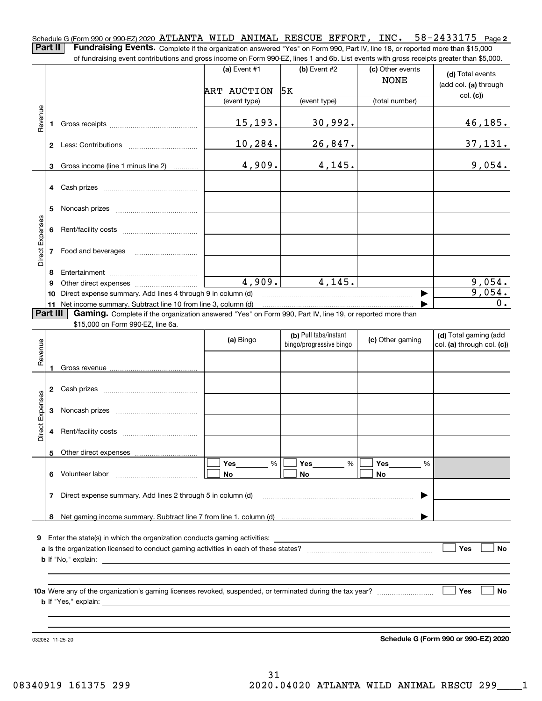Schedule G (Form 990 or 990-EZ) 2020 ATLANTA WILD ANIMAL RESCUE EFFORT, INC. 58-2433175 Page 2 Part II | Fundraising Events. Complete if the organization answered "Yes" on Form 990, Part IV, line 18, or reported more than \$15,000

of fundraising event contributions and gross income on Form 990-EZ, lines 1 and 6b. List events with gross receipts greater than \$5,000.

|                 |          | or iunuralsing event contributions and gross income on Form 990-EZ, lines T and 6D. Elst events with gross receipts greater than \$5,000. |                |                                                  |                                 |                                                     |
|-----------------|----------|-------------------------------------------------------------------------------------------------------------------------------------------|----------------|--------------------------------------------------|---------------------------------|-----------------------------------------------------|
|                 |          |                                                                                                                                           | (a) Event $#1$ | $(b)$ Event #2                                   | (c) Other events<br><b>NONE</b> | (d) Total events<br>(add col. (a) through           |
|                 |          |                                                                                                                                           | ART AUCTION    | 5K                                               |                                 | col. (c)                                            |
|                 |          |                                                                                                                                           | (event type)   | (event type)                                     | (total number)                  |                                                     |
| Revenue         | 1        |                                                                                                                                           | 15, 193.       | 30,992.                                          |                                 | 46, 185.                                            |
|                 |          |                                                                                                                                           | 10, 284.       | 26,847.                                          |                                 | 37,131.                                             |
|                 | 3        | Gross income (line 1 minus line 2)                                                                                                        | 4,909.         | 4,145.                                           |                                 | 9,054.                                              |
|                 | 4        |                                                                                                                                           |                |                                                  |                                 |                                                     |
|                 | 5        |                                                                                                                                           |                |                                                  |                                 |                                                     |
|                 | 6        |                                                                                                                                           |                |                                                  |                                 |                                                     |
| Direct Expenses |          | 7 Food and beverages                                                                                                                      |                |                                                  |                                 |                                                     |
|                 | 8        |                                                                                                                                           |                |                                                  |                                 |                                                     |
|                 | 9        |                                                                                                                                           | 4,909.         | 4,145.                                           |                                 | 9,054.                                              |
|                 | 10       | Direct expense summary. Add lines 4 through 9 in column (d)                                                                               |                |                                                  |                                 | 9,054.                                              |
|                 |          | 11 Net income summary. Subtract line 10 from line 3, column (d)                                                                           |                |                                                  |                                 | 0.                                                  |
|                 | Part III | Gaming. Complete if the organization answered "Yes" on Form 990, Part IV, line 19, or reported more than                                  |                |                                                  |                                 |                                                     |
|                 |          | \$15,000 on Form 990-EZ, line 6a.                                                                                                         |                |                                                  |                                 |                                                     |
| Revenue         |          |                                                                                                                                           | (a) Bingo      | (b) Pull tabs/instant<br>bingo/progressive bingo | (c) Other gaming                | (d) Total gaming (add<br>col. (a) through col. (c)) |
|                 | 1        |                                                                                                                                           |                |                                                  |                                 |                                                     |
|                 | 2        |                                                                                                                                           |                |                                                  |                                 |                                                     |
| Direct Expenses | 3        |                                                                                                                                           |                |                                                  |                                 |                                                     |
|                 | 4        |                                                                                                                                           |                |                                                  |                                 |                                                     |
|                 |          | 5 Other direct expenses                                                                                                                   |                |                                                  |                                 |                                                     |
|                 |          |                                                                                                                                           | Yes<br>%       | Yes<br>%                                         | Yes<br>%                        |                                                     |
|                 | 6        | Volunteer labor                                                                                                                           | No             | No                                               | No                              |                                                     |
|                 | 7        | Direct expense summary. Add lines 2 through 5 in column (d)                                                                               |                |                                                  |                                 |                                                     |
|                 | 8        |                                                                                                                                           |                |                                                  |                                 |                                                     |
|                 |          |                                                                                                                                           |                |                                                  |                                 |                                                     |
| 9               |          | Enter the state(s) in which the organization conducts gaming activities:                                                                  |                |                                                  |                                 |                                                     |
|                 |          |                                                                                                                                           |                |                                                  |                                 | Yes<br>No                                           |
|                 |          | <b>b</b> If "No," explain:                                                                                                                |                |                                                  |                                 |                                                     |
|                 |          |                                                                                                                                           |                |                                                  |                                 |                                                     |
|                 |          |                                                                                                                                           |                |                                                  |                                 |                                                     |
|                 |          |                                                                                                                                           |                |                                                  |                                 | Yes<br>No                                           |
|                 |          | <b>b</b> If "Yes," explain:                                                                                                               |                |                                                  |                                 |                                                     |
|                 |          |                                                                                                                                           |                |                                                  |                                 |                                                     |
|                 |          |                                                                                                                                           |                |                                                  |                                 |                                                     |
|                 |          |                                                                                                                                           |                |                                                  |                                 |                                                     |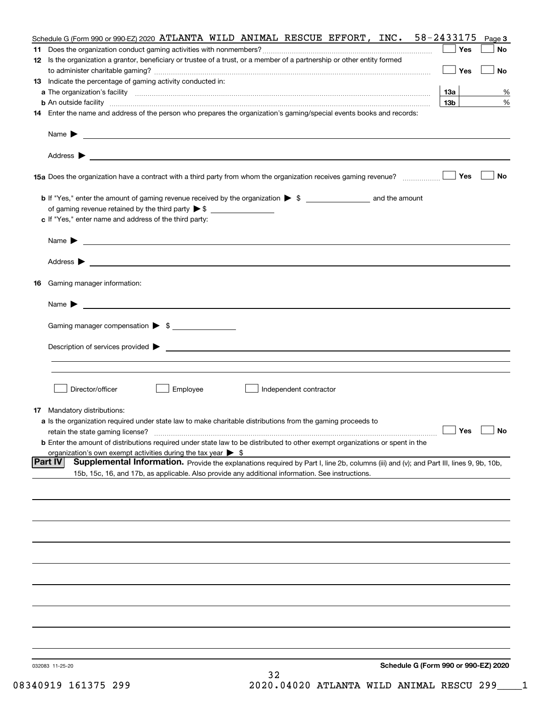| Schedule G (Form 990 or 990-EZ) 2020 ATLANTA WILD ANIMAL RESCUE EFFORT, INC. 58-2433175                                                                                                                                                                                                                                                                           |                               | Page 3    |
|-------------------------------------------------------------------------------------------------------------------------------------------------------------------------------------------------------------------------------------------------------------------------------------------------------------------------------------------------------------------|-------------------------------|-----------|
|                                                                                                                                                                                                                                                                                                                                                                   | Yes                           | No        |
| 12 Is the organization a grantor, beneficiary or trustee of a trust, or a member of a partnership or other entity formed                                                                                                                                                                                                                                          |                               |           |
|                                                                                                                                                                                                                                                                                                                                                                   | Yes                           | <b>No</b> |
| 13 Indicate the percentage of gaming activity conducted in:                                                                                                                                                                                                                                                                                                       |                               |           |
|                                                                                                                                                                                                                                                                                                                                                                   | <u>13a</u><br>13 <sub>b</sub> | %         |
| <b>b</b> An outside facility <b>contained a contract and a contract of the contract of the contract of the contract of the contract of the contract of the contract of the contract of the contract of the contract of the contract o</b><br>14 Enter the name and address of the person who prepares the organization's gaming/special events books and records: |                               | %         |
|                                                                                                                                                                                                                                                                                                                                                                   |                               |           |
|                                                                                                                                                                                                                                                                                                                                                                   |                               |           |
|                                                                                                                                                                                                                                                                                                                                                                   |                               |           |
|                                                                                                                                                                                                                                                                                                                                                                   |                               |           |
| 15a Does the organization have a contract with a third party from whom the organization receives gaming revenue?                                                                                                                                                                                                                                                  | Yes                           | No        |
|                                                                                                                                                                                                                                                                                                                                                                   |                               |           |
| <b>b</b> If "Yes," enter the amount of gaming revenue received by the organization $\triangleright$ \$ ___________________ and the amount                                                                                                                                                                                                                         |                               |           |
|                                                                                                                                                                                                                                                                                                                                                                   |                               |           |
| c If "Yes," enter name and address of the third party:                                                                                                                                                                                                                                                                                                            |                               |           |
|                                                                                                                                                                                                                                                                                                                                                                   |                               |           |
| Name $\blacktriangleright$ $\_\_$                                                                                                                                                                                                                                                                                                                                 |                               |           |
|                                                                                                                                                                                                                                                                                                                                                                   |                               |           |
|                                                                                                                                                                                                                                                                                                                                                                   |                               |           |
| 16 Gaming manager information:                                                                                                                                                                                                                                                                                                                                    |                               |           |
|                                                                                                                                                                                                                                                                                                                                                                   |                               |           |
| Name $\blacktriangleright$ $\frac{1}{\sqrt{1-\frac{1}{2}}\left(1-\frac{1}{2}\right)}$                                                                                                                                                                                                                                                                             |                               |           |
|                                                                                                                                                                                                                                                                                                                                                                   |                               |           |
| Gaming manager compensation > \$                                                                                                                                                                                                                                                                                                                                  |                               |           |
| Description of services provided $\blacktriangleright$ $\_\_$                                                                                                                                                                                                                                                                                                     |                               |           |
|                                                                                                                                                                                                                                                                                                                                                                   |                               |           |
|                                                                                                                                                                                                                                                                                                                                                                   |                               |           |
|                                                                                                                                                                                                                                                                                                                                                                   |                               |           |
| Director/officer<br>Employee<br>Independent contractor                                                                                                                                                                                                                                                                                                            |                               |           |
|                                                                                                                                                                                                                                                                                                                                                                   |                               |           |
| 17 Mandatory distributions:                                                                                                                                                                                                                                                                                                                                       |                               |           |
| a Is the organization required under state law to make charitable distributions from the gaming proceeds to                                                                                                                                                                                                                                                       | $\Box$ Yes $\Box$ No          |           |
| retain the state gaming license?<br><b>b</b> Enter the amount of distributions required under state law to be distributed to other exempt organizations or spent in the                                                                                                                                                                                           |                               |           |
| organization's own exempt activities during the tax year $\triangleright$ \$                                                                                                                                                                                                                                                                                      |                               |           |
| <b>Part IV</b><br>Supplemental Information. Provide the explanations required by Part I, line 2b, columns (iii) and (v); and Part III, lines 9, 9b, 10b,                                                                                                                                                                                                          |                               |           |
| 15b, 15c, 16, and 17b, as applicable. Also provide any additional information. See instructions.                                                                                                                                                                                                                                                                  |                               |           |
|                                                                                                                                                                                                                                                                                                                                                                   |                               |           |
|                                                                                                                                                                                                                                                                                                                                                                   |                               |           |
|                                                                                                                                                                                                                                                                                                                                                                   |                               |           |
|                                                                                                                                                                                                                                                                                                                                                                   |                               |           |
|                                                                                                                                                                                                                                                                                                                                                                   |                               |           |
|                                                                                                                                                                                                                                                                                                                                                                   |                               |           |
|                                                                                                                                                                                                                                                                                                                                                                   |                               |           |
|                                                                                                                                                                                                                                                                                                                                                                   |                               |           |
|                                                                                                                                                                                                                                                                                                                                                                   |                               |           |
|                                                                                                                                                                                                                                                                                                                                                                   |                               |           |
|                                                                                                                                                                                                                                                                                                                                                                   |                               |           |
|                                                                                                                                                                                                                                                                                                                                                                   |                               |           |
|                                                                                                                                                                                                                                                                                                                                                                   |                               |           |
|                                                                                                                                                                                                                                                                                                                                                                   |                               |           |
|                                                                                                                                                                                                                                                                                                                                                                   |                               |           |
| Schedule G (Form 990 or 990-EZ) 2020<br>032083 11-25-20                                                                                                                                                                                                                                                                                                           |                               |           |
| 32                                                                                                                                                                                                                                                                                                                                                                |                               |           |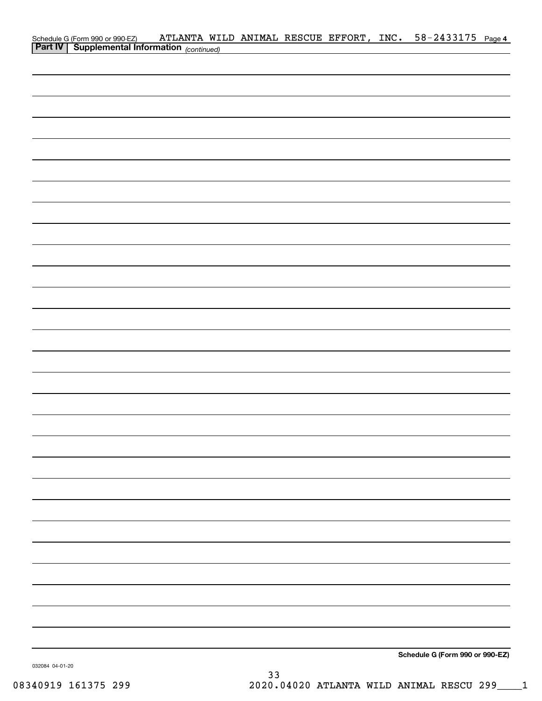| Schedule G (Form 990 or 990-EZ) ATLANTA WI.<br>Part IV   Supplemental Information (continued) |  |  | ATLANTA WILD ANIMAL RESCUE EFFORT, INC. 58-2433175 Page 4 |  |
|-----------------------------------------------------------------------------------------------|--|--|-----------------------------------------------------------|--|
|                                                                                               |  |  |                                                           |  |
|                                                                                               |  |  |                                                           |  |
|                                                                                               |  |  |                                                           |  |
|                                                                                               |  |  |                                                           |  |
|                                                                                               |  |  |                                                           |  |
|                                                                                               |  |  |                                                           |  |
|                                                                                               |  |  |                                                           |  |
|                                                                                               |  |  |                                                           |  |
|                                                                                               |  |  |                                                           |  |
|                                                                                               |  |  |                                                           |  |
|                                                                                               |  |  |                                                           |  |
|                                                                                               |  |  |                                                           |  |
|                                                                                               |  |  |                                                           |  |
|                                                                                               |  |  |                                                           |  |
|                                                                                               |  |  |                                                           |  |
|                                                                                               |  |  |                                                           |  |
|                                                                                               |  |  |                                                           |  |
|                                                                                               |  |  |                                                           |  |
|                                                                                               |  |  |                                                           |  |
|                                                                                               |  |  |                                                           |  |
|                                                                                               |  |  |                                                           |  |
|                                                                                               |  |  |                                                           |  |
|                                                                                               |  |  |                                                           |  |
|                                                                                               |  |  |                                                           |  |
|                                                                                               |  |  |                                                           |  |
|                                                                                               |  |  |                                                           |  |
|                                                                                               |  |  |                                                           |  |
|                                                                                               |  |  |                                                           |  |
|                                                                                               |  |  |                                                           |  |
|                                                                                               |  |  |                                                           |  |
|                                                                                               |  |  |                                                           |  |
|                                                                                               |  |  |                                                           |  |
|                                                                                               |  |  |                                                           |  |
|                                                                                               |  |  |                                                           |  |
|                                                                                               |  |  |                                                           |  |
|                                                                                               |  |  |                                                           |  |
|                                                                                               |  |  |                                                           |  |
|                                                                                               |  |  |                                                           |  |
|                                                                                               |  |  |                                                           |  |
|                                                                                               |  |  |                                                           |  |
|                                                                                               |  |  | Schedule G (Form 990 or 990-EZ)                           |  |

032084 04-01-20